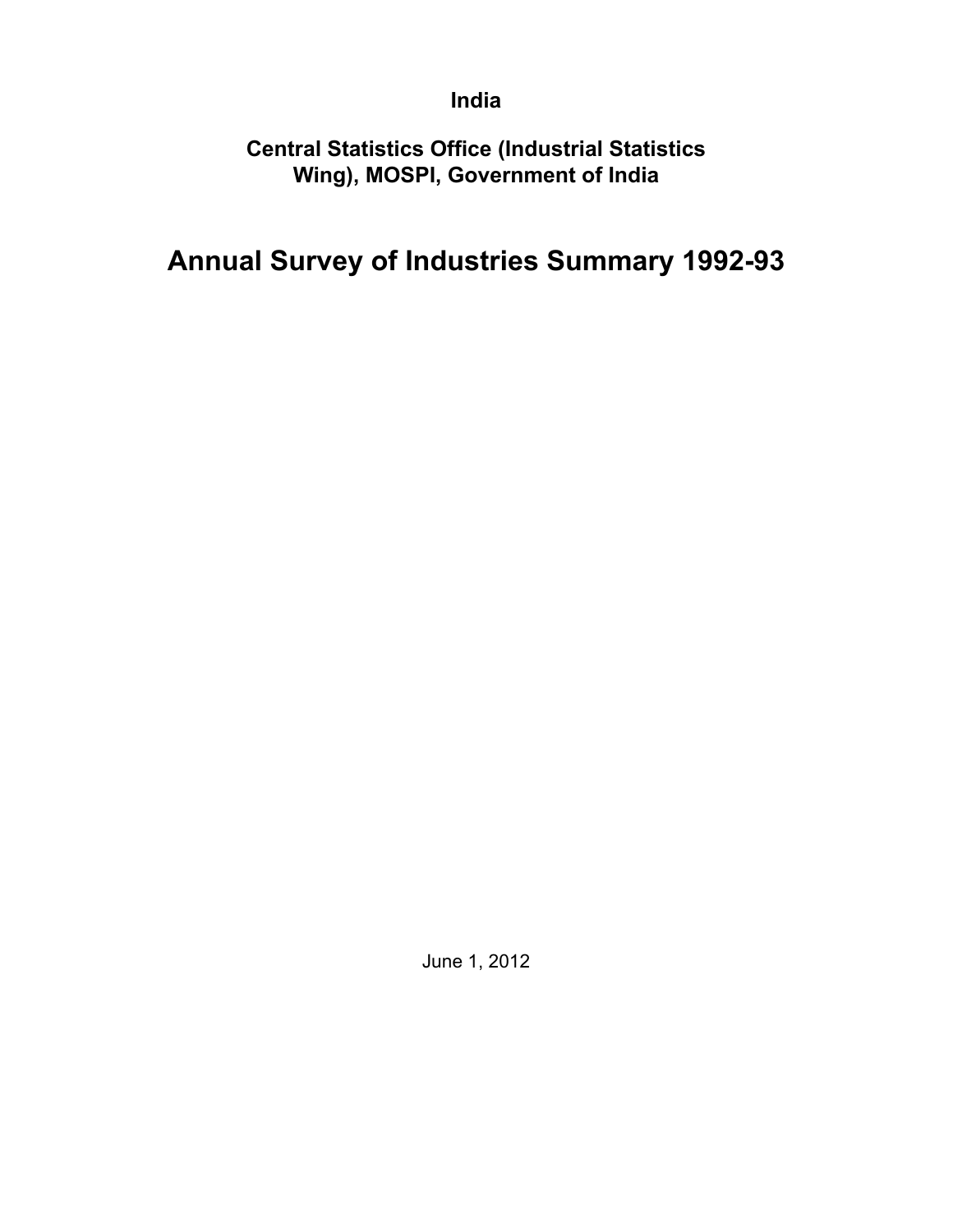## **India**

**Central Statistics Office (Industrial Statistics Wing), MOSPI, Government of India**

# **Annual Survey of Industries Summary 1992-93**

June 1, 2012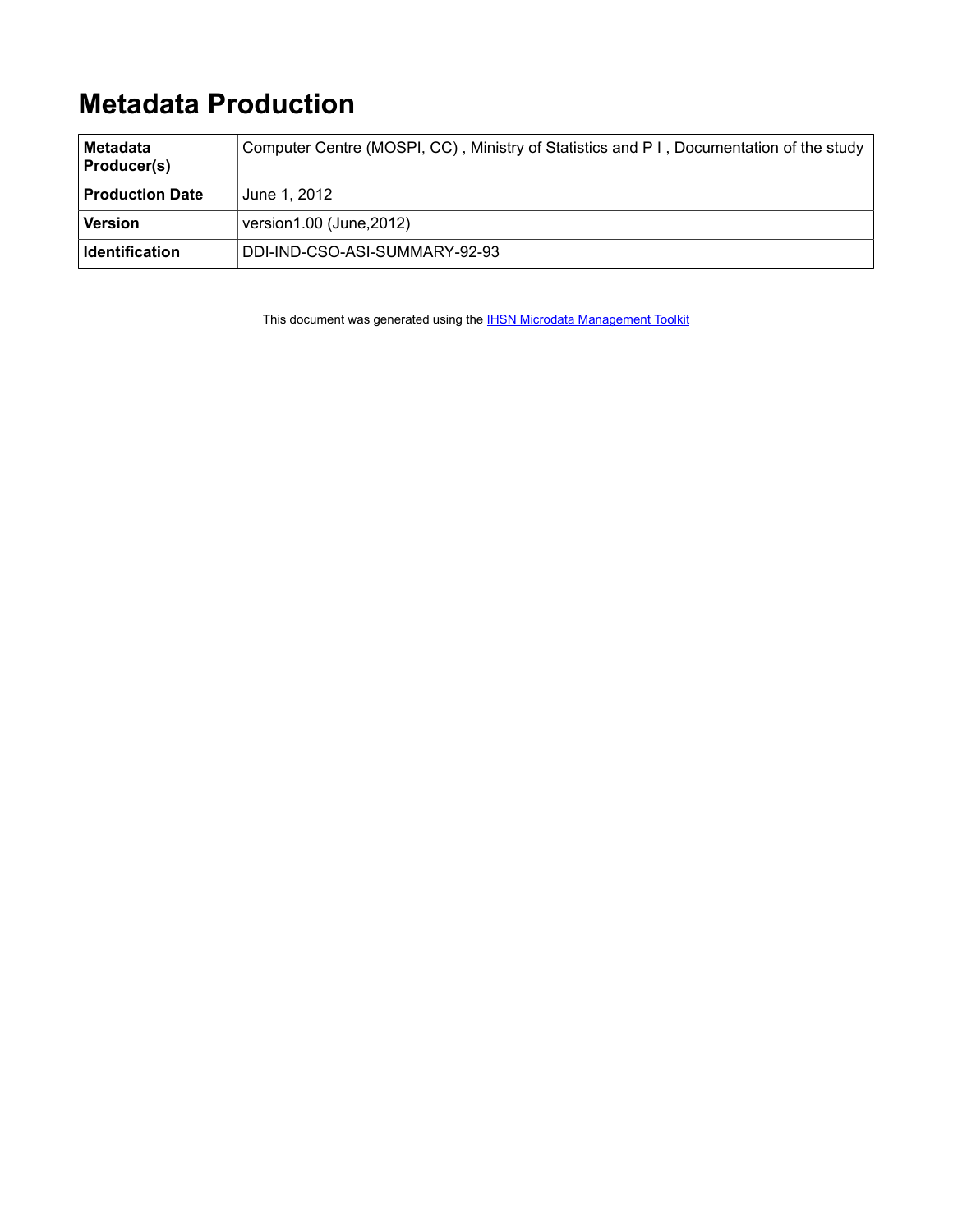# **Metadata Production**

| ∣Metadata<br><b>Producer(s)</b> | Computer Centre (MOSPI, CC), Ministry of Statistics and P I, Documentation of the study |
|---------------------------------|-----------------------------------------------------------------------------------------|
| <b>Production Date</b>          | June 1, 2012                                                                            |
| Version                         | version1.00 (June, 2012)                                                                |
| ∣ Identification                | DDI-IND-CSO-ASI-SUMMARY-92-93                                                           |

This document was generated using the **[IHSN Microdata Management Toolkit](http://www.surveynetwork.org/toolkit)**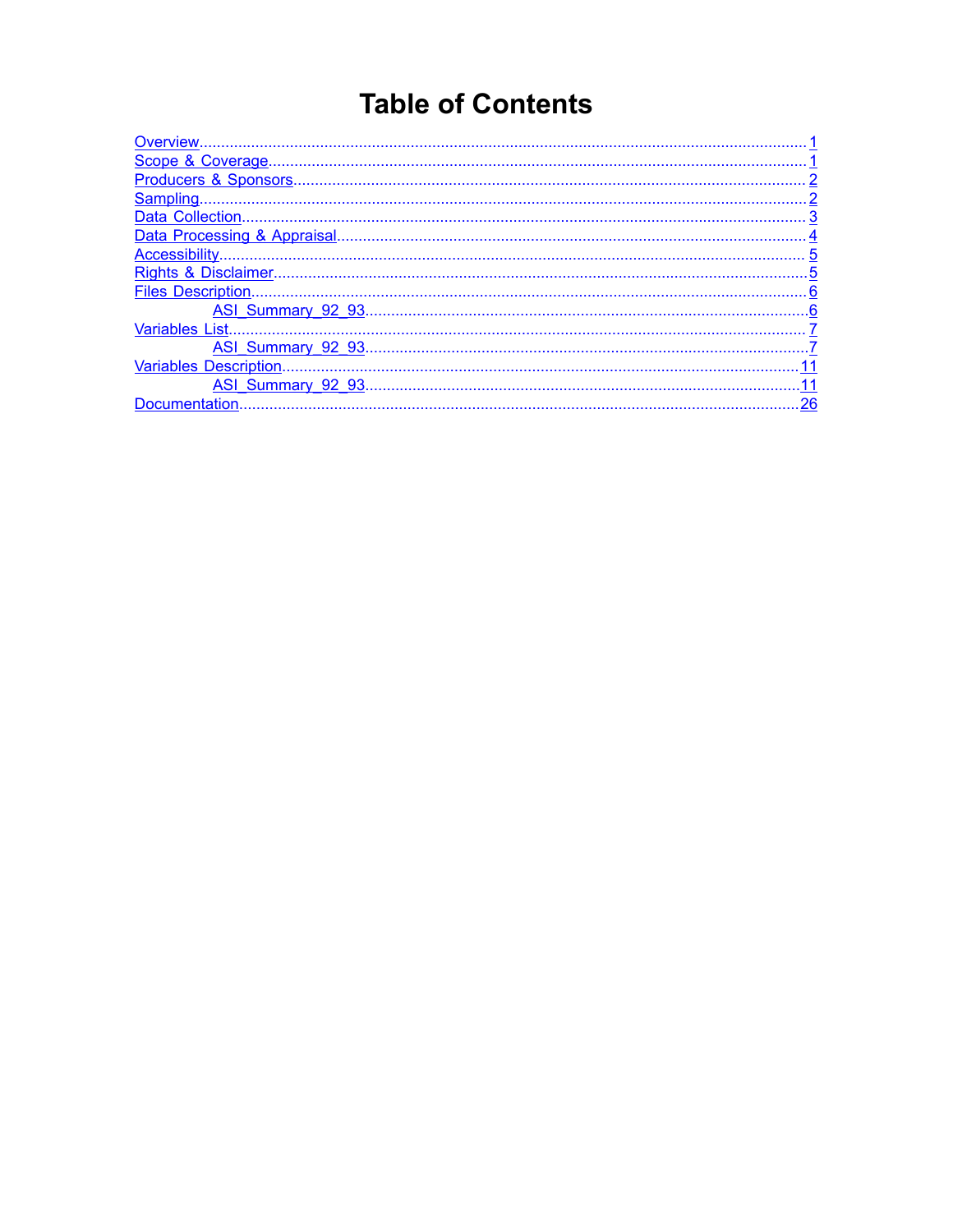# **Table of Contents**

| Data Collection.              |     |
|-------------------------------|-----|
|                               |     |
|                               |     |
|                               |     |
| <b>Files Description</b>      |     |
|                               |     |
| <b>Variables List.</b>        |     |
|                               |     |
| <b>Variables Description.</b> |     |
|                               | .11 |
| Documentation.                | .26 |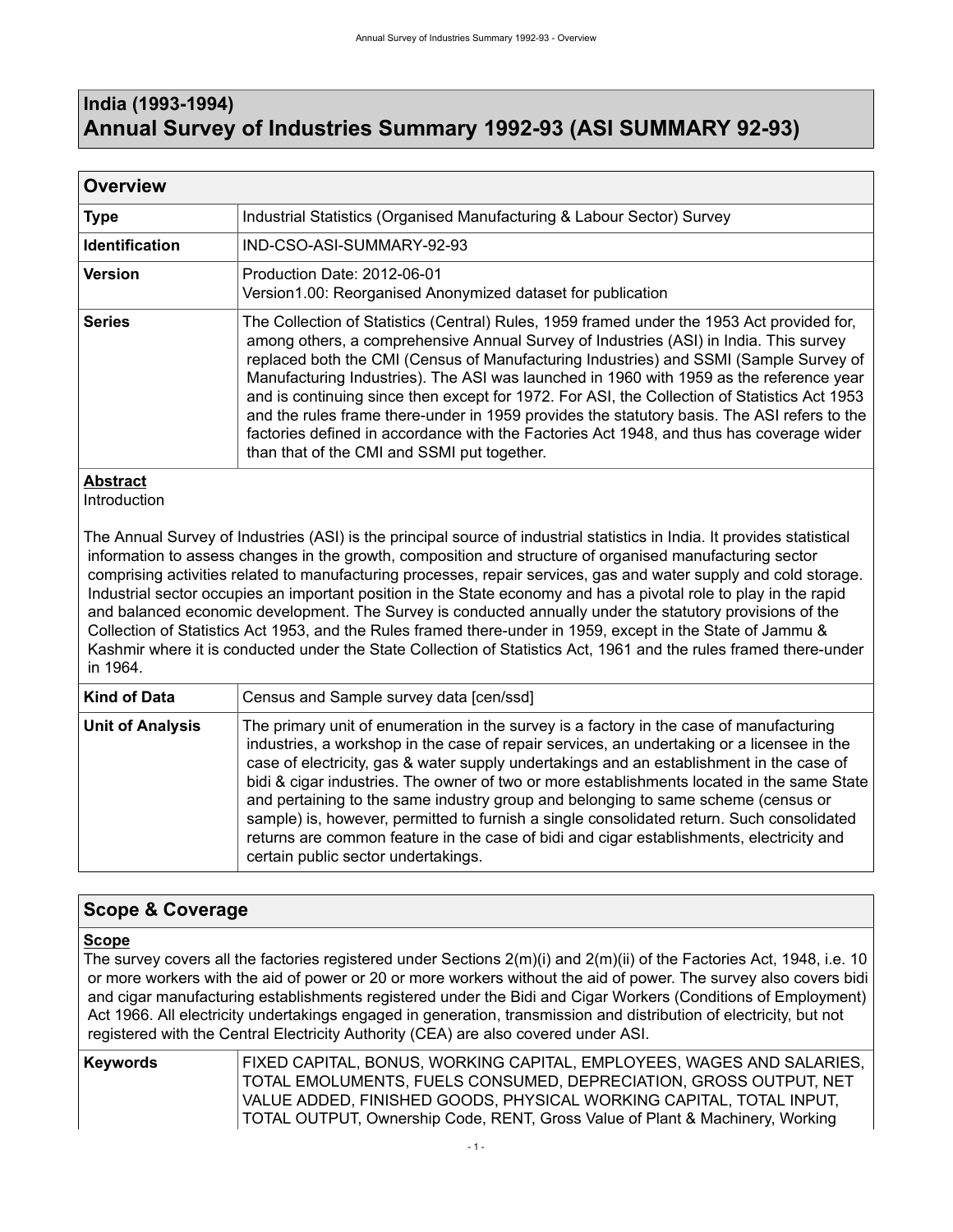## <span id="page-4-0"></span>**India (1993-1994) Annual Survey of Industries Summary 1992-93 (ASI SUMMARY 92-93)**

| <b>Overview</b>                                    |                                                                                                                                                                                                                                                                                                                                                                                                                                                                                                                                                                                                                                                                                                                   |  |  |  |  |
|----------------------------------------------------|-------------------------------------------------------------------------------------------------------------------------------------------------------------------------------------------------------------------------------------------------------------------------------------------------------------------------------------------------------------------------------------------------------------------------------------------------------------------------------------------------------------------------------------------------------------------------------------------------------------------------------------------------------------------------------------------------------------------|--|--|--|--|
| <b>Type</b>                                        | Industrial Statistics (Organised Manufacturing & Labour Sector) Survey                                                                                                                                                                                                                                                                                                                                                                                                                                                                                                                                                                                                                                            |  |  |  |  |
| <b>Identification</b><br>IND-CSO-ASI-SUMMARY-92-93 |                                                                                                                                                                                                                                                                                                                                                                                                                                                                                                                                                                                                                                                                                                                   |  |  |  |  |
| <b>Version</b>                                     | Production Date: 2012-06-01<br>Version1.00: Reorganised Anonymized dataset for publication                                                                                                                                                                                                                                                                                                                                                                                                                                                                                                                                                                                                                        |  |  |  |  |
| <b>Series</b>                                      | The Collection of Statistics (Central) Rules, 1959 framed under the 1953 Act provided for,<br>among others, a comprehensive Annual Survey of Industries (ASI) in India. This survey<br>replaced both the CMI (Census of Manufacturing Industries) and SSMI (Sample Survey of<br>Manufacturing Industries). The ASI was launched in 1960 with 1959 as the reference year<br>and is continuing since then except for 1972. For ASI, the Collection of Statistics Act 1953<br>and the rules frame there-under in 1959 provides the statutory basis. The ASI refers to the<br>factories defined in accordance with the Factories Act 1948, and thus has coverage wider<br>than that of the CMI and SSMI put together. |  |  |  |  |

### **Abstract**

Introduction

The Annual Survey of Industries (ASI) is the principal source of industrial statistics in India. It provides statistical information to assess changes in the growth, composition and structure of organised manufacturing sector comprising activities related to manufacturing processes, repair services, gas and water supply and cold storage. Industrial sector occupies an important position in the State economy and has a pivotal role to play in the rapid and balanced economic development. The Survey is conducted annually under the statutory provisions of the Collection of Statistics Act 1953, and the Rules framed there-under in 1959, except in the State of Jammu & Kashmir where it is conducted under the State Collection of Statistics Act, 1961 and the rules framed there-under in 1964.

| <b>Kind of Data</b>     | Census and Sample survey data [cen/ssd]                                                                                                                                                                                                                                                                                                                                                                                                                                                                                                                                                                                                                                                              |
|-------------------------|------------------------------------------------------------------------------------------------------------------------------------------------------------------------------------------------------------------------------------------------------------------------------------------------------------------------------------------------------------------------------------------------------------------------------------------------------------------------------------------------------------------------------------------------------------------------------------------------------------------------------------------------------------------------------------------------------|
| <b>Unit of Analysis</b> | The primary unit of enumeration in the survey is a factory in the case of manufacturing<br>industries, a workshop in the case of repair services, an undertaking or a licensee in the<br>case of electricity, gas & water supply undertakings and an establishment in the case of<br>bidi & cigar industries. The owner of two or more establishments located in the same State<br>and pertaining to the same industry group and belonging to same scheme (census or<br>sample) is, however, permitted to furnish a single consolidated return. Such consolidated<br>returns are common feature in the case of bidi and cigar establishments, electricity and<br>certain public sector undertakings. |

### <span id="page-4-1"></span>**Scope & Coverage**

### **Scope**

The survey covers all the factories registered under Sections 2(m)(i) and 2(m)(ii) of the Factories Act, 1948, i.e. 10 or more workers with the aid of power or 20 or more workers without the aid of power. The survey also covers bidi and cigar manufacturing establishments registered under the Bidi and Cigar Workers (Conditions of Employment) Act 1966. All electricity undertakings engaged in generation, transmission and distribution of electricity, but not registered with the Central Electricity Authority (CEA) are also covered under ASI.

**Keywords** FIXED CAPITAL, BONUS, WORKING CAPITAL, EMPLOYEES, WAGES AND SALARIES, TOTAL EMOLUMENTS, FUELS CONSUMED, DEPRECIATION, GROSS OUTPUT, NET VALUE ADDED, FINISHED GOODS, PHYSICAL WORKING CAPITAL, TOTAL INPUT, TOTAL OUTPUT, Ownership Code, RENT, Gross Value of Plant & Machinery, Working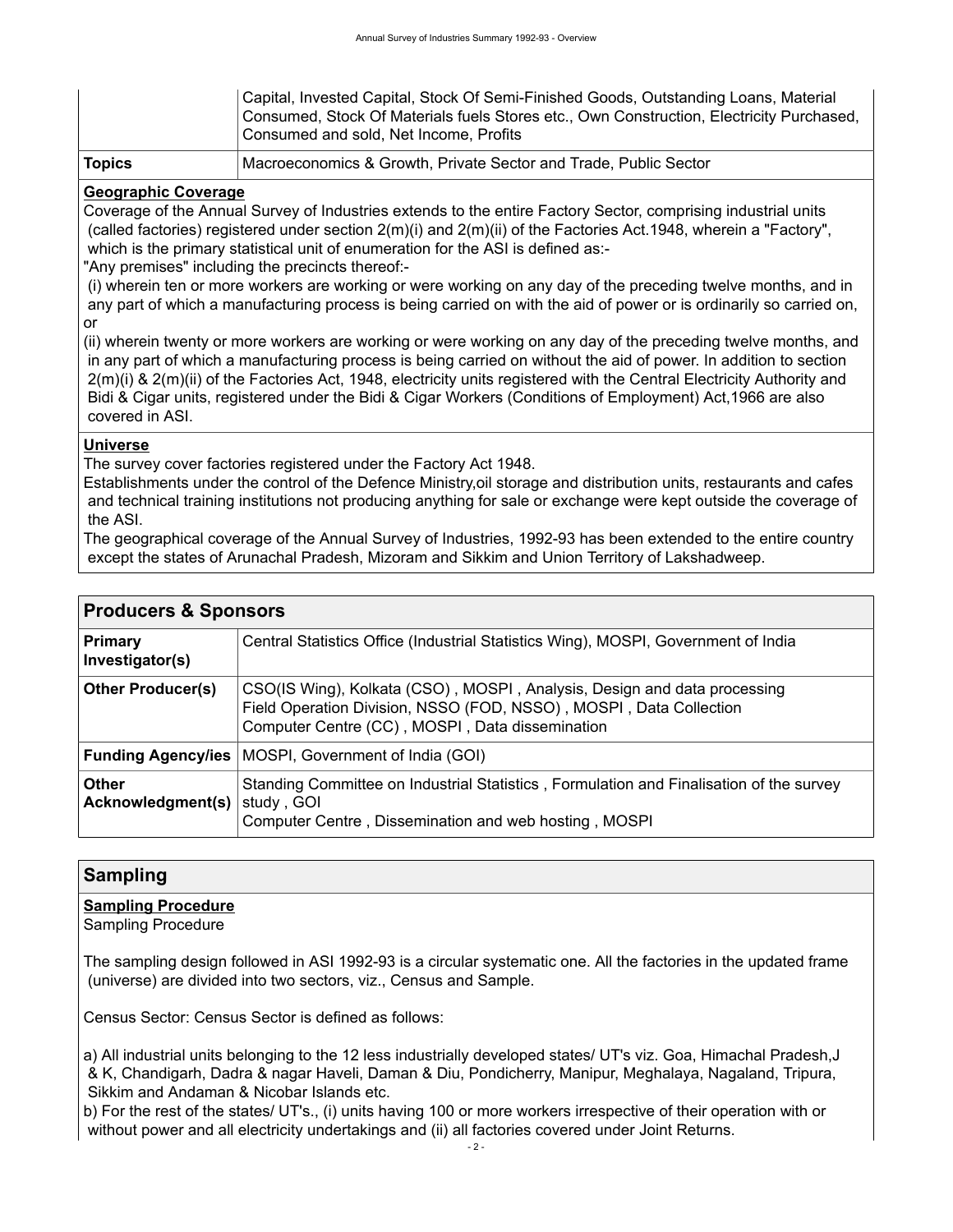|               | Capital, Invested Capital, Stock Of Semi-Finished Goods, Outstanding Loans, Material<br>Consumed, Stock Of Materials fuels Stores etc., Own Construction, Electricity Purchased,<br>Consumed and sold, Net Income, Profits |
|---------------|----------------------------------------------------------------------------------------------------------------------------------------------------------------------------------------------------------------------------|
| <b>Topics</b> | Macroeconomics & Growth, Private Sector and Trade, Public Sector                                                                                                                                                           |

### **Geographic Coverage**

Coverage of the Annual Survey of Industries extends to the entire Factory Sector, comprising industrial units (called factories) registered under section 2(m)(i) and 2(m)(ii) of the Factories Act.1948, wherein a "Factory", which is the primary statistical unit of enumeration for the ASI is defined as:-

"Any premises" including the precincts thereof:-

 (i) wherein ten or more workers are working or were working on any day of the preceding twelve months, and in any part of which a manufacturing process is being carried on with the aid of power or is ordinarily so carried on, or

(ii) wherein twenty or more workers are working or were working on any day of the preceding twelve months, and in any part of which a manufacturing process is being carried on without the aid of power. In addition to section 2(m)(i) & 2(m)(ii) of the Factories Act, 1948, electricity units registered with the Central Electricity Authority and Bidi & Cigar units, registered under the Bidi & Cigar Workers (Conditions of Employment) Act,1966 are also covered in ASI.

### **Universe**

The survey cover factories registered under the Factory Act 1948.

Establishments under the control of the Defence Ministry,oil storage and distribution units, restaurants and cafes and technical training institutions not producing anything for sale or exchange were kept outside the coverage of the ASI.

The geographical coverage of the Annual Survey of Industries, 1992-93 has been extended to the entire country except the states of Arunachal Pradesh, Mizoram and Sikkim and Union Territory of Lakshadweep.

<span id="page-5-0"></span>

| <b>Producers &amp; Sponsors</b>   |                                                                                                                                                                                                   |  |  |  |  |
|-----------------------------------|---------------------------------------------------------------------------------------------------------------------------------------------------------------------------------------------------|--|--|--|--|
| <b>Primary</b><br>Investigator(s) | Central Statistics Office (Industrial Statistics Wing), MOSPI, Government of India                                                                                                                |  |  |  |  |
| <b>Other Producer(s)</b>          | CSO(IS Wing), Kolkata (CSO), MOSPI, Analysis, Design and data processing<br>Field Operation Division, NSSO (FOD, NSSO), MOSPI, Data Collection<br>Computer Centre (CC), MOSPI, Data dissemination |  |  |  |  |
| <b>Funding Agency/ies</b>         | MOSPI, Government of India (GOI)                                                                                                                                                                  |  |  |  |  |
| <b>Other</b><br>Acknowledgment(s) | Standing Committee on Industrial Statistics, Formulation and Finalisation of the survey<br>study, GOI<br>Computer Centre, Dissemination and web hosting, MOSPI                                    |  |  |  |  |

### <span id="page-5-1"></span>**Sampling**

### **Sampling Procedure**

Sampling Procedure

The sampling design followed in ASI 1992-93 is a circular systematic one. All the factories in the updated frame (universe) are divided into two sectors, viz., Census and Sample.

Census Sector: Census Sector is defined as follows:

a) All industrial units belonging to the 12 less industrially developed states/ UT's viz. Goa, Himachal Pradesh,J & K, Chandigarh, Dadra & nagar Haveli, Daman & Diu, Pondicherry, Manipur, Meghalaya, Nagaland, Tripura, Sikkim and Andaman & Nicobar Islands etc.

b) For the rest of the states/ UT's., (i) units having 100 or more workers irrespective of their operation with or without power and all electricity undertakings and (ii) all factories covered under Joint Returns.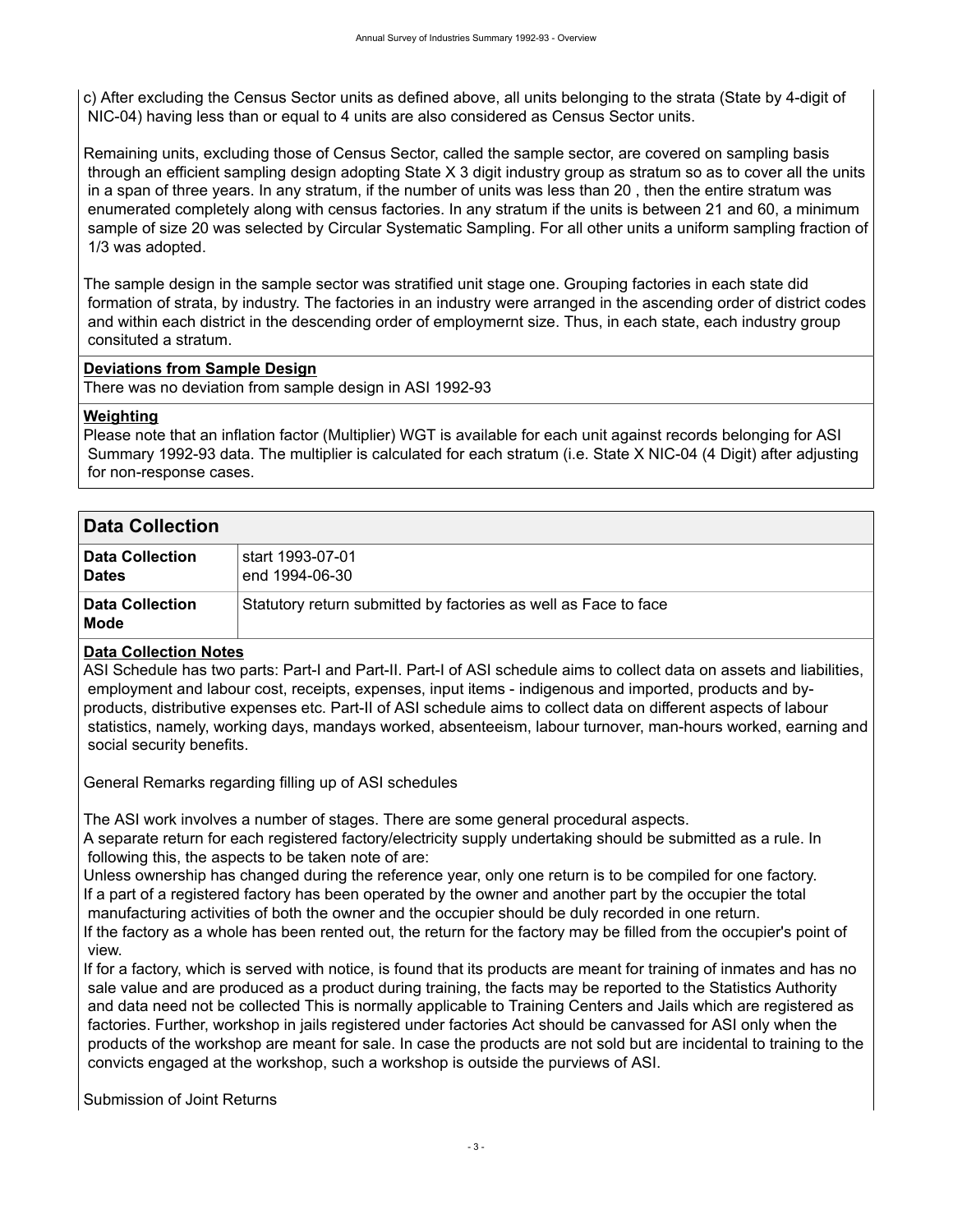c) After excluding the Census Sector units as defined above, all units belonging to the strata (State by 4-digit of NIC-04) having less than or equal to 4 units are also considered as Census Sector units.

Remaining units, excluding those of Census Sector, called the sample sector, are covered on sampling basis through an efficient sampling design adopting State X 3 digit industry group as stratum so as to cover all the units in a span of three years. In any stratum, if the number of units was less than 20 , then the entire stratum was enumerated completely along with census factories. In any stratum if the units is between 21 and 60, a minimum sample of size 20 was selected by Circular Systematic Sampling. For all other units a uniform sampling fraction of 1/3 was adopted.

The sample design in the sample sector was stratified unit stage one. Grouping factories in each state did formation of strata, by industry. The factories in an industry were arranged in the ascending order of district codes and within each district in the descending order of employmernt size. Thus, in each state, each industry group consituted a stratum.

### **Deviations from Sample Design**

There was no deviation from sample design in ASI 1992-93

### **Weighting**

Please note that an inflation factor (Multiplier) WGT is available for each unit against records belonging for ASI Summary 1992-93 data. The multiplier is calculated for each stratum (i.e. State X NIC-04 (4 Digit) after adjusting for non-response cases.

<span id="page-6-0"></span>

| <b>Data Collection</b>                 |                                                                 |  |  |  |
|----------------------------------------|-----------------------------------------------------------------|--|--|--|
| <b>Data Collection</b><br><b>Dates</b> | start 1993-07-01. \$<br>end 1994-06-30                          |  |  |  |
| <b>Data Collection</b><br>Mode         | Statutory return submitted by factories as well as Face to face |  |  |  |

### **Data Collection Notes**

ASI Schedule has two parts: Part-I and Part-II. Part-I of ASI schedule aims to collect data on assets and liabilities, employment and labour cost, receipts, expenses, input items - indigenous and imported, products and byproducts, distributive expenses etc. Part-II of ASI schedule aims to collect data on different aspects of labour statistics, namely, working days, mandays worked, absenteeism, labour turnover, man-hours worked, earning and social security benefits.

General Remarks regarding filling up of ASI schedules

The ASI work involves a number of stages. There are some general procedural aspects.

A separate return for each registered factory/electricity supply undertaking should be submitted as a rule. In following this, the aspects to be taken note of are:

Unless ownership has changed during the reference year, only one return is to be compiled for one factory. If a part of a registered factory has been operated by the owner and another part by the occupier the total manufacturing activities of both the owner and the occupier should be duly recorded in one return. If the factory as a whole has been rented out, the return for the factory may be filled from the occupier's point of

 view. If for a factory, which is served with notice, is found that its products are meant for training of inmates and has no sale value and are produced as a product during training, the facts may be reported to the Statistics Authority and data need not be collected This is normally applicable to Training Centers and Jails which are registered as

 factories. Further, workshop in jails registered under factories Act should be canvassed for ASI only when the products of the workshop are meant for sale. In case the products are not sold but are incidental to training to the convicts engaged at the workshop, such a workshop is outside the purviews of ASI.

Submission of Joint Returns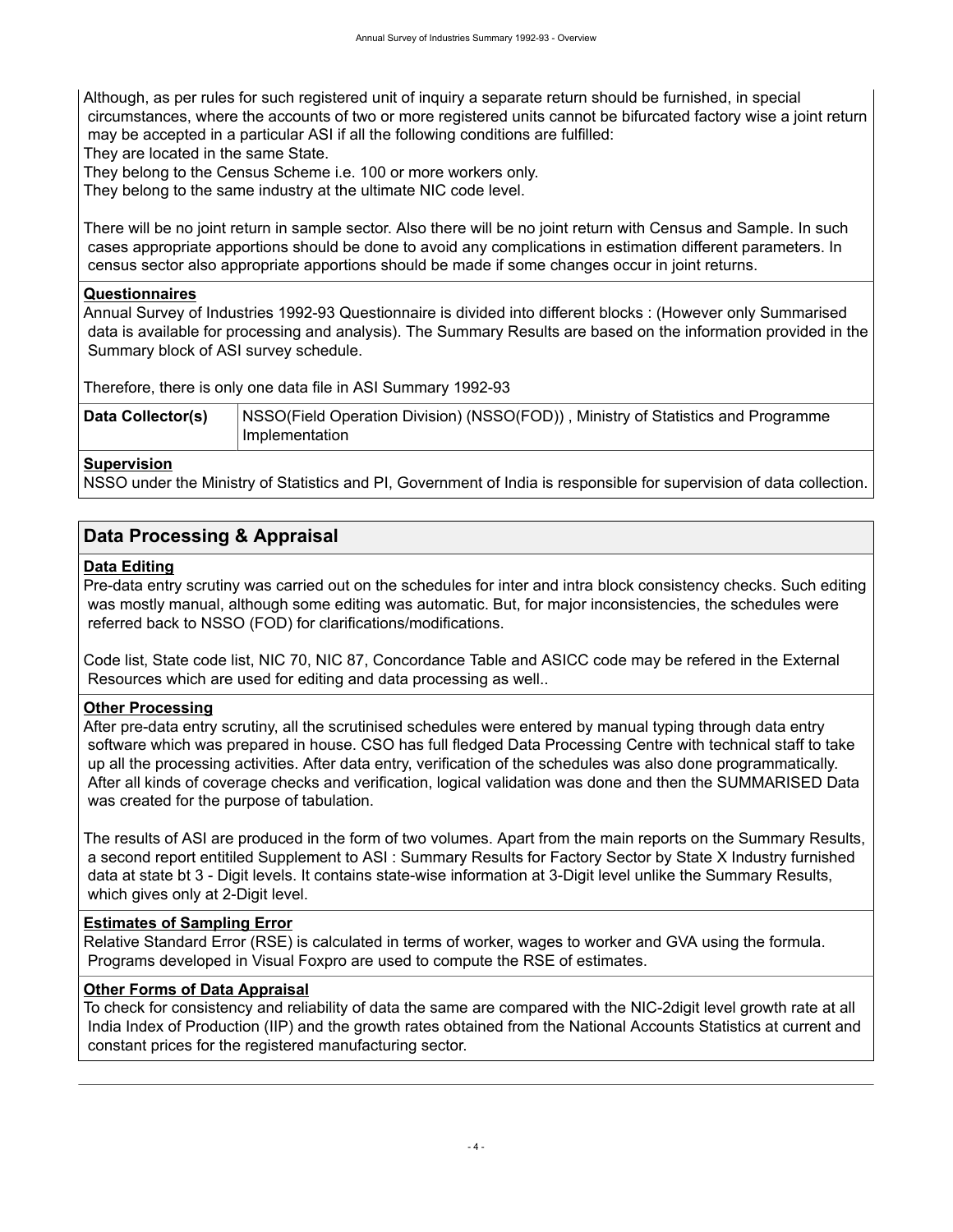Although, as per rules for such registered unit of inquiry a separate return should be furnished, in special circumstances, where the accounts of two or more registered units cannot be bifurcated factory wise a joint return may be accepted in a particular ASI if all the following conditions are fulfilled:

They are located in the same State.

They belong to the Census Scheme i.e. 100 or more workers only.

They belong to the same industry at the ultimate NIC code level.

There will be no joint return in sample sector. Also there will be no joint return with Census and Sample. In such cases appropriate apportions should be done to avoid any complications in estimation different parameters. In census sector also appropriate apportions should be made if some changes occur in joint returns.

### **Questionnaires**

Annual Survey of Industries 1992-93 Questionnaire is divided into different blocks : (However only Summarised data is available for processing and analysis). The Summary Results are based on the information provided in the Summary block of ASI survey schedule.

Therefore, there is only one data file in ASI Summary 1992-93

| Data Collector(s) | NSSO(Field Operation Division) (NSSO(FOD)), Ministry of Statistics and Programme |  |  |  |  |  |
|-------------------|----------------------------------------------------------------------------------|--|--|--|--|--|
|                   | Implementation                                                                   |  |  |  |  |  |

### **Supervision**

NSSO under the Ministry of Statistics and PI, Government of India is responsible for supervision of data collection.

### <span id="page-7-0"></span>**Data Processing & Appraisal**

### **Data Editing**

Pre-data entry scrutiny was carried out on the schedules for inter and intra block consistency checks. Such editing was mostly manual, although some editing was automatic. But, for major inconsistencies, the schedules were referred back to NSSO (FOD) for clarifications/modifications.

Code list, State code list, NIC 70, NIC 87, Concordance Table and ASICC code may be refered in the External Resources which are used for editing and data processing as well..

#### **Other Processing**

After pre-data entry scrutiny, all the scrutinised schedules were entered by manual typing through data entry software which was prepared in house. CSO has full fledged Data Processing Centre with technical staff to take up all the processing activities. After data entry, verification of the schedules was also done programmatically. After all kinds of coverage checks and verification, logical validation was done and then the SUMMARISED Data was created for the purpose of tabulation.

The results of ASI are produced in the form of two volumes. Apart from the main reports on the Summary Results, a second report entitiled Supplement to ASI : Summary Results for Factory Sector by State X Industry furnished data at state bt 3 - Digit levels. It contains state-wise information at 3-Digit level unlike the Summary Results, which gives only at 2-Digit level.

### **Estimates of Sampling Error**

Relative Standard Error (RSE) is calculated in terms of worker, wages to worker and GVA using the formula. Programs developed in Visual Foxpro are used to compute the RSE of estimates.

#### **Other Forms of Data Appraisal**

To check for consistency and reliability of data the same are compared with the NIC-2digit level growth rate at all India Index of Production (IIP) and the growth rates obtained from the National Accounts Statistics at current and constant prices for the registered manufacturing sector.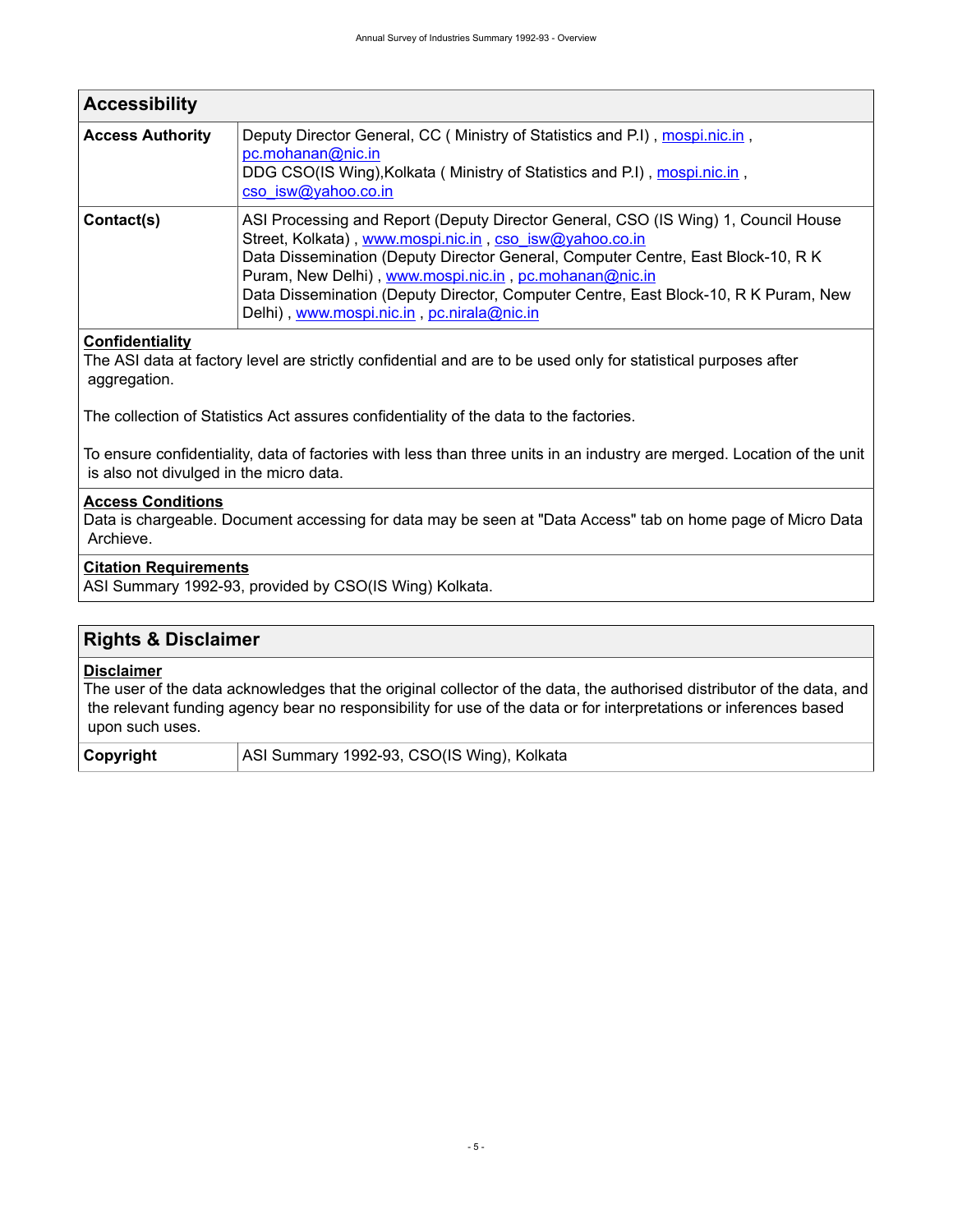<span id="page-8-0"></span>

| <b>Accessibility</b>    |                                                                                                                                                                                                                                                                                                                                                                                                                                  |  |  |  |  |
|-------------------------|----------------------------------------------------------------------------------------------------------------------------------------------------------------------------------------------------------------------------------------------------------------------------------------------------------------------------------------------------------------------------------------------------------------------------------|--|--|--|--|
| <b>Access Authority</b> | Deputy Director General, CC (Ministry of Statistics and P.I), mospi.nic.in,<br>pc.mohanan@nic.in<br>DDG CSO(IS Wing), Kolkata (Ministry of Statistics and P.I), mospi.nic.in,<br>cso isw@yahoo.co.in                                                                                                                                                                                                                             |  |  |  |  |
| Contact(s)              | ASI Processing and Report (Deputy Director General, CSO (IS Wing) 1, Council House<br>Street, Kolkata), www.mospi.nic.in, cso isw@yahoo.co.in<br>Data Dissemination (Deputy Director General, Computer Centre, East Block-10, R K<br>Puram, New Delhi), www.mospi.nic.in, pc.mohanan@nic.in<br>Data Dissemination (Deputy Director, Computer Centre, East Block-10, R K Puram, New<br>Delhi), www.mospi.nic.in, pc.nirala@nic.in |  |  |  |  |

### **Confidentiality**

The ASI data at factory level are strictly confidential and are to be used only for statistical purposes after aggregation.

The collection of Statistics Act assures confidentiality of the data to the factories.

To ensure confidentiality, data of factories with less than three units in an industry are merged. Location of the unit is also not divulged in the micro data.

#### **Access Conditions**

Data is chargeable. Document accessing for data may be seen at "Data Access" tab on home page of Micro Data Archieve.

### **Citation Requirements**

ASI Summary 1992-93, provided by CSO(IS Wing) Kolkata.

### <span id="page-8-1"></span>**Rights & Disclaimer**

#### **Disclaimer**

The user of the data acknowledges that the original collector of the data, the authorised distributor of the data, and the relevant funding agency bear no responsibility for use of the data or for interpretations or inferences based upon such uses.

**Copyright** | ASI Summary 1992-93, CSO(IS Wing), Kolkata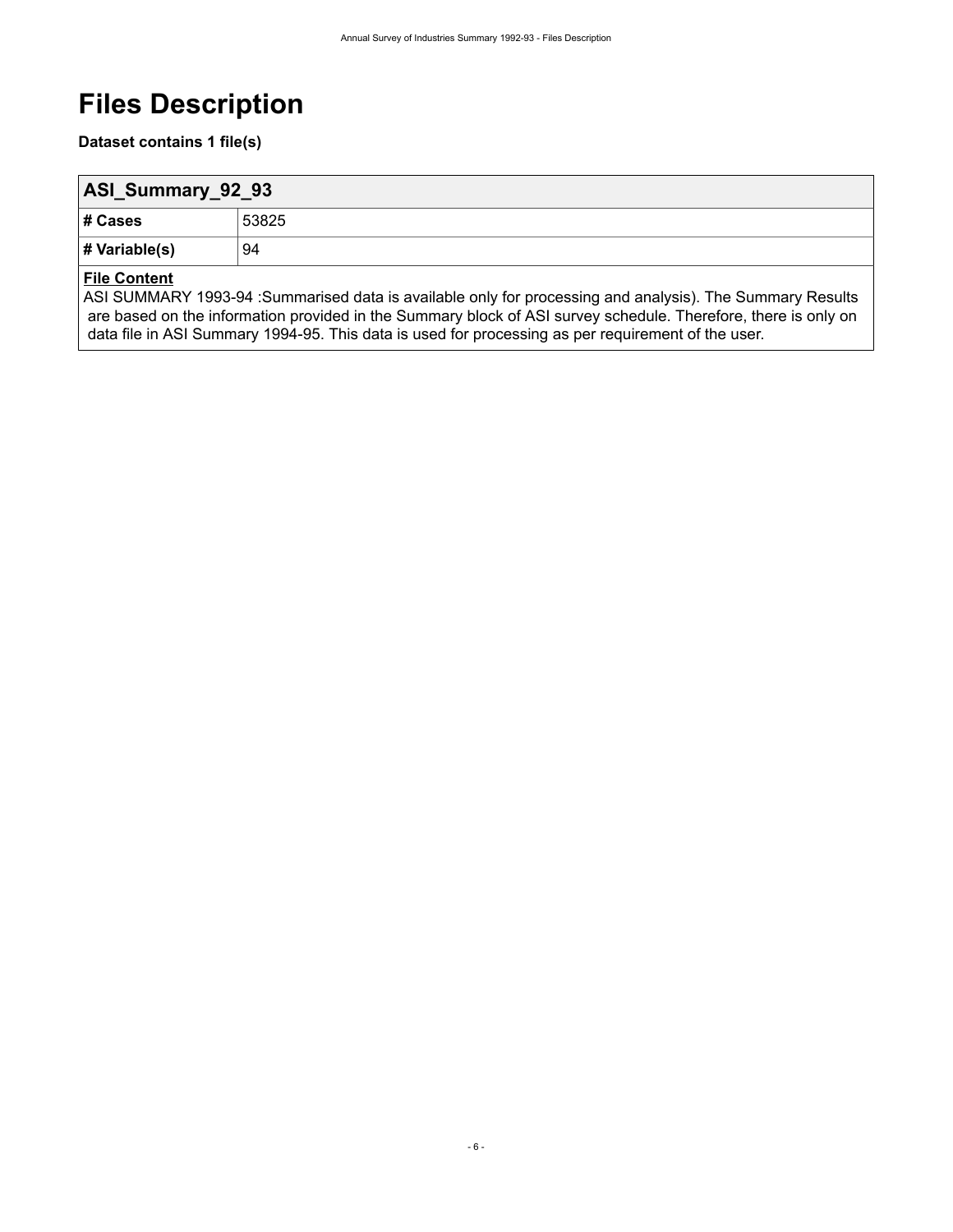# <span id="page-9-0"></span>**Files Description**

**Dataset contains 1 file(s)**

<span id="page-9-1"></span>

| ASI_Summary_92_93 |       |  |  |
|-------------------|-------|--|--|
| # Cases           | 53825 |  |  |
| # Variable(s)     | 94    |  |  |

### **File Content**

ASI SUMMARY 1993-94 :Summarised data is available only for processing and analysis). The Summary Results are based on the information provided in the Summary block of ASI survey schedule. Therefore, there is only on data file in ASI Summary 1994-95. This data is used for processing as per requirement of the user.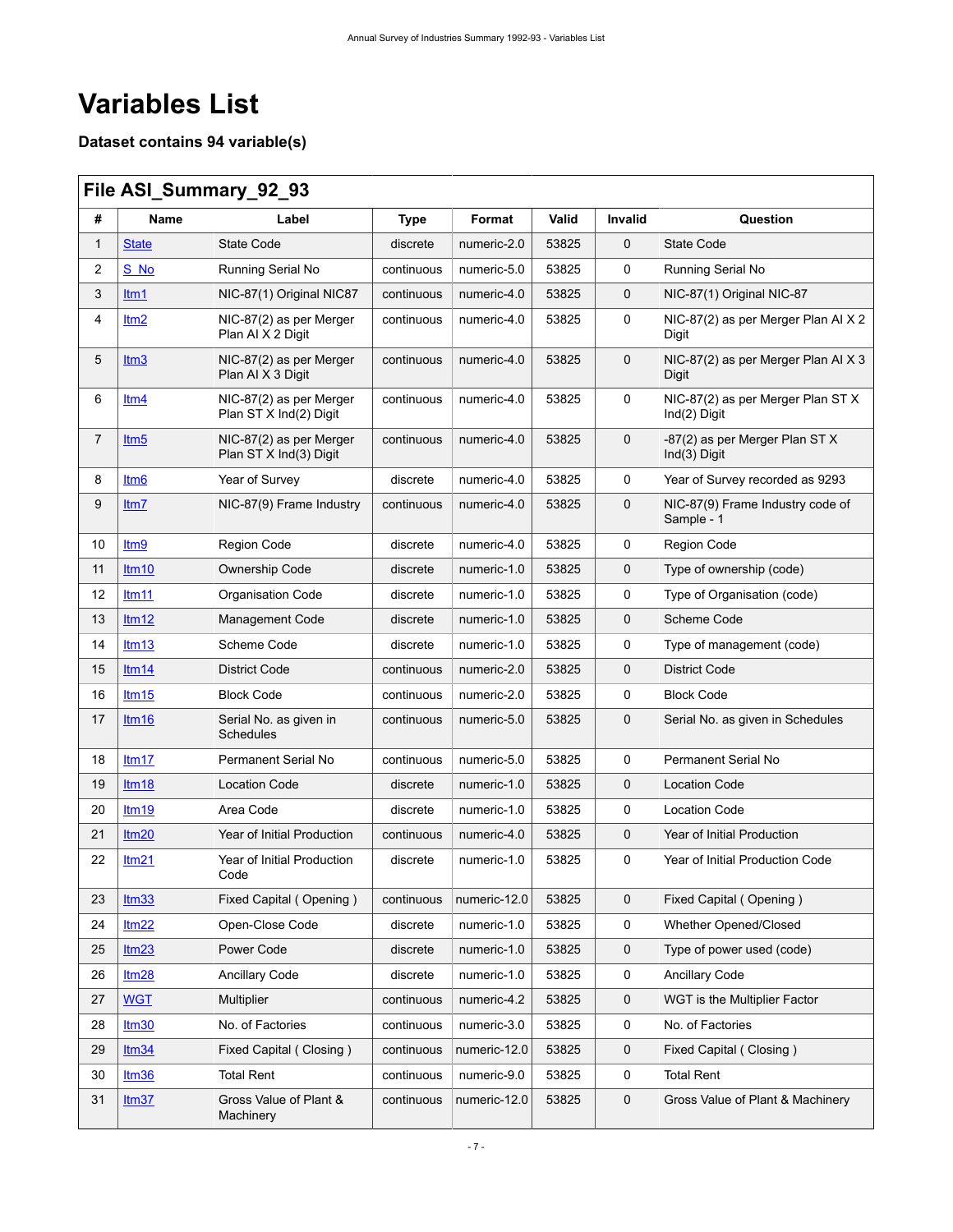# <span id="page-10-0"></span>**Variables List**

**Dataset contains 94 variable(s)**

<span id="page-10-1"></span>

|              | File ASI_Summary_92_93 |                                                   |             |              |       |             |                                                   |
|--------------|------------------------|---------------------------------------------------|-------------|--------------|-------|-------------|---------------------------------------------------|
| #            | <b>Name</b>            | Label                                             | <b>Type</b> | Format       | Valid | Invalid     | Question                                          |
| $\mathbf{1}$ | <b>State</b>           | State Code                                        | discrete    | numeric-2.0  | 53825 | 0           | <b>State Code</b>                                 |
| 2            | S No                   | Running Serial No                                 | continuous  | numeric-5.0  | 53825 | 0           | Running Serial No                                 |
| 3            | ltm1                   | NIC-87(1) Original NIC87                          | continuous  | numeric-4.0  | 53825 | $\mathbf 0$ | NIC-87(1) Original NIC-87                         |
| 4            | ltm <sub>2</sub>       | NIC-87(2) as per Merger<br>Plan AI X 2 Digit      | continuous  | numeric-4.0  | 53825 | 0           | NIC-87(2) as per Merger Plan AI X 2<br>Digit      |
| 5            | Itm3                   | NIC-87(2) as per Merger<br>Plan AI X 3 Digit      | continuous  | numeric-4.0  | 53825 | $\mathbf 0$ | NIC-87(2) as per Merger Plan AI X 3<br>Digit      |
| 6            | Itm4                   | NIC-87(2) as per Merger<br>Plan ST X Ind(2) Digit | continuous  | numeric-4.0  | 53825 | 0           | NIC-87(2) as per Merger Plan ST X<br>Ind(2) Digit |
| 7            | Itm5                   | NIC-87(2) as per Merger<br>Plan ST X Ind(3) Digit | continuous  | numeric-4.0  | 53825 | $\mathbf 0$ | -87(2) as per Merger Plan ST X<br>Ind(3) Digit    |
| 8            | Itm <sub>6</sub>       | Year of Survey                                    | discrete    | numeric-4.0  | 53825 | $\mathbf 0$ | Year of Survey recorded as 9293                   |
| 9            | Itm7                   | NIC-87(9) Frame Industry                          | continuous  | numeric-4.0  | 53825 | 0           | NIC-87(9) Frame Industry code of<br>Sample - 1    |
| 10           | ltm <sub>9</sub>       | Region Code                                       | discrete    | numeric-4.0  | 53825 | 0           | Region Code                                       |
| 11           | Itm10                  | <b>Ownership Code</b>                             | discrete    | numeric-1.0  | 53825 | 0           | Type of ownership (code)                          |
| 12           | Itm11                  | <b>Organisation Code</b>                          | discrete    | numeric-1.0  | 53825 | 0           | Type of Organisation (code)                       |
| 13           | Itm12                  | <b>Management Code</b>                            | discrete    | numeric-1.0  | 53825 | 0           | Scheme Code                                       |
| 14           | Itm13                  | Scheme Code                                       | discrete    | numeric-1.0  | 53825 | 0           | Type of management (code)                         |
| 15           | Itm14                  | <b>District Code</b>                              | continuous  | numeric-2.0  | 53825 | 0           | <b>District Code</b>                              |
| 16           | Itm15                  | <b>Block Code</b>                                 | continuous  | numeric-2.0  | 53825 | 0           | <b>Block Code</b>                                 |
| 17           | Itm16                  | Serial No. as given in<br><b>Schedules</b>        | continuous  | numeric-5.0  | 53825 | $\mathbf 0$ | Serial No. as given in Schedules                  |
| 18           | Itm17                  | Permanent Serial No                               | continuous  | numeric-5.0  | 53825 | 0           | Permanent Serial No                               |
| 19           | Itm18                  | <b>Location Code</b>                              | discrete    | numeric-1.0  | 53825 | 0           | <b>Location Code</b>                              |
| 20           | Itm19                  | Area Code                                         | discrete    | numeric-1.0  | 53825 | 0           | <b>Location Code</b>                              |
| 21           | Itm20                  | Year of Initial Production                        | continuous  | numeric-4.0  | 53825 | 0           | Year of Initial Production                        |
| 22           | Itm21                  | Year of Initial Production<br>Code                | discrete    | numeric-1.0  | 53825 | 0           | Year of Initial Production Code                   |
| 23           | Itm33                  | Fixed Capital (Opening)                           | continuous  | numeric-12.0 | 53825 | 0           | Fixed Capital (Opening)                           |
| 24           | Itm22                  | Open-Close Code                                   | discrete    | numeric-1.0  | 53825 | 0           | Whether Opened/Closed                             |
| 25           | Itm23                  | Power Code                                        | discrete    | numeric-1.0  | 53825 | 0           | Type of power used (code)                         |
| 26           | Itm28                  | <b>Ancillary Code</b>                             | discrete    | numeric-1.0  | 53825 | 0           | <b>Ancillary Code</b>                             |
| 27           | <b>WGT</b>             | Multiplier                                        | continuous  | numeric-4.2  | 53825 | 0           | WGT is the Multiplier Factor                      |
| 28           | Itm30                  | No. of Factories                                  | continuous  | numeric-3.0  | 53825 | 0           | No. of Factories                                  |
| 29           | Itm34                  | Fixed Capital (Closing)                           | continuous  | numeric-12.0 | 53825 | 0           | Fixed Capital (Closing)                           |
| 30           | Itm36                  | <b>Total Rent</b>                                 | continuous  | numeric-9.0  | 53825 | 0           | <b>Total Rent</b>                                 |
| 31           | Itm37                  | Gross Value of Plant &<br>Machinery               | continuous  | numeric-12.0 | 53825 | 0           | Gross Value of Plant & Machinery                  |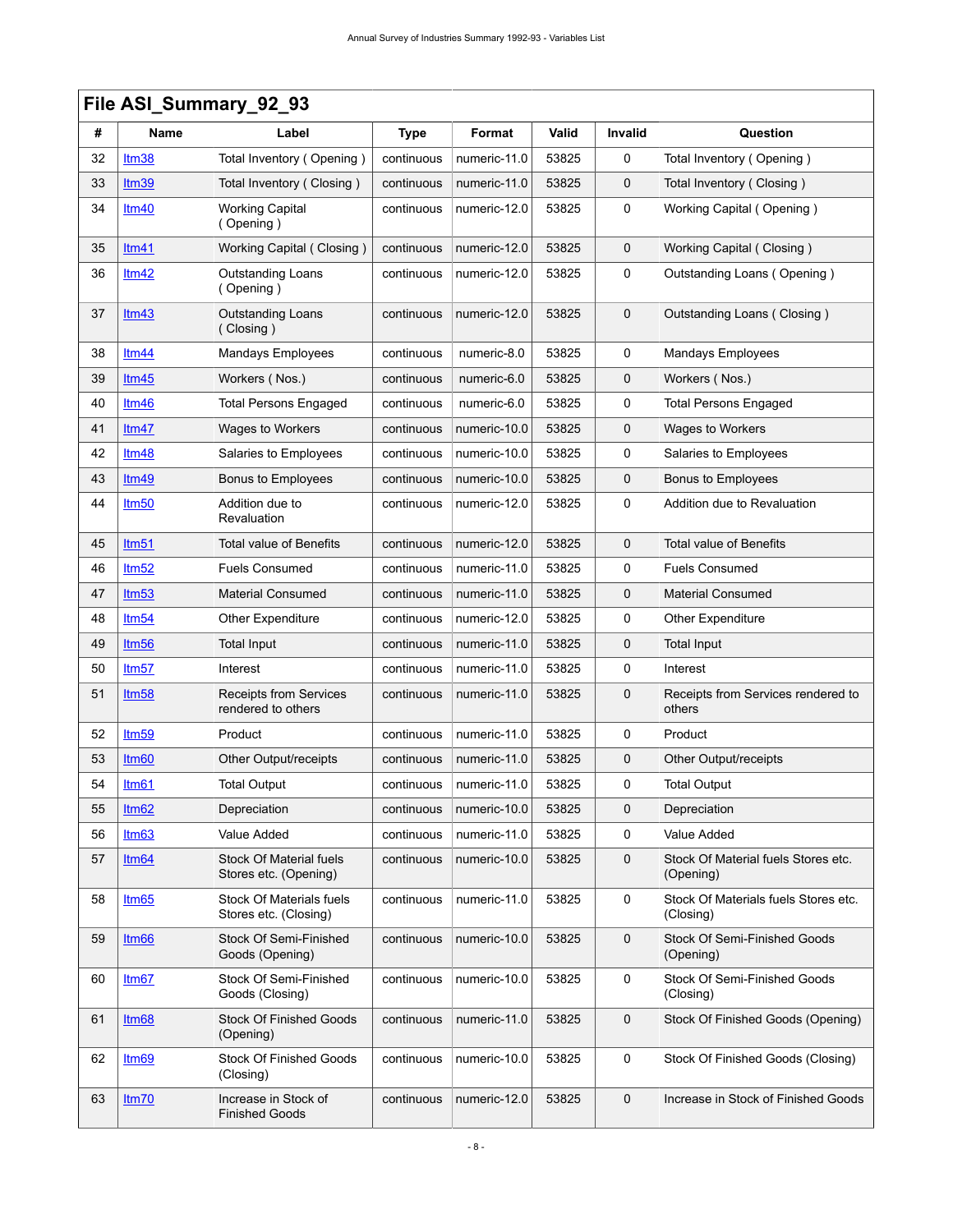$\mathsf{r}$ 

|    | File ASI_Summary_92_93 |                                                         |             |              |       |             |                                                   |  |
|----|------------------------|---------------------------------------------------------|-------------|--------------|-------|-------------|---------------------------------------------------|--|
| #  | <b>Name</b>            | Label                                                   | <b>Type</b> | Format       | Valid | Invalid     | Question                                          |  |
| 32 | Itm38                  | Total Inventory (Opening)                               | continuous  | numeric-11.0 | 53825 | 0           | Total Inventory (Opening)                         |  |
| 33 | Itm39                  | Total Inventory (Closing)                               | continuous  | numeric-11.0 | 53825 | 0           | Total Inventory (Closing)                         |  |
| 34 | Itm40                  | <b>Working Capital</b><br>(Opening)                     | continuous  | numeric-12.0 | 53825 | 0           | Working Capital (Opening)                         |  |
| 35 | Itm41                  | Working Capital (Closing)                               | continuous  | numeric-12.0 | 53825 | 0           | Working Capital (Closing)                         |  |
| 36 | Itm42                  | <b>Outstanding Loans</b><br>(Opening)                   | continuous  | numeric-12.0 | 53825 | 0           | Outstanding Loans (Opening)                       |  |
| 37 | Itm43                  | <b>Outstanding Loans</b><br>(Closing)                   | continuous  | numeric-12.0 | 53825 | 0           | Outstanding Loans (Closing)                       |  |
| 38 | Itm44                  | Mandays Employees                                       | continuous  | numeric-8.0  | 53825 | 0           | <b>Mandays Employees</b>                          |  |
| 39 | Itm45                  | Workers (Nos.)                                          | continuous  | numeric-6.0  | 53825 | 0           | Workers (Nos.)                                    |  |
| 40 | Itm46                  | <b>Total Persons Engaged</b>                            | continuous  | numeric-6.0  | 53825 | 0           | Total Persons Engaged                             |  |
| 41 | Itm47                  | Wages to Workers                                        | continuous  | numeric-10.0 | 53825 | 0           | Wages to Workers                                  |  |
| 42 | Itm48                  | Salaries to Employees                                   | continuous  | numeric-10.0 | 53825 | 0           | Salaries to Employees                             |  |
| 43 | Itm49                  | Bonus to Employees                                      | continuous  | numeric-10.0 | 53825 | 0           | Bonus to Employees                                |  |
| 44 | Itm <sub>50</sub>      | Addition due to<br>Revaluation                          | continuous  | numeric-12.0 | 53825 | 0           | Addition due to Revaluation                       |  |
| 45 | Itm <sub>51</sub>      | <b>Total value of Benefits</b>                          | continuous  | numeric-12.0 | 53825 | $\mathbf 0$ | Total value of Benefits                           |  |
| 46 | Itm52                  | <b>Fuels Consumed</b>                                   | continuous  | numeric-11.0 | 53825 | 0           | <b>Fuels Consumed</b>                             |  |
| 47 | Itm <sub>53</sub>      | <b>Material Consumed</b>                                | continuous  | numeric-11.0 | 53825 | 0           | Material Consumed                                 |  |
| 48 | Itm54                  | Other Expenditure                                       | continuous  | numeric-12.0 | 53825 | 0           | Other Expenditure                                 |  |
| 49 | Itm <sub>56</sub>      | Total Input                                             | continuous  | numeric-11.0 | 53825 | 0           | <b>Total Input</b>                                |  |
| 50 | 1tm57                  | Interest                                                | continuous  | numeric-11.0 | 53825 | 0           | Interest                                          |  |
| 51 | Itm <sub>58</sub>      | <b>Receipts from Services</b><br>rendered to others     | continuous  | numeric-11.0 | 53825 | $\mathbf 0$ | Receipts from Services rendered to<br>others      |  |
| 52 | Itm59                  | Product                                                 | continuous  | numeric-11.0 | 53825 | 0           | Product                                           |  |
| 53 | Itm <sub>60</sub>      | Other Output/receipts                                   | continuous  | numeric-11.0 | 53825 | 0           | Other Output/receipts                             |  |
| 54 | Itm61                  | Total Output                                            | continuous  | numeric-11.0 | 53825 | 0           | <b>Total Output</b>                               |  |
| 55 | Itm62                  | Depreciation                                            | continuous  | numeric-10.0 | 53825 | 0           | Depreciation                                      |  |
| 56 | Itm63                  | Value Added                                             | continuous  | numeric-11.0 | 53825 | 0           | Value Added                                       |  |
| 57 | Itm64                  | <b>Stock Of Material fuels</b><br>Stores etc. (Opening) | continuous  | numeric-10.0 | 53825 | 0           | Stock Of Material fuels Stores etc.<br>(Opening)  |  |
| 58 | Itm65                  | Stock Of Materials fuels<br>Stores etc. (Closing)       | continuous  | numeric-11.0 | 53825 | 0           | Stock Of Materials fuels Stores etc.<br>(Closing) |  |
| 59 | Itm <sub>66</sub>      | Stock Of Semi-Finished<br>Goods (Opening)               | continuous  | numeric-10.0 | 53825 | $\mathbf 0$ | Stock Of Semi-Finished Goods<br>(Opening)         |  |
| 60 | Itm67                  | Stock Of Semi-Finished<br>Goods (Closing)               | continuous  | numeric-10.0 | 53825 | 0           | Stock Of Semi-Finished Goods<br>(Closing)         |  |
| 61 | Itm68                  | <b>Stock Of Finished Goods</b><br>(Opening)             | continuous  | numeric-11.0 | 53825 | 0           | Stock Of Finished Goods (Opening)                 |  |
| 62 | ltm <sub>69</sub>      | <b>Stock Of Finished Goods</b><br>(Closing)             | continuous  | numeric-10.0 | 53825 | 0           | Stock Of Finished Goods (Closing)                 |  |
| 63 | Itm70                  | Increase in Stock of<br><b>Finished Goods</b>           | continuous  | numeric-12.0 | 53825 | 0           | Increase in Stock of Finished Goods               |  |

#### - 8 -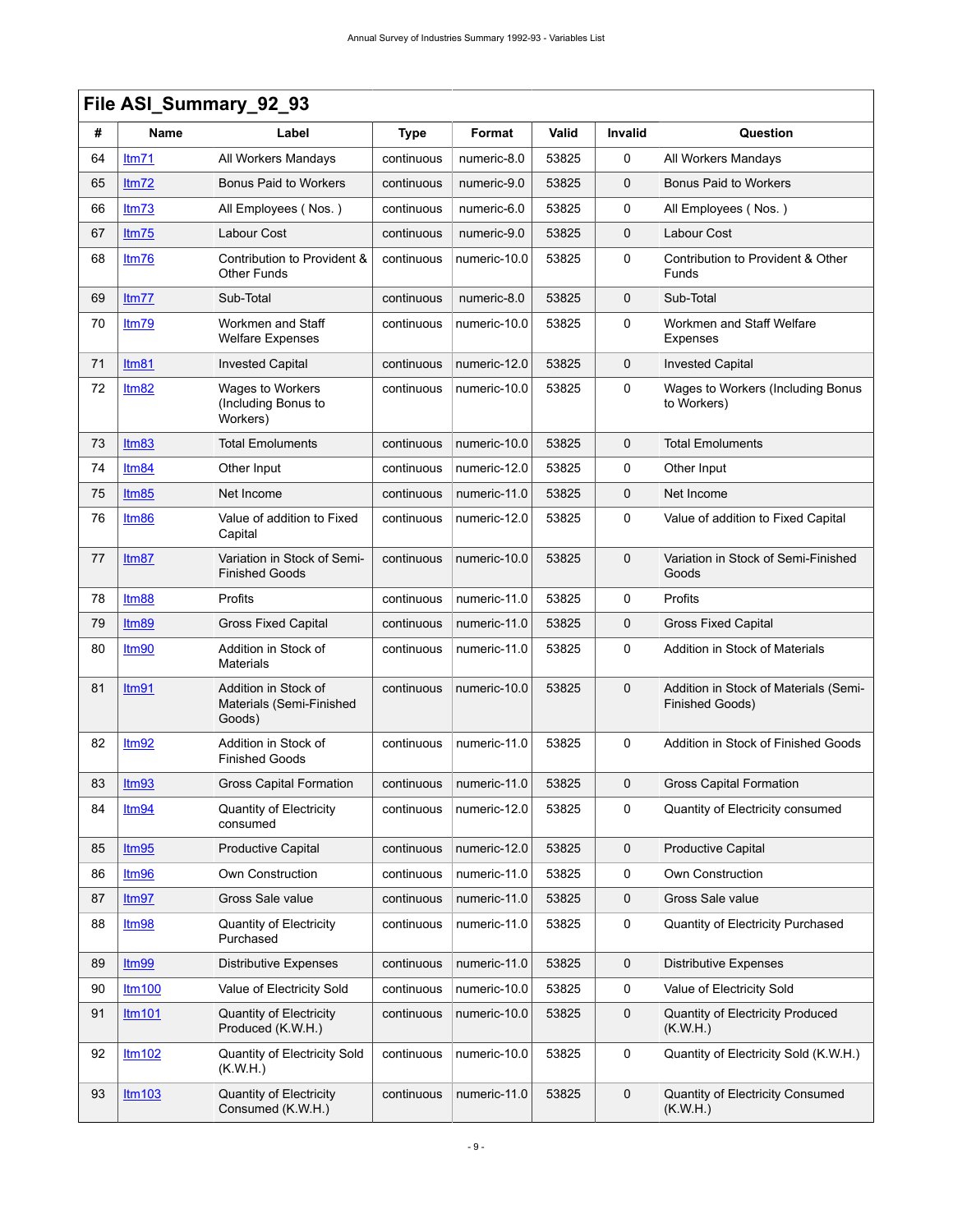|    | File ASI_Summary_92_93 |                                                            |             |              |       |             |                                                          |
|----|------------------------|------------------------------------------------------------|-------------|--------------|-------|-------------|----------------------------------------------------------|
| #  | Name                   | Label                                                      | <b>Type</b> | Format       | Valid | Invalid     | Question                                                 |
| 64 | Itm71                  | All Workers Mandays                                        | continuous  | numeric-8.0  | 53825 | 0           | All Workers Mandays                                      |
| 65 | Itm72                  | <b>Bonus Paid to Workers</b>                               | continuous  | numeric-9.0  | 53825 | 0           | <b>Bonus Paid to Workers</b>                             |
| 66 | Itm73                  | All Employees (Nos.)                                       | continuous  | numeric-6.0  | 53825 | 0           | All Employees (Nos.)                                     |
| 67 | Itm75                  | Labour Cost                                                | continuous  | numeric-9.0  | 53825 | 0           | Labour Cost                                              |
| 68 | Itm76                  | Contribution to Provident &<br><b>Other Funds</b>          | continuous  | numeric-10.0 | 53825 | 0           | Contribution to Provident & Other<br>Funds               |
| 69 | Itm77                  | Sub-Total                                                  | continuous  | numeric-8.0  | 53825 | 0           | Sub-Total                                                |
| 70 | ltm79                  | Workmen and Staff<br><b>Welfare Expenses</b>               | continuous  | numeric-10.0 | 53825 | 0           | Workmen and Staff Welfare<br>Expenses                    |
| 71 | Itm81                  | <b>Invested Capital</b>                                    | continuous  | numeric-12.0 | 53825 | 0           | <b>Invested Capital</b>                                  |
| 72 | Itm82                  | Wages to Workers<br>(Including Bonus to<br>Workers)        | continuous  | numeric-10.0 | 53825 | 0           | Wages to Workers (Including Bonus<br>to Workers)         |
| 73 | Itm83                  | <b>Total Emoluments</b>                                    | continuous  | numeric-10.0 | 53825 | 0           | <b>Total Emoluments</b>                                  |
| 74 | Itm84                  | Other Input                                                | continuous  | numeric-12.0 | 53825 | 0           | Other Input                                              |
| 75 | Itm85                  | Net Income                                                 | continuous  | numeric-11.0 | 53825 | 0           | Net Income                                               |
| 76 | Itm86                  | Value of addition to Fixed<br>Capital                      | continuous  | numeric-12.0 | 53825 | 0           | Value of addition to Fixed Capital                       |
| 77 | Itm87                  | Variation in Stock of Semi-<br><b>Finished Goods</b>       | continuous  | numeric-10.0 | 53825 | $\mathbf 0$ | Variation in Stock of Semi-Finished<br>Goods             |
| 78 | Itm88                  | Profits                                                    | continuous  | numeric-11.0 | 53825 | 0           | Profits                                                  |
| 79 | Itm89                  | <b>Gross Fixed Capital</b>                                 | continuous  | numeric-11.0 | 53825 | 0           | <b>Gross Fixed Capital</b>                               |
| 80 | <u>Itm90</u>           | Addition in Stock of<br><b>Materials</b>                   | continuous  | numeric-11.0 | 53825 | 0           | Addition in Stock of Materials                           |
| 81 | Itm91                  | Addition in Stock of<br>Materials (Semi-Finished<br>Goods) | continuous  | numeric-10.0 | 53825 | 0           | Addition in Stock of Materials (Semi-<br>Finished Goods) |
| 82 | Itm92                  | Addition in Stock of<br><b>Finished Goods</b>              | continuous  | numeric-11.0 | 53825 | 0           | Addition in Stock of Finished Goods                      |
| 83 | Itm93                  | Gross Capital Formation                                    | continuous  | numeric-11.0 | 53825 | 0           | <b>Gross Capital Formation</b>                           |
| 84 | Itm <sub>94</sub>      | <b>Quantity of Electricity</b><br>consumed                 | continuous  | numeric-12.0 | 53825 | 0           | Quantity of Electricity consumed                         |
| 85 | Itm95                  | <b>Productive Capital</b>                                  | continuous  | numeric-12.0 | 53825 | 0           | <b>Productive Capital</b>                                |
| 86 | Itm96                  | Own Construction                                           | continuous  | numeric-11.0 | 53825 | 0           | Own Construction                                         |
| 87 | Itm97                  | Gross Sale value                                           | continuous  | numeric-11.0 | 53825 | 0           | Gross Sale value                                         |
| 88 | Itm98                  | <b>Quantity of Electricity</b><br>Purchased                | continuous  | numeric-11.0 | 53825 | 0           | Quantity of Electricity Purchased                        |
| 89 | Itm <sub>99</sub>      | <b>Distributive Expenses</b>                               | continuous  | numeric-11.0 | 53825 | 0           | <b>Distributive Expenses</b>                             |
| 90 | <b>ltm100</b>          | Value of Electricity Sold                                  | continuous  | numeric-10.0 | 53825 | 0           | Value of Electricity Sold                                |
| 91 | <b>ltm101</b>          | <b>Quantity of Electricity</b><br>Produced (K.W.H.)        | continuous  | numeric-10.0 | 53825 | 0           | <b>Quantity of Electricity Produced</b><br>(K.W.H.)      |
| 92 | Itm102                 | Quantity of Electricity Sold<br>(K.W.H.)                   | continuous  | numeric-10.0 | 53825 | 0           | Quantity of Electricity Sold (K.W.H.)                    |
| 93 | Itm103                 | <b>Quantity of Electricity</b><br>Consumed (K.W.H.)        | continuous  | numeric-11.0 | 53825 | 0           | Quantity of Electricity Consumed<br>(K.W.H.)             |

#### - 9 -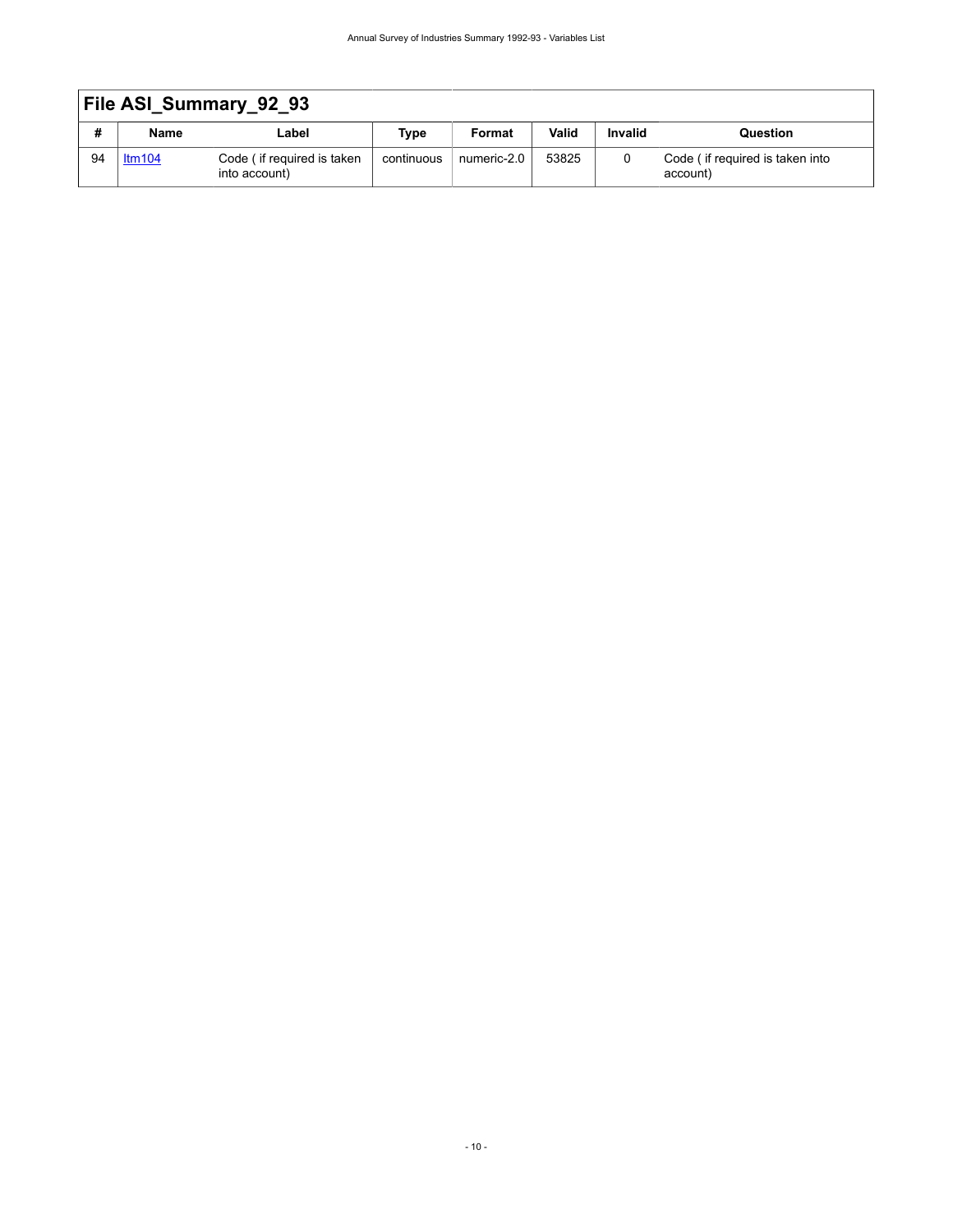|    | File ASI Summary 92 93 |                                             |            |             |       |                |                                             |
|----|------------------------|---------------------------------------------|------------|-------------|-------|----------------|---------------------------------------------|
| #  | Name                   | Label                                       | Type       | Format      | Valid | <b>Invalid</b> | Question                                    |
| 94 | Itm104                 | Code (if required is taken<br>into account) | continuous | numeric-2.0 | 53825 |                | Code (if required is taken into<br>account) |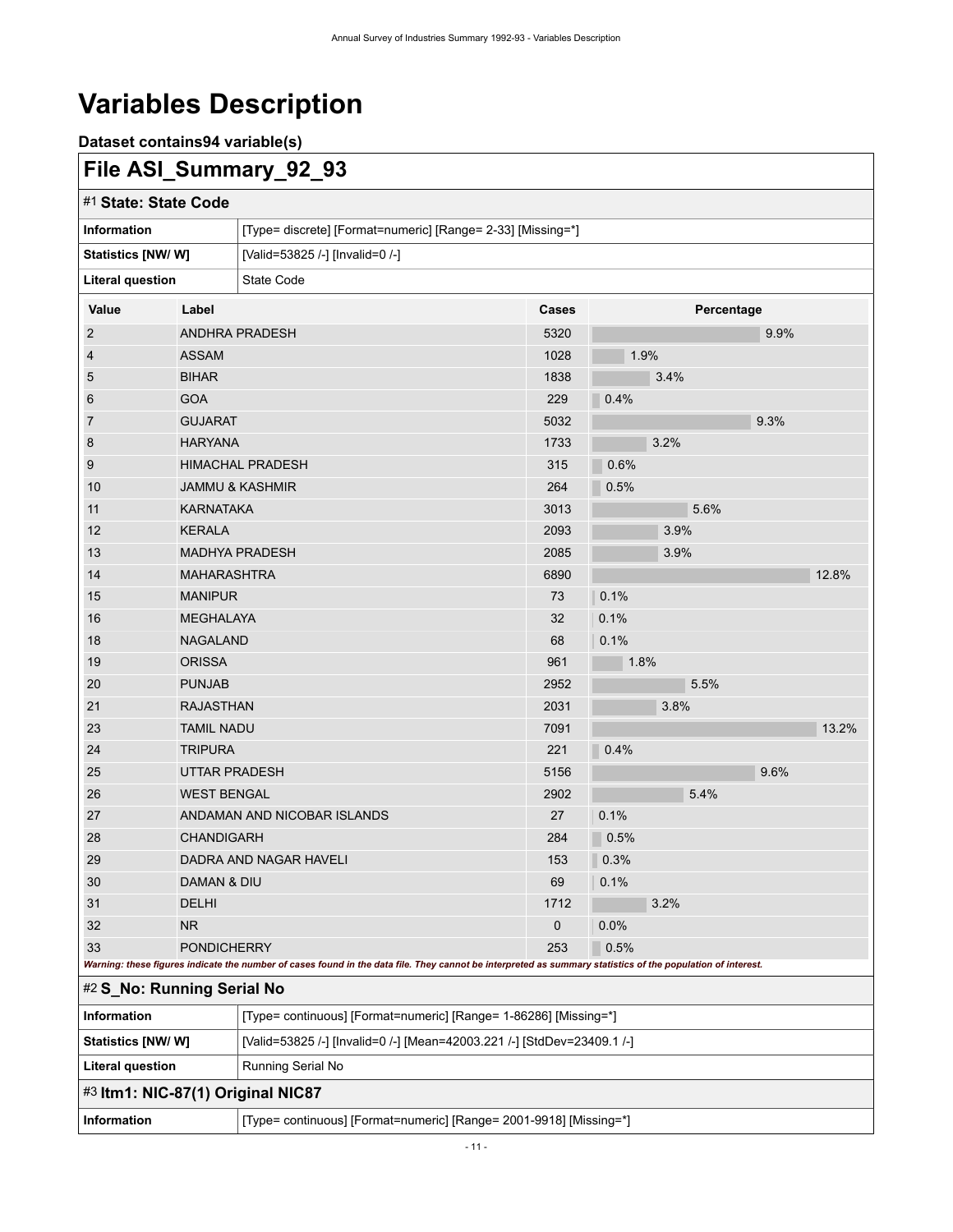# <span id="page-14-0"></span>**Variables Description**

**Dataset contains94 variable(s)**

## <span id="page-14-1"></span>**File ASI\_Summary\_92\_93**

<span id="page-14-4"></span><span id="page-14-3"></span><span id="page-14-2"></span>

| #1 State: State Code              |                                                                    |                                                                                                                                                             |       |      |            |  |  |
|-----------------------------------|--------------------------------------------------------------------|-------------------------------------------------------------------------------------------------------------------------------------------------------------|-------|------|------------|--|--|
| <b>Information</b>                |                                                                    | [Type= discrete] [Format=numeric] [Range= 2-33] [Missing=*]                                                                                                 |       |      |            |  |  |
| Statistics [NW/W]                 |                                                                    | [Valid=53825 /-] [Invalid=0 /-]                                                                                                                             |       |      |            |  |  |
| <b>Literal question</b>           |                                                                    | State Code                                                                                                                                                  |       |      |            |  |  |
| Value                             | Label                                                              |                                                                                                                                                             | Cases |      | Percentage |  |  |
| $\overline{2}$                    |                                                                    | <b>ANDHRA PRADESH</b>                                                                                                                                       | 5320  |      | 9.9%       |  |  |
| 4                                 | <b>ASSAM</b>                                                       |                                                                                                                                                             | 1028  | 1.9% |            |  |  |
| 5                                 | <b>BIHAR</b>                                                       |                                                                                                                                                             | 1838  | 3.4% |            |  |  |
| 6                                 | <b>GOA</b>                                                         |                                                                                                                                                             | 229   | 0.4% |            |  |  |
| 7                                 | <b>GUJARAT</b>                                                     |                                                                                                                                                             | 5032  |      | 9.3%       |  |  |
| 8                                 | <b>HARYANA</b>                                                     |                                                                                                                                                             | 1733  | 3.2% |            |  |  |
| 9                                 |                                                                    | <b>HIMACHAL PRADESH</b>                                                                                                                                     | 315   | 0.6% |            |  |  |
| 10                                |                                                                    | <b>JAMMU &amp; KASHMIR</b>                                                                                                                                  | 264   | 0.5% |            |  |  |
| 11                                | <b>KARNATAKA</b>                                                   |                                                                                                                                                             | 3013  | 5.6% |            |  |  |
| 12                                | <b>KERALA</b>                                                      |                                                                                                                                                             | 2093  | 3.9% |            |  |  |
| 13                                |                                                                    | <b>MADHYA PRADESH</b>                                                                                                                                       | 2085  | 3.9% |            |  |  |
| 14                                | <b>MAHARASHTRA</b>                                                 |                                                                                                                                                             | 6890  |      | 12.8%      |  |  |
| 15                                | <b>MANIPUR</b>                                                     |                                                                                                                                                             | 73    | 0.1% |            |  |  |
| 16                                | <b>MEGHALAYA</b>                                                   |                                                                                                                                                             | 32    | 0.1% |            |  |  |
| 18                                | <b>NAGALAND</b>                                                    |                                                                                                                                                             | 68    | 0.1% |            |  |  |
| 19                                | <b>ORISSA</b>                                                      |                                                                                                                                                             | 961   | 1.8% |            |  |  |
| 20                                | <b>PUNJAB</b>                                                      |                                                                                                                                                             | 2952  | 5.5% |            |  |  |
| 21                                | <b>RAJASTHAN</b>                                                   |                                                                                                                                                             | 2031  | 3.8% |            |  |  |
| 23                                | <b>TAMIL NADU</b>                                                  |                                                                                                                                                             | 7091  |      | 13.2%      |  |  |
| 24                                | <b>TRIPURA</b>                                                     |                                                                                                                                                             | 221   | 0.4% |            |  |  |
| 25                                | <b>UTTAR PRADESH</b>                                               |                                                                                                                                                             | 5156  |      | 9.6%       |  |  |
| 26                                | <b>WEST BENGAL</b>                                                 |                                                                                                                                                             | 2902  | 5.4% |            |  |  |
| 27                                |                                                                    | ANDAMAN AND NICOBAR ISLANDS                                                                                                                                 | 27    | 0.1% |            |  |  |
| 28                                | <b>CHANDIGARH</b>                                                  |                                                                                                                                                             | 284   | 0.5% |            |  |  |
| 29                                |                                                                    | DADRA AND NAGAR HAVELI                                                                                                                                      | 153   | 0.3% |            |  |  |
| 30                                | DAMAN & DIU                                                        |                                                                                                                                                             | 69    | 0.1% |            |  |  |
| 31                                | DELHI                                                              |                                                                                                                                                             | 1712  | 3.2% |            |  |  |
| 32                                | <b>NR</b>                                                          |                                                                                                                                                             | 0     | 0.0% |            |  |  |
| 33                                | <b>PONDICHERRY</b>                                                 |                                                                                                                                                             | 253   | 0.5% |            |  |  |
| #2 S_No: Running Serial No        |                                                                    | Warning: these figures indicate the number of cases found in the data file. They cannot be interpreted as summary statistics of the population of interest. |       |      |            |  |  |
| Information                       |                                                                    | [Type= continuous] [Format=numeric] [Range= 1-86286] [Missing=*]                                                                                            |       |      |            |  |  |
| Statistics [NW/W]                 |                                                                    | [Valid=53825 /-] [Invalid=0 /-] [Mean=42003.221 /-] [StdDev=23409.1 /-]                                                                                     |       |      |            |  |  |
| <b>Literal question</b>           |                                                                    | Running Serial No                                                                                                                                           |       |      |            |  |  |
| #3 Itm1: NIC-87(1) Original NIC87 |                                                                    |                                                                                                                                                             |       |      |            |  |  |
| Information                       | [Type= continuous] [Format=numeric] [Range= 2001-9918] [Missing=*] |                                                                                                                                                             |       |      |            |  |  |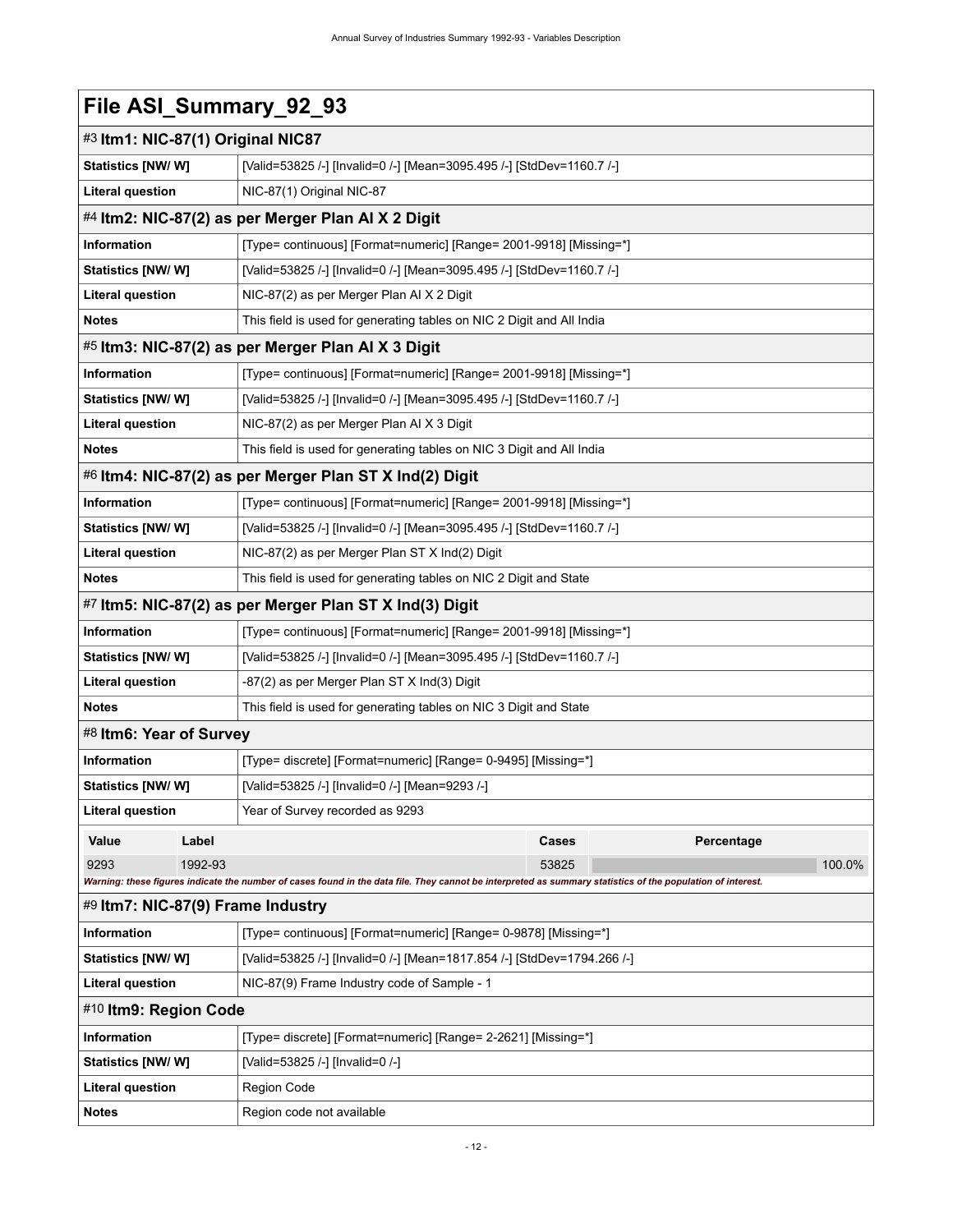<span id="page-15-6"></span><span id="page-15-5"></span><span id="page-15-4"></span><span id="page-15-3"></span><span id="page-15-2"></span><span id="page-15-1"></span><span id="page-15-0"></span>

| File ASI_Summary_92_93            |                                                                                                                                                             |  |  |  |  |
|-----------------------------------|-------------------------------------------------------------------------------------------------------------------------------------------------------------|--|--|--|--|
|                                   | #3 Itm1: NIC-87(1) Original NIC87                                                                                                                           |  |  |  |  |
| Statistics [NW/W]                 | [Valid=53825 /-] [Invalid=0 /-] [Mean=3095.495 /-] [StdDev=1160.7 /-]                                                                                       |  |  |  |  |
| <b>Literal question</b>           | NIC-87(1) Original NIC-87                                                                                                                                   |  |  |  |  |
|                                   | #4 ltm2: NIC-87(2) as per Merger Plan AI X 2 Digit                                                                                                          |  |  |  |  |
| <b>Information</b>                | [Type= continuous] [Format=numeric] [Range= 2001-9918] [Missing=*]                                                                                          |  |  |  |  |
| Statistics [NW/W]                 | [Valid=53825 /-] [Invalid=0 /-] [Mean=3095.495 /-] [StdDev=1160.7 /-]                                                                                       |  |  |  |  |
| <b>Literal question</b>           | NIC-87(2) as per Merger Plan AI X 2 Digit                                                                                                                   |  |  |  |  |
| <b>Notes</b>                      | This field is used for generating tables on NIC 2 Digit and All India                                                                                       |  |  |  |  |
|                                   | #5 Itm3: NIC-87(2) as per Merger Plan AI X 3 Digit                                                                                                          |  |  |  |  |
| Information                       | [Type= continuous] [Format=numeric] [Range= 2001-9918] [Missing=*]                                                                                          |  |  |  |  |
| Statistics [NW/W]                 | [Valid=53825 /-] [Invalid=0 /-] [Mean=3095.495 /-] [StdDev=1160.7 /-]                                                                                       |  |  |  |  |
| <b>Literal question</b>           | NIC-87(2) as per Merger Plan AI X 3 Digit                                                                                                                   |  |  |  |  |
| <b>Notes</b>                      | This field is used for generating tables on NIC 3 Digit and All India                                                                                       |  |  |  |  |
|                                   | #6 Itm4: NIC-87(2) as per Merger Plan ST X Ind(2) Digit                                                                                                     |  |  |  |  |
| Information                       | [Type= continuous] [Format=numeric] [Range= 2001-9918] [Missing=*]                                                                                          |  |  |  |  |
| Statistics [NW/W]                 | [Valid=53825 /-] [Invalid=0 /-] [Mean=3095.495 /-] [StdDev=1160.7 /-]                                                                                       |  |  |  |  |
| <b>Literal question</b>           | NIC-87(2) as per Merger Plan ST X Ind(2) Digit                                                                                                              |  |  |  |  |
| <b>Notes</b>                      | This field is used for generating tables on NIC 2 Digit and State                                                                                           |  |  |  |  |
|                                   | #7 Itm5: NIC-87(2) as per Merger Plan ST X Ind(3) Digit                                                                                                     |  |  |  |  |
| Information                       | [Type= continuous] [Format=numeric] [Range= 2001-9918] [Missing=*]                                                                                          |  |  |  |  |
| Statistics [NW/W]                 | [Valid=53825 /-] [Invalid=0 /-] [Mean=3095.495 /-] [StdDev=1160.7 /-]                                                                                       |  |  |  |  |
| <b>Literal question</b>           | -87(2) as per Merger Plan ST X Ind(3) Digit                                                                                                                 |  |  |  |  |
| <b>Notes</b>                      | This field is used for generating tables on NIC 3 Digit and State                                                                                           |  |  |  |  |
| #8 Itm6: Year of Survey           |                                                                                                                                                             |  |  |  |  |
| Information                       | [Type= discrete] [Format=numeric] [Range= 0-9495] [Missing=*]                                                                                               |  |  |  |  |
| Statistics [NW/ W]                | [Valid=53825 /-] [Invalid=0 /-] [Mean=9293 /-]                                                                                                              |  |  |  |  |
| Literal question                  | Year of Survey recorded as 9293                                                                                                                             |  |  |  |  |
| Label<br>Value                    | Cases<br>Percentage                                                                                                                                         |  |  |  |  |
| 9293<br>1992-93                   | 100.0%<br>53825                                                                                                                                             |  |  |  |  |
|                                   | Warning: these figures indicate the number of cases found in the data file. They cannot be interpreted as summary statistics of the population of interest. |  |  |  |  |
| #9 Itm7: NIC-87(9) Frame Industry |                                                                                                                                                             |  |  |  |  |
| Information                       | [Type= continuous] [Format=numeric] [Range= 0-9878] [Missing=*]                                                                                             |  |  |  |  |
| Statistics [NW/W]                 | [Valid=53825 /-] [Invalid=0 /-] [Mean=1817.854 /-] [StdDev=1794.266 /-]                                                                                     |  |  |  |  |
| <b>Literal question</b>           | NIC-87(9) Frame Industry code of Sample - 1                                                                                                                 |  |  |  |  |
| #10 Itm9: Region Code             |                                                                                                                                                             |  |  |  |  |
| Information                       | [Type= discrete] [Format=numeric] [Range= 2-2621] [Missing=*]                                                                                               |  |  |  |  |
| <b>Statistics [NW/ W]</b>         | [Valid=53825 /-] [Invalid=0 /-]                                                                                                                             |  |  |  |  |
| Literal question                  | Region Code                                                                                                                                                 |  |  |  |  |
| <b>Notes</b>                      | Region code not available                                                                                                                                   |  |  |  |  |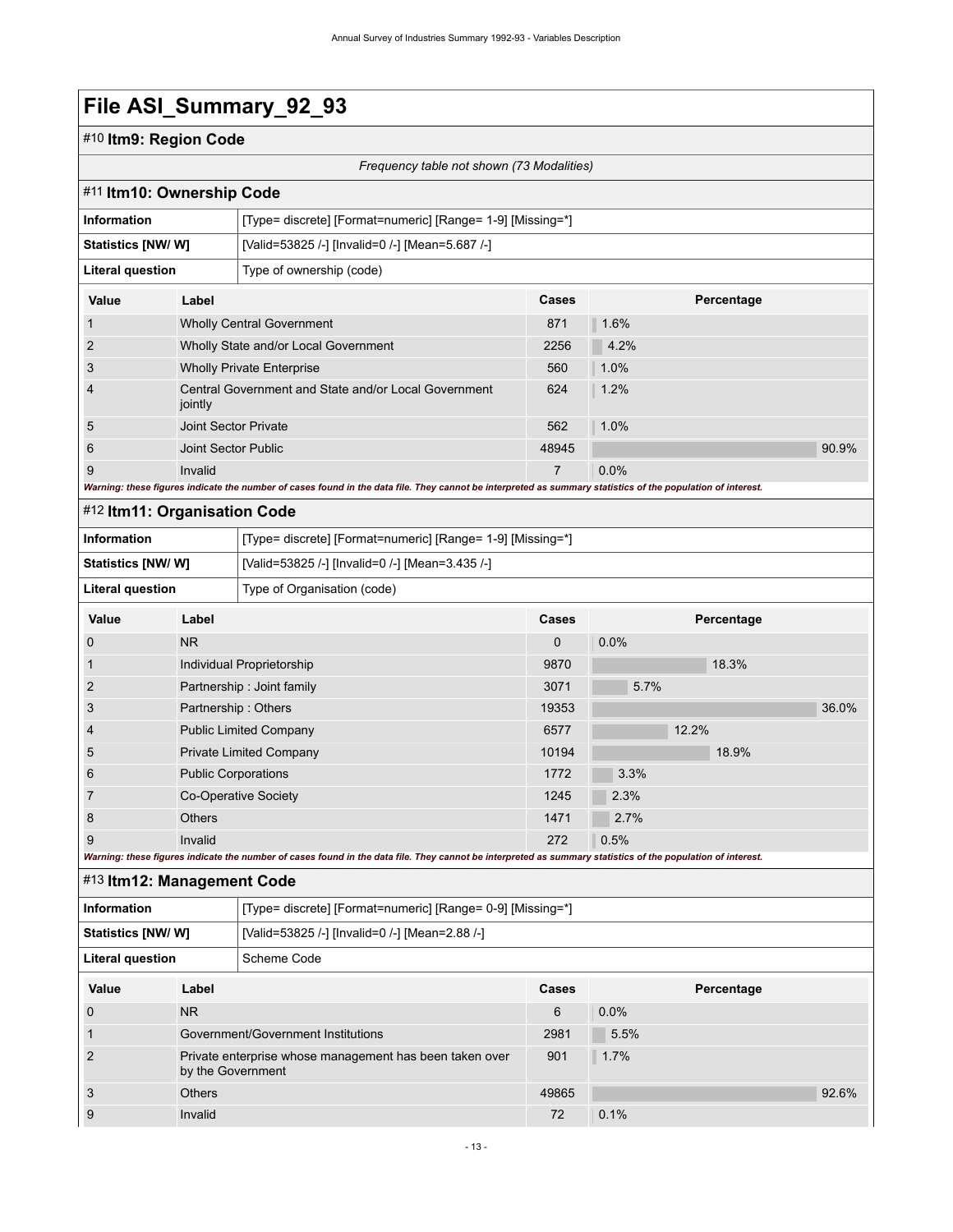### #10 **Itm9: Region Code**

*Frequency table not shown (73 Modalities)*

<span id="page-16-1"></span><span id="page-16-0"></span>

|                         | #11 Itm10: Ownership Code    |                                                                                                                                                             |                |      |            |       |  |  |
|-------------------------|------------------------------|-------------------------------------------------------------------------------------------------------------------------------------------------------------|----------------|------|------------|-------|--|--|
| <b>Information</b>      |                              | [Type= discrete] [Format=numeric] [Range= 1-9] [Missing=*]                                                                                                  |                |      |            |       |  |  |
| Statistics [NW/W]       |                              | [Valid=53825 /-] [Invalid=0 /-] [Mean=5.687 /-]                                                                                                             |                |      |            |       |  |  |
| <b>Literal question</b> |                              | Type of ownership (code)                                                                                                                                    |                |      |            |       |  |  |
| Value                   | Label                        |                                                                                                                                                             | Cases          |      | Percentage |       |  |  |
| $\mathbf{1}$            |                              | 871<br>1.6%<br><b>Wholly Central Government</b>                                                                                                             |                |      |            |       |  |  |
| $\overline{2}$          |                              | Wholly State and/or Local Government                                                                                                                        | 2256           | 4.2% |            |       |  |  |
| 3                       |                              | <b>Wholly Private Enterprise</b>                                                                                                                            | 560            | 1.0% |            |       |  |  |
| $\overline{4}$          | jointly                      | Central Government and State and/or Local Government                                                                                                        | 624            | 1.2% |            |       |  |  |
| 5                       | Joint Sector Private         |                                                                                                                                                             | 562            | 1.0% |            |       |  |  |
| 6                       | Joint Sector Public          |                                                                                                                                                             | 48945          |      |            | 90.9% |  |  |
| 9                       | Invalid                      | Warning: these figures indicate the number of cases found in the data file. They cannot be interpreted as summary statistics of the population of interest. | $\overline{7}$ | 0.0% |            |       |  |  |
|                         | #12 Itm11: Organisation Code |                                                                                                                                                             |                |      |            |       |  |  |
| <b>Information</b>      |                              | [Type= discrete] [Format=numeric] [Range= 1-9] [Missing=*]                                                                                                  |                |      |            |       |  |  |
| Statistics [NW/W]       |                              | [Valid=53825 /-] [Invalid=0 /-] [Mean=3.435 /-]                                                                                                             |                |      |            |       |  |  |
| Literal question        |                              | Type of Organisation (code)                                                                                                                                 |                |      |            |       |  |  |
| Value                   |                              | Label<br>Cases<br>Percentage                                                                                                                                |                |      |            |       |  |  |
|                         |                              |                                                                                                                                                             |                |      |            |       |  |  |
| $\mathbf 0$             | <b>NR</b>                    |                                                                                                                                                             | 0              | 0.0% |            |       |  |  |
| $\mathbf 1$             |                              | Individual Proprietorship                                                                                                                                   | 9870           |      | 18.3%      |       |  |  |
| 2                       |                              | Partnership: Joint family                                                                                                                                   | 3071           | 5.7% |            |       |  |  |
| 3                       |                              | Partnership: Others                                                                                                                                         | 19353          |      |            | 36.0% |  |  |
| 4                       |                              | <b>Public Limited Company</b>                                                                                                                               | 6577           |      | 12.2%      |       |  |  |
| 5                       |                              | <b>Private Limited Company</b>                                                                                                                              | 10194          |      | 18.9%      |       |  |  |
| 6                       | <b>Public Corporations</b>   |                                                                                                                                                             | 1772           | 3.3% |            |       |  |  |
| 7                       |                              | Co-Operative Society                                                                                                                                        | 1245           | 2.3% |            |       |  |  |
| 8                       | <b>Others</b>                |                                                                                                                                                             | 1471           | 2.7% |            |       |  |  |
| 9                       | Invalid                      |                                                                                                                                                             | 272            | 0.5% |            |       |  |  |

<span id="page-16-2"></span>

| Information             |                                                                              | [Type= discrete] [Format=numeric] [Range= 0-9] [Missing=*] |       |            |       |  |  |
|-------------------------|------------------------------------------------------------------------------|------------------------------------------------------------|-------|------------|-------|--|--|
| Statistics [NW/W]       |                                                                              | [Valid=53825 /-] [Invalid=0 /-] [Mean=2.88 /-]             |       |            |       |  |  |
| <b>Literal question</b> |                                                                              | Scheme Code                                                |       |            |       |  |  |
| Value                   | Label                                                                        |                                                            |       | Percentage |       |  |  |
| $\Omega$                | N <sub>R</sub>                                                               |                                                            |       | $0.0\%$    |       |  |  |
| $\mathbf{1}$            |                                                                              | Government/Government Institutions                         |       | 5.5%       |       |  |  |
| 2                       | Private enterprise whose management has been taken over<br>by the Government |                                                            | 901   | 1.7%       |       |  |  |
| 3                       | <b>Others</b>                                                                |                                                            | 49865 |            | 92.6% |  |  |
| 9                       | Invalid                                                                      |                                                            | 72    | 0.1%       |       |  |  |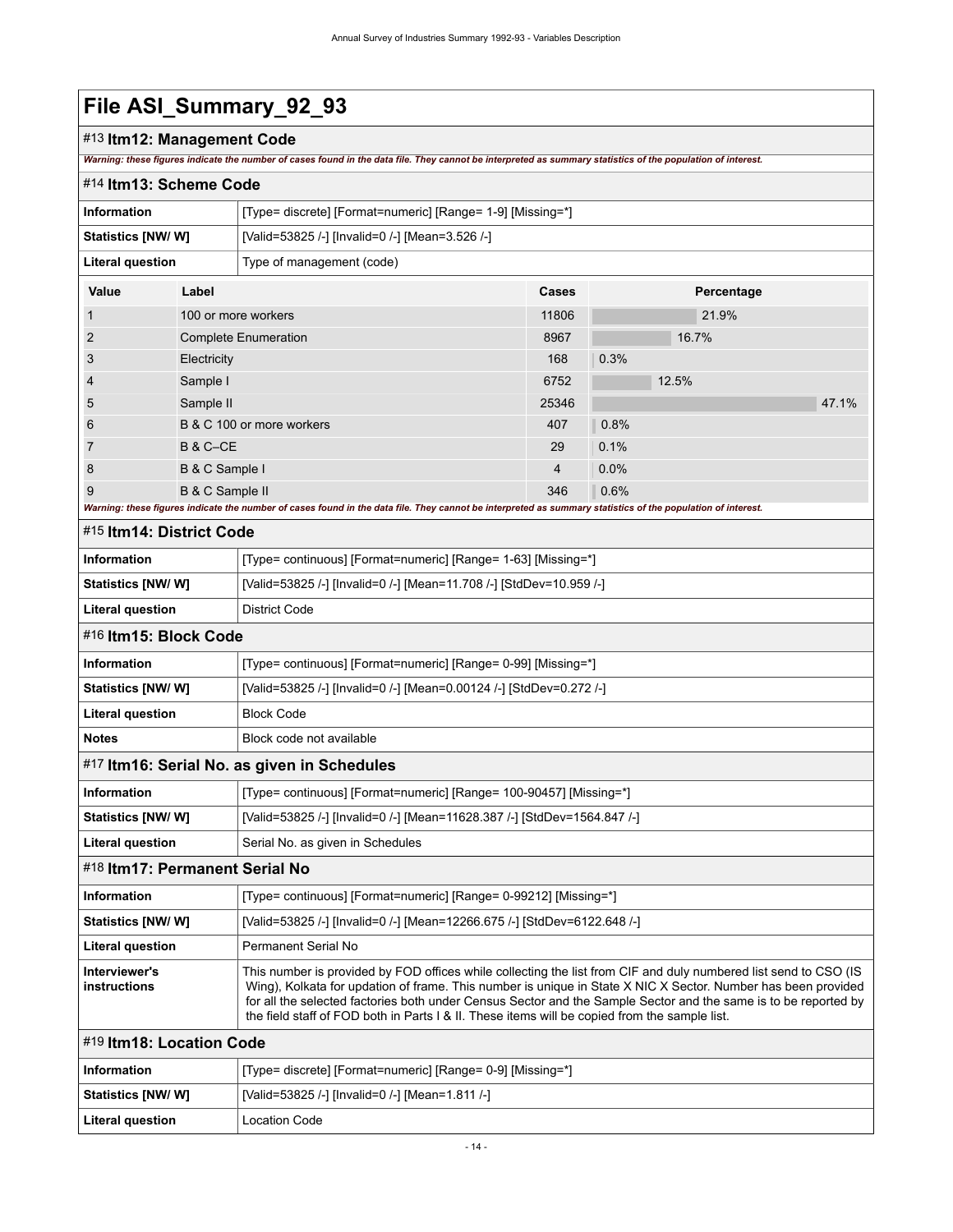### #13 **Itm12: Management Code**

*Warning: these figures indicate the number of cases found in the data file. They cannot be interpreted as summary statistics of the population of interest.*

<span id="page-17-1"></span><span id="page-17-0"></span>

| #14 Itm13: Scheme Code         |                     |                                                                                                                                                                                                                                                                                                                                                                                                                                                       |       |      |            |       |  |  |
|--------------------------------|---------------------|-------------------------------------------------------------------------------------------------------------------------------------------------------------------------------------------------------------------------------------------------------------------------------------------------------------------------------------------------------------------------------------------------------------------------------------------------------|-------|------|------------|-------|--|--|
| <b>Information</b>             |                     | [Type= discrete] [Format=numeric] [Range= 1-9] [Missing=*]                                                                                                                                                                                                                                                                                                                                                                                            |       |      |            |       |  |  |
| Statistics [NW/W]              |                     | [Valid=53825 /-] [Invalid=0 /-] [Mean=3.526 /-]                                                                                                                                                                                                                                                                                                                                                                                                       |       |      |            |       |  |  |
| <b>Literal question</b>        |                     | Type of management (code)                                                                                                                                                                                                                                                                                                                                                                                                                             |       |      |            |       |  |  |
| Value                          | Label               |                                                                                                                                                                                                                                                                                                                                                                                                                                                       | Cases |      | Percentage |       |  |  |
| 1                              | 100 or more workers |                                                                                                                                                                                                                                                                                                                                                                                                                                                       | 11806 |      | 21.9%      |       |  |  |
| 2                              |                     | <b>Complete Enumeration</b>                                                                                                                                                                                                                                                                                                                                                                                                                           | 8967  |      | 16.7%      |       |  |  |
| 3                              | Electricity         |                                                                                                                                                                                                                                                                                                                                                                                                                                                       | 168   | 0.3% |            |       |  |  |
| 4                              | Sample I            |                                                                                                                                                                                                                                                                                                                                                                                                                                                       | 6752  |      | 12.5%      |       |  |  |
| 5                              | Sample II           |                                                                                                                                                                                                                                                                                                                                                                                                                                                       | 25346 |      |            | 47.1% |  |  |
| 6                              |                     | B & C 100 or more workers                                                                                                                                                                                                                                                                                                                                                                                                                             | 407   | 0.8% |            |       |  |  |
| 7                              | <b>B &amp; C-CE</b> |                                                                                                                                                                                                                                                                                                                                                                                                                                                       | 29    | 0.1% |            |       |  |  |
| 8                              | B & C Sample I      |                                                                                                                                                                                                                                                                                                                                                                                                                                                       | 4     | 0.0% |            |       |  |  |
| 9                              | B & C Sample II     |                                                                                                                                                                                                                                                                                                                                                                                                                                                       | 346   | 0.6% |            |       |  |  |
|                                |                     | Warning: these figures indicate the number of cases found in the data file. They cannot be interpreted as summary statistics of the population of interest.                                                                                                                                                                                                                                                                                           |       |      |            |       |  |  |
| #15 Itm14: District Code       |                     |                                                                                                                                                                                                                                                                                                                                                                                                                                                       |       |      |            |       |  |  |
| <b>Information</b>             |                     | [Type= continuous] [Format=numeric] [Range= 1-63] [Missing=*]                                                                                                                                                                                                                                                                                                                                                                                         |       |      |            |       |  |  |
| Statistics [NW/ W]             |                     | [Valid=53825 /-] [Invalid=0 /-] [Mean=11.708 /-] [StdDev=10.959 /-]                                                                                                                                                                                                                                                                                                                                                                                   |       |      |            |       |  |  |
| <b>Literal question</b>        |                     | District Code                                                                                                                                                                                                                                                                                                                                                                                                                                         |       |      |            |       |  |  |
| #16 Itm15: Block Code          |                     |                                                                                                                                                                                                                                                                                                                                                                                                                                                       |       |      |            |       |  |  |
| <b>Information</b>             |                     | [Type= continuous] [Format=numeric] [Range= 0-99] [Missing=*]                                                                                                                                                                                                                                                                                                                                                                                         |       |      |            |       |  |  |
| Statistics [NW/W]              |                     | [Valid=53825 /-] [Invalid=0 /-] [Mean=0.00124 /-] [StdDev=0.272 /-]                                                                                                                                                                                                                                                                                                                                                                                   |       |      |            |       |  |  |
| <b>Literal question</b>        |                     | <b>Block Code</b>                                                                                                                                                                                                                                                                                                                                                                                                                                     |       |      |            |       |  |  |
| <b>Notes</b>                   |                     | Block code not available                                                                                                                                                                                                                                                                                                                                                                                                                              |       |      |            |       |  |  |
|                                |                     | #17 Itm16: Serial No. as given in Schedules                                                                                                                                                                                                                                                                                                                                                                                                           |       |      |            |       |  |  |
| <b>Information</b>             |                     | [Type= continuous] [Format=numeric] [Range= 100-90457] [Missing=*]                                                                                                                                                                                                                                                                                                                                                                                    |       |      |            |       |  |  |
| Statistics [NW/ W]             |                     | [Valid=53825 /-] [Invalid=0 /-] [Mean=11628.387 /-] [StdDev=1564.847 /-]                                                                                                                                                                                                                                                                                                                                                                              |       |      |            |       |  |  |
| <b>Literal question</b>        |                     | Serial No. as given in Schedules                                                                                                                                                                                                                                                                                                                                                                                                                      |       |      |            |       |  |  |
| #18 Itm17: Permanent Serial No |                     |                                                                                                                                                                                                                                                                                                                                                                                                                                                       |       |      |            |       |  |  |
| <b>Information</b>             |                     | [Type= continuous] [Format=numeric] [Range= 0-99212] [Missing=*]                                                                                                                                                                                                                                                                                                                                                                                      |       |      |            |       |  |  |
| <b>Statistics [NW/ W]</b>      |                     | [Valid=53825 /-] [Invalid=0 /-] [Mean=12266.675 /-] [StdDev=6122.648 /-]                                                                                                                                                                                                                                                                                                                                                                              |       |      |            |       |  |  |
| <b>Literal question</b>        |                     | Permanent Serial No                                                                                                                                                                                                                                                                                                                                                                                                                                   |       |      |            |       |  |  |
| Interviewer's<br>instructions  |                     | This number is provided by FOD offices while collecting the list from CIF and duly numbered list send to CSO (IS<br>Wing), Kolkata for updation of frame. This number is unique in State X NIC X Sector. Number has been provided<br>for all the selected factories both under Census Sector and the Sample Sector and the same is to be reported by<br>the field staff of FOD both in Parts I & II. These items will be copied from the sample list. |       |      |            |       |  |  |

### <span id="page-17-5"></span><span id="page-17-4"></span><span id="page-17-3"></span><span id="page-17-2"></span>#19 **Itm18: Location Code**

| ∣ Information           | [Type= discrete] [Format=numeric] [Range= 0-9] [Missing=*] |
|-------------------------|------------------------------------------------------------|
| Statistics [NW/ W]      | [Valid=53825 /-] [Invalid=0 /-] [Mean=1.811 /-]            |
| <b>Literal question</b> | Location Code                                              |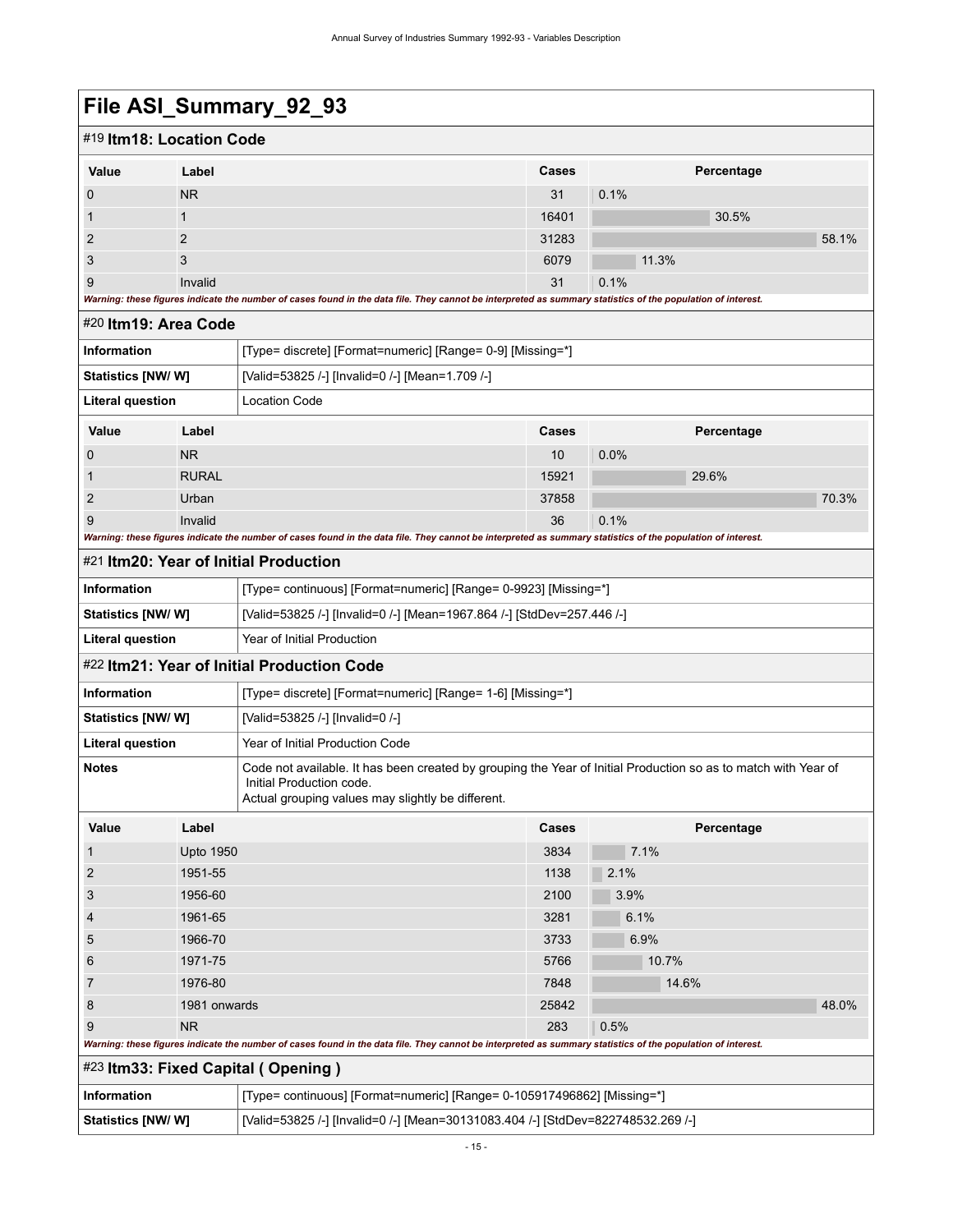<span id="page-18-0"></span>

| File ASI_Summary_92_93   |                  |                                                                                                                                                                                                 |       |            |       |  |  |
|--------------------------|------------------|-------------------------------------------------------------------------------------------------------------------------------------------------------------------------------------------------|-------|------------|-------|--|--|
| #19 Itm18: Location Code |                  |                                                                                                                                                                                                 |       |            |       |  |  |
| Value                    | Label            |                                                                                                                                                                                                 | Cases | Percentage |       |  |  |
| 0                        | <b>NR</b>        |                                                                                                                                                                                                 | 31    | 0.1%       |       |  |  |
| 1                        | $\mathbf{1}$     |                                                                                                                                                                                                 | 16401 | 30.5%      |       |  |  |
| $\overline{2}$           | 2                |                                                                                                                                                                                                 | 31283 |            | 58.1% |  |  |
| 3                        | 3                |                                                                                                                                                                                                 | 6079  | 11.3%      |       |  |  |
| 9                        | Invalid          |                                                                                                                                                                                                 | 31    | 0.1%       |       |  |  |
|                          |                  | Warning: these figures indicate the number of cases found in the data file. They cannot be interpreted as summary statistics of the population of interest.                                     |       |            |       |  |  |
| #20 ltm19: Area Code     |                  |                                                                                                                                                                                                 |       |            |       |  |  |
| <b>Information</b>       |                  | [Type= discrete] [Format=numeric] [Range= 0-9] [Missing=*]                                                                                                                                      |       |            |       |  |  |
| Statistics [NW/ W]       |                  | [Valid=53825 /-] [Invalid=0 /-] [Mean=1.709 /-]                                                                                                                                                 |       |            |       |  |  |
| <b>Literal question</b>  |                  | <b>Location Code</b>                                                                                                                                                                            |       |            |       |  |  |
| Value                    | Label            |                                                                                                                                                                                                 | Cases | Percentage |       |  |  |
| $\mathbf 0$              | <b>NR</b>        |                                                                                                                                                                                                 | 10    | 0.0%       |       |  |  |
| 1                        | <b>RURAL</b>     |                                                                                                                                                                                                 | 15921 | 29.6%      |       |  |  |
| 2                        | Urban            |                                                                                                                                                                                                 | 37858 |            | 70.3% |  |  |
| 9                        | Invalid          |                                                                                                                                                                                                 | 36    | 0.1%       |       |  |  |
|                          |                  | Warning: these figures indicate the number of cases found in the data file. They cannot be interpreted as summary statistics of the population of interest.                                     |       |            |       |  |  |
|                          |                  | #21 Itm20: Year of Initial Production                                                                                                                                                           |       |            |       |  |  |
| <b>Information</b>       |                  | [Type= continuous] [Format=numeric] [Range= 0-9923] [Missing=*]                                                                                                                                 |       |            |       |  |  |
| Statistics [NW/W]        |                  | [Valid=53825 /-] [Invalid=0 /-] [Mean=1967.864 /-] [StdDev=257.446 /-]                                                                                                                          |       |            |       |  |  |
| Literal question         |                  | Year of Initial Production                                                                                                                                                                      |       |            |       |  |  |
|                          |                  | #22 Itm21: Year of Initial Production Code                                                                                                                                                      |       |            |       |  |  |
| <b>Information</b>       |                  | [Type= discrete] [Format=numeric] [Range= 1-6] [Missing=*]                                                                                                                                      |       |            |       |  |  |
| <b>Statistics [NW/W]</b> |                  | [Valid=53825 /-] [Invalid=0 /-]                                                                                                                                                                 |       |            |       |  |  |
| <b>Literal question</b>  |                  | Year of Initial Production Code                                                                                                                                                                 |       |            |       |  |  |
| <b>Notes</b>             |                  | Code not available. It has been created by grouping the Year of Initial Production so as to match with Year of<br>Initial Production code.<br>Actual grouping values may slightly be different. |       |            |       |  |  |
| Value                    | Label            |                                                                                                                                                                                                 | Cases | Percentage |       |  |  |
| $\mathbf{1}$             | <b>Upto 1950</b> |                                                                                                                                                                                                 | 3834  | 7.1%       |       |  |  |
| $\overline{c}$           | 1951-55          |                                                                                                                                                                                                 | 1138  | 2.1%       |       |  |  |
| 3                        | 1956-60          |                                                                                                                                                                                                 | 2100  | 3.9%       |       |  |  |
| $\overline{4}$           | 1961-65          |                                                                                                                                                                                                 | 3281  | 6.1%       |       |  |  |

8 1981 onwards 25842 48.0%

*Warning: these figures indicate the number of cases found in the data file. They cannot be interpreted as summary statistics of the population of interest.*

<span id="page-18-2"></span><span id="page-18-1"></span>5 1966-70 3733 6.9% 5 20 3733 5 374 5 374 5 374 5 375 5 376 5 376 5 376 5 376 5 37 6 1971-75 5766 10.7% 7 1976-80 **1976-80 14.6%** 14.6% and 14.6% in the set of  $\alpha$ 

9 NR 283 0.5%

**Information** [Type= continuous] [Format=numeric] [Range= 0-105917496862] [Missing=\*] **Statistics [NW/ W]** [Valid=53825 /-] [Invalid=0 /-] [Mean=30131083.404 /-] [StdDev=822748532.269 /-]

<span id="page-18-3"></span>#23 **Itm33: Fixed Capital ( Opening )**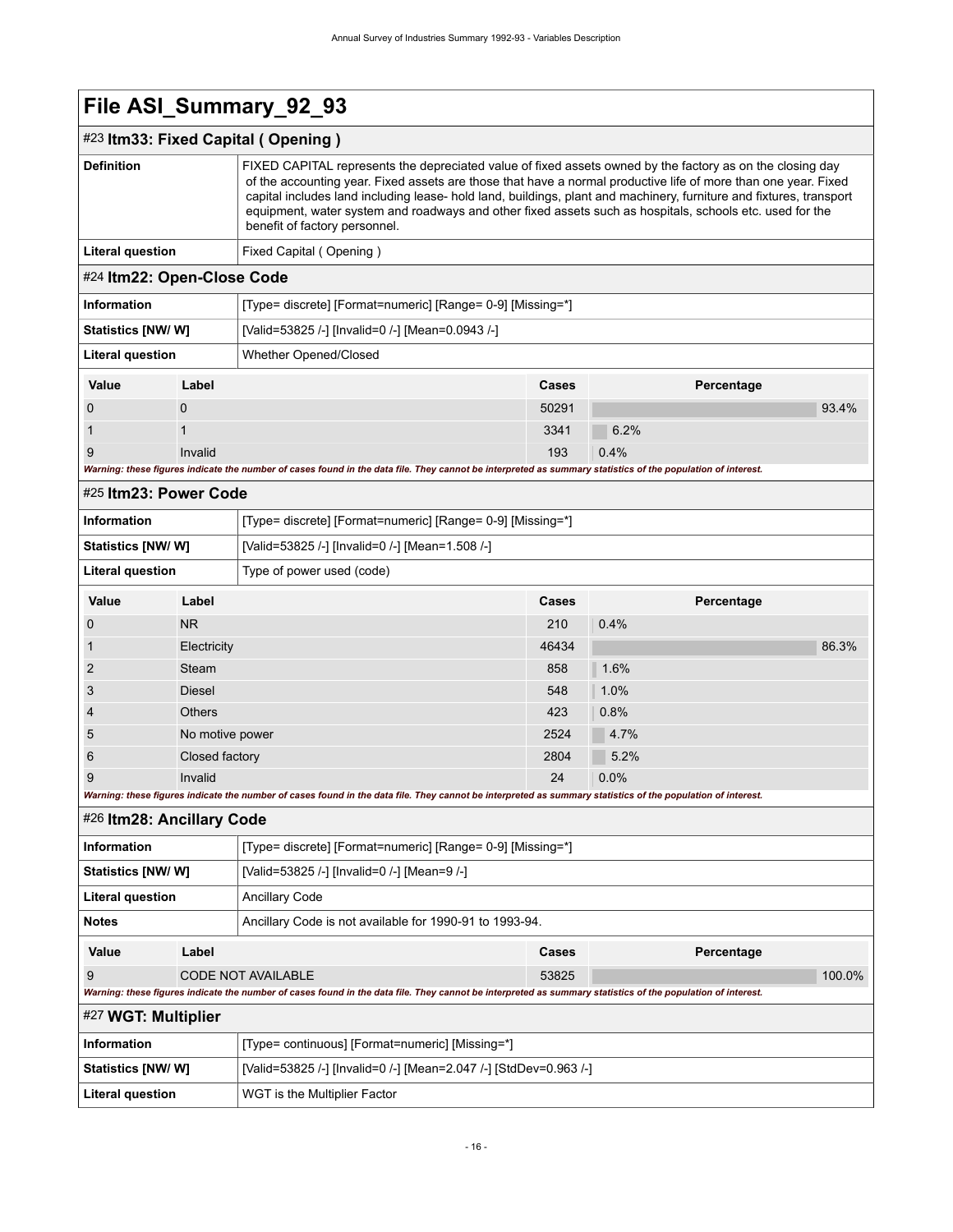<span id="page-19-3"></span><span id="page-19-2"></span><span id="page-19-1"></span><span id="page-19-0"></span>

| File ASI_Summary_92_93     |                 |                                                                                                                                                                                                                                                                                                                                                                                                                                                                                                 |       |            |        |  |  |
|----------------------------|-----------------|-------------------------------------------------------------------------------------------------------------------------------------------------------------------------------------------------------------------------------------------------------------------------------------------------------------------------------------------------------------------------------------------------------------------------------------------------------------------------------------------------|-------|------------|--------|--|--|
|                            |                 | #23 Itm33: Fixed Capital (Opening)                                                                                                                                                                                                                                                                                                                                                                                                                                                              |       |            |        |  |  |
| <b>Definition</b>          |                 | FIXED CAPITAL represents the depreciated value of fixed assets owned by the factory as on the closing day<br>of the accounting year. Fixed assets are those that have a normal productive life of more than one year. Fixed<br>capital includes land including lease- hold land, buildings, plant and machinery, furniture and fixtures, transport<br>equipment, water system and roadways and other fixed assets such as hospitals, schools etc. used for the<br>benefit of factory personnel. |       |            |        |  |  |
| <b>Literal question</b>    |                 | Fixed Capital (Opening)                                                                                                                                                                                                                                                                                                                                                                                                                                                                         |       |            |        |  |  |
| #24 Itm22: Open-Close Code |                 |                                                                                                                                                                                                                                                                                                                                                                                                                                                                                                 |       |            |        |  |  |
| <b>Information</b>         |                 | [Type= discrete] [Format=numeric] [Range= 0-9] [Missing=*]                                                                                                                                                                                                                                                                                                                                                                                                                                      |       |            |        |  |  |
| <b>Statistics [NW/W]</b>   |                 | [Valid=53825 /-] [Invalid=0 /-] [Mean=0.0943 /-]                                                                                                                                                                                                                                                                                                                                                                                                                                                |       |            |        |  |  |
| <b>Literal question</b>    |                 | Whether Opened/Closed                                                                                                                                                                                                                                                                                                                                                                                                                                                                           |       |            |        |  |  |
| Value                      | Label           |                                                                                                                                                                                                                                                                                                                                                                                                                                                                                                 | Cases | Percentage |        |  |  |
| 0                          | $\mathbf 0$     |                                                                                                                                                                                                                                                                                                                                                                                                                                                                                                 | 50291 |            | 93.4%  |  |  |
| 1                          | 1               |                                                                                                                                                                                                                                                                                                                                                                                                                                                                                                 | 3341  | 6.2%       |        |  |  |
| 9                          | Invalid         |                                                                                                                                                                                                                                                                                                                                                                                                                                                                                                 | 193   | 0.4%       |        |  |  |
|                            |                 | Warning: these figures indicate the number of cases found in the data file. They cannot be interpreted as summary statistics of the population of interest.                                                                                                                                                                                                                                                                                                                                     |       |            |        |  |  |
| #25 Itm23: Power Code      |                 |                                                                                                                                                                                                                                                                                                                                                                                                                                                                                                 |       |            |        |  |  |
| <b>Information</b>         |                 | [Type= discrete] [Format=numeric] [Range= 0-9] [Missing=*]                                                                                                                                                                                                                                                                                                                                                                                                                                      |       |            |        |  |  |
| <b>Statistics [NW/W]</b>   |                 | [Valid=53825 /-] [Invalid=0 /-] [Mean=1.508 /-]                                                                                                                                                                                                                                                                                                                                                                                                                                                 |       |            |        |  |  |
| <b>Literal question</b>    |                 | Type of power used (code)                                                                                                                                                                                                                                                                                                                                                                                                                                                                       |       |            |        |  |  |
| Value                      | Label           |                                                                                                                                                                                                                                                                                                                                                                                                                                                                                                 | Cases | Percentage |        |  |  |
| 0                          | <b>NR</b>       |                                                                                                                                                                                                                                                                                                                                                                                                                                                                                                 | 210   | 0.4%       |        |  |  |
| 1                          | Electricity     |                                                                                                                                                                                                                                                                                                                                                                                                                                                                                                 | 46434 |            | 86.3%  |  |  |
| 2                          | Steam           |                                                                                                                                                                                                                                                                                                                                                                                                                                                                                                 | 858   | 1.6%       |        |  |  |
| 3                          | <b>Diesel</b>   |                                                                                                                                                                                                                                                                                                                                                                                                                                                                                                 | 548   | 1.0%       |        |  |  |
|                            | <b>Others</b>   |                                                                                                                                                                                                                                                                                                                                                                                                                                                                                                 | 423   | 0.8%       |        |  |  |
| 5                          | No motive power |                                                                                                                                                                                                                                                                                                                                                                                                                                                                                                 | 2524  | 4.7%       |        |  |  |
| 6                          | Closed factory  |                                                                                                                                                                                                                                                                                                                                                                                                                                                                                                 | 2804  | 5.2%       |        |  |  |
| 9                          | Invalid         |                                                                                                                                                                                                                                                                                                                                                                                                                                                                                                 | 24    | 0.0%       |        |  |  |
|                            |                 | Warning: these figures indicate the number of cases found in the data file. They cannot be interpreted as summary statistics of the population of interest.                                                                                                                                                                                                                                                                                                                                     |       |            |        |  |  |
| #26 Itm28: Ancillary Code  |                 |                                                                                                                                                                                                                                                                                                                                                                                                                                                                                                 |       |            |        |  |  |
| <b>Information</b>         |                 | [Type= discrete] [Format=numeric] [Range= 0-9] [Missing=*]                                                                                                                                                                                                                                                                                                                                                                                                                                      |       |            |        |  |  |
| Statistics [NW/W]          |                 | [Valid=53825 /-] [Invalid=0 /-] [Mean=9 /-]                                                                                                                                                                                                                                                                                                                                                                                                                                                     |       |            |        |  |  |
| <b>Literal question</b>    |                 | <b>Ancillary Code</b>                                                                                                                                                                                                                                                                                                                                                                                                                                                                           |       |            |        |  |  |
| <b>Notes</b>               |                 | Ancillary Code is not available for 1990-91 to 1993-94.                                                                                                                                                                                                                                                                                                                                                                                                                                         |       |            |        |  |  |
| Value                      | Label           |                                                                                                                                                                                                                                                                                                                                                                                                                                                                                                 | Cases | Percentage |        |  |  |
| 9                          |                 | <b>CODE NOT AVAILABLE</b>                                                                                                                                                                                                                                                                                                                                                                                                                                                                       | 53825 |            | 100.0% |  |  |
|                            |                 | Warning: these figures indicate the number of cases found in the data file. They cannot be interpreted as summary statistics of the population of interest.                                                                                                                                                                                                                                                                                                                                     |       |            |        |  |  |
| #27 WGT: Multiplier        |                 |                                                                                                                                                                                                                                                                                                                                                                                                                                                                                                 |       |            |        |  |  |
| <b>Information</b>         |                 | [Type= continuous] [Format=numeric] [Missing=*]                                                                                                                                                                                                                                                                                                                                                                                                                                                 |       |            |        |  |  |
| <b>Statistics [NW/W]</b>   |                 | [Valid=53825 /-] [Invalid=0 /-] [Mean=2.047 /-] [StdDev=0.963 /-]                                                                                                                                                                                                                                                                                                                                                                                                                               |       |            |        |  |  |
| <b>Literal question</b>    |                 | WGT is the Multiplier Factor                                                                                                                                                                                                                                                                                                                                                                                                                                                                    |       |            |        |  |  |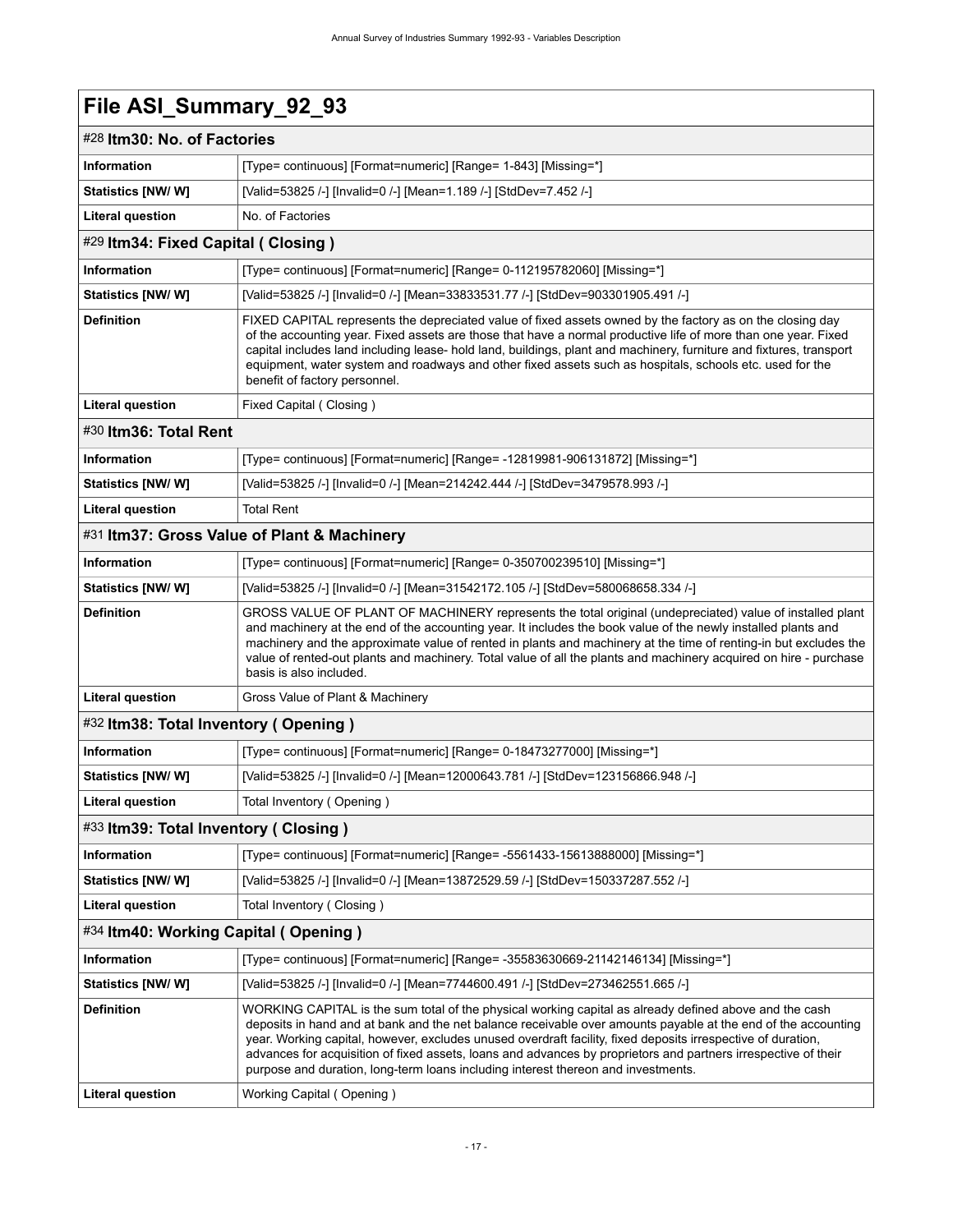<span id="page-20-6"></span><span id="page-20-5"></span><span id="page-20-4"></span><span id="page-20-3"></span><span id="page-20-2"></span><span id="page-20-1"></span><span id="page-20-0"></span>

| #28 Itm30: No. of Factories          |                                                                                                                                                                                                                                                                                                                                                                                                                                                                                                                                                |  |  |
|--------------------------------------|------------------------------------------------------------------------------------------------------------------------------------------------------------------------------------------------------------------------------------------------------------------------------------------------------------------------------------------------------------------------------------------------------------------------------------------------------------------------------------------------------------------------------------------------|--|--|
| <b>Information</b>                   | [Type= continuous] [Format=numeric] [Range= 1-843] [Missing=*]                                                                                                                                                                                                                                                                                                                                                                                                                                                                                 |  |  |
| Statistics [NW/W]                    | [Valid=53825 /-] [Invalid=0 /-] [Mean=1.189 /-] [StdDev=7.452 /-]                                                                                                                                                                                                                                                                                                                                                                                                                                                                              |  |  |
| <b>Literal question</b>              | No. of Factories                                                                                                                                                                                                                                                                                                                                                                                                                                                                                                                               |  |  |
| #29 Itm34: Fixed Capital ( Closing ) |                                                                                                                                                                                                                                                                                                                                                                                                                                                                                                                                                |  |  |
| <b>Information</b>                   | [Type= continuous] [Format=numeric] [Range= 0-112195782060] [Missing=*]                                                                                                                                                                                                                                                                                                                                                                                                                                                                        |  |  |
| Statistics [NW/W]                    | [Valid=53825 /-] [Invalid=0 /-] [Mean=33833531.77 /-] [StdDev=903301905.491 /-]                                                                                                                                                                                                                                                                                                                                                                                                                                                                |  |  |
| <b>Definition</b>                    | FIXED CAPITAL represents the depreciated value of fixed assets owned by the factory as on the closing day<br>of the accounting year. Fixed assets are those that have a normal productive life of more than one year. Fixed<br>capital includes land including lease- hold land, buildings, plant and machinery, furniture and fixtures, transport<br>equipment, water system and roadways and other fixed assets such as hospitals, schools etc. used for the<br>benefit of factory personnel.                                                |  |  |
| <b>Literal question</b>              | Fixed Capital (Closing)                                                                                                                                                                                                                                                                                                                                                                                                                                                                                                                        |  |  |
| #30 Itm36: Total Rent                |                                                                                                                                                                                                                                                                                                                                                                                                                                                                                                                                                |  |  |
| <b>Information</b>                   | [Type= continuous] [Format=numeric] [Range= -12819981-906131872] [Missing=*]                                                                                                                                                                                                                                                                                                                                                                                                                                                                   |  |  |
| Statistics [NW/W]                    | [Valid=53825 /-] [Invalid=0 /-] [Mean=214242.444 /-] [StdDev=3479578.993 /-]                                                                                                                                                                                                                                                                                                                                                                                                                                                                   |  |  |
| <b>Literal question</b>              | <b>Total Rent</b>                                                                                                                                                                                                                                                                                                                                                                                                                                                                                                                              |  |  |
|                                      | #31 Itm37: Gross Value of Plant & Machinery                                                                                                                                                                                                                                                                                                                                                                                                                                                                                                    |  |  |
| <b>Information</b>                   | [Type= continuous] [Format=numeric] [Range= 0-350700239510] [Missing=*]                                                                                                                                                                                                                                                                                                                                                                                                                                                                        |  |  |
| Statistics [NW/ W]                   | [Valid=53825 /-] [Invalid=0 /-] [Mean=31542172.105 /-] [StdDev=580068658.334 /-]                                                                                                                                                                                                                                                                                                                                                                                                                                                               |  |  |
| <b>Definition</b>                    | GROSS VALUE OF PLANT OF MACHINERY represents the total original (undepreciated) value of installed plant<br>and machinery at the end of the accounting year. It includes the book value of the newly installed plants and<br>machinery and the approximate value of rented in plants and machinery at the time of renting-in but excludes the<br>value of rented-out plants and machinery. Total value of all the plants and machinery acquired on hire - purchase<br>basis is also included.                                                  |  |  |
| <b>Literal question</b>              | Gross Value of Plant & Machinery                                                                                                                                                                                                                                                                                                                                                                                                                                                                                                               |  |  |
| #32 Itm38: Total Inventory (Opening) |                                                                                                                                                                                                                                                                                                                                                                                                                                                                                                                                                |  |  |
| <b>Information</b>                   | [Type= continuous] [Format=numeric] [Range= 0-18473277000] [Missing=*]                                                                                                                                                                                                                                                                                                                                                                                                                                                                         |  |  |
| Statistics [NW/W]                    | [Valid=53825 /-] [Invalid=0 /-] [Mean=12000643.781 /-] [StdDev=123156866.948 /-]                                                                                                                                                                                                                                                                                                                                                                                                                                                               |  |  |
| <b>Literal question</b>              | Total Inventory (Opening)                                                                                                                                                                                                                                                                                                                                                                                                                                                                                                                      |  |  |
| #33 Itm39: Total Inventory (Closing) |                                                                                                                                                                                                                                                                                                                                                                                                                                                                                                                                                |  |  |
| <b>Information</b>                   | [Type= continuous] [Format=numeric] [Range= -5561433-15613888000] [Missing=*]                                                                                                                                                                                                                                                                                                                                                                                                                                                                  |  |  |
| Statistics [NW/W]                    | [Valid=53825 /-] [Invalid=0 /-] [Mean=13872529.59 /-] [StdDev=150337287.552 /-]                                                                                                                                                                                                                                                                                                                                                                                                                                                                |  |  |
| <b>Literal question</b>              | Total Inventory (Closing)                                                                                                                                                                                                                                                                                                                                                                                                                                                                                                                      |  |  |
| #34 Itm40: Working Capital (Opening) |                                                                                                                                                                                                                                                                                                                                                                                                                                                                                                                                                |  |  |
| Information                          | [Type= continuous] [Format=numeric] [Range= -35583630669-21142146134] [Missing=*]                                                                                                                                                                                                                                                                                                                                                                                                                                                              |  |  |
| Statistics [NW/ W]                   | [Valid=53825 /-] [Invalid=0 /-] [Mean=7744600.491 /-] [StdDev=273462551.665 /-]                                                                                                                                                                                                                                                                                                                                                                                                                                                                |  |  |
| <b>Definition</b>                    | WORKING CAPITAL is the sum total of the physical working capital as already defined above and the cash<br>deposits in hand and at bank and the net balance receivable over amounts payable at the end of the accounting<br>year. Working capital, however, excludes unused overdraft facility, fixed deposits irrespective of duration,<br>advances for acquisition of fixed assets, loans and advances by proprietors and partners irrespective of their<br>purpose and duration, long-term loans including interest thereon and investments. |  |  |
| Literal question                     | Working Capital (Opening)                                                                                                                                                                                                                                                                                                                                                                                                                                                                                                                      |  |  |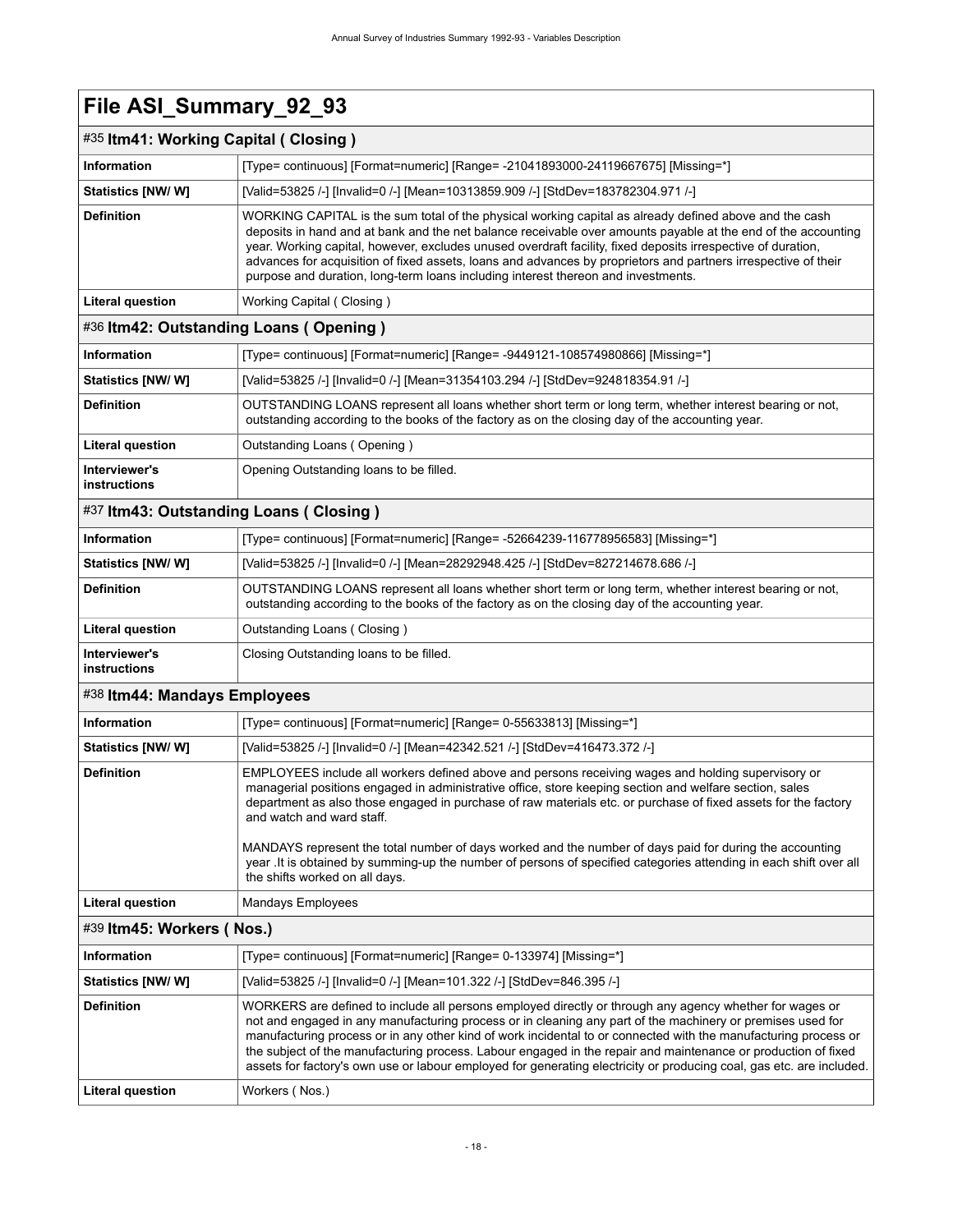### <span id="page-21-0"></span>#35 **Itm41: Working Capital ( Closing )**

<span id="page-21-4"></span><span id="page-21-3"></span><span id="page-21-2"></span><span id="page-21-1"></span>

| Information                            | [Type= continuous] [Format=numeric] [Range= -21041893000-24119667675] [Missing=*]                                                                                                                                                                                                                                                                                                                                                                                                                                                                                                                                               |
|----------------------------------------|---------------------------------------------------------------------------------------------------------------------------------------------------------------------------------------------------------------------------------------------------------------------------------------------------------------------------------------------------------------------------------------------------------------------------------------------------------------------------------------------------------------------------------------------------------------------------------------------------------------------------------|
| <b>Statistics [NW/ W]</b>              | [Valid=53825 /-] [Invalid=0 /-] [Mean=10313859.909 /-] [StdDev=183782304.971 /-]                                                                                                                                                                                                                                                                                                                                                                                                                                                                                                                                                |
| <b>Definition</b>                      | WORKING CAPITAL is the sum total of the physical working capital as already defined above and the cash<br>deposits in hand and at bank and the net balance receivable over amounts payable at the end of the accounting<br>year. Working capital, however, excludes unused overdraft facility, fixed deposits irrespective of duration,<br>advances for acquisition of fixed assets, loans and advances by proprietors and partners irrespective of their<br>purpose and duration, long-term loans including interest thereon and investments.                                                                                  |
| <b>Literal question</b>                | Working Capital (Closing)                                                                                                                                                                                                                                                                                                                                                                                                                                                                                                                                                                                                       |
| #36 Itm42: Outstanding Loans (Opening) |                                                                                                                                                                                                                                                                                                                                                                                                                                                                                                                                                                                                                                 |
| <b>Information</b>                     | [Type= continuous] [Format=numeric] [Range= -9449121-108574980866] [Missing=*]                                                                                                                                                                                                                                                                                                                                                                                                                                                                                                                                                  |
| <b>Statistics [NW/ W]</b>              | [Valid=53825 /-] [Invalid=0 /-] [Mean=31354103.294 /-] [StdDev=924818354.91 /-]                                                                                                                                                                                                                                                                                                                                                                                                                                                                                                                                                 |
| <b>Definition</b>                      | OUTSTANDING LOANS represent all loans whether short term or long term, whether interest bearing or not,<br>outstanding according to the books of the factory as on the closing day of the accounting year.                                                                                                                                                                                                                                                                                                                                                                                                                      |
| Literal question                       | Outstanding Loans (Opening)                                                                                                                                                                                                                                                                                                                                                                                                                                                                                                                                                                                                     |
| Interviewer's<br>instructions          | Opening Outstanding loans to be filled.                                                                                                                                                                                                                                                                                                                                                                                                                                                                                                                                                                                         |
| #37 Itm43: Outstanding Loans (Closing) |                                                                                                                                                                                                                                                                                                                                                                                                                                                                                                                                                                                                                                 |
| Information                            | [Type= continuous] [Format=numeric] [Range= -52664239-116778956583] [Missing=*]                                                                                                                                                                                                                                                                                                                                                                                                                                                                                                                                                 |
| Statistics [NW/W]                      | [Valid=53825 /-] [Invalid=0 /-] [Mean=28292948.425 /-] [StdDev=827214678.686 /-]                                                                                                                                                                                                                                                                                                                                                                                                                                                                                                                                                |
| <b>Definition</b>                      | OUTSTANDING LOANS represent all loans whether short term or long term, whether interest bearing or not,<br>outstanding according to the books of the factory as on the closing day of the accounting year.                                                                                                                                                                                                                                                                                                                                                                                                                      |
| <b>Literal question</b>                | Outstanding Loans (Closing)                                                                                                                                                                                                                                                                                                                                                                                                                                                                                                                                                                                                     |
| Interviewer's<br>instructions          | Closing Outstanding loans to be filled.                                                                                                                                                                                                                                                                                                                                                                                                                                                                                                                                                                                         |
| #38 Itm44: Mandays Employees           |                                                                                                                                                                                                                                                                                                                                                                                                                                                                                                                                                                                                                                 |
| <b>Information</b>                     | [Type= continuous] [Format=numeric] [Range= 0-55633813] [Missing=*]                                                                                                                                                                                                                                                                                                                                                                                                                                                                                                                                                             |
| <b>Statistics [NW/W]</b>               | [Valid=53825 /-] [Invalid=0 /-] [Mean=42342.521 /-] [StdDev=416473.372 /-]                                                                                                                                                                                                                                                                                                                                                                                                                                                                                                                                                      |
| <b>Definition</b>                      | EMPLOYEES include all workers defined above and persons receiving wages and holding supervisory or<br>managerial positions engaged in administrative office, store keeping section and welfare section, sales<br>department as also those engaged in purchase of raw materials etc. or purchase of fixed assets for the factory<br>and watch and ward staff.<br>MANDAYS represent the total number of days worked and the number of days paid for during the accounting<br>year . It is obtained by summing-up the number of persons of specified categories attending in each shift over all<br>the shifts worked on all days. |
| <b>Literal question</b>                | <b>Mandays Employees</b>                                                                                                                                                                                                                                                                                                                                                                                                                                                                                                                                                                                                        |
| #39 Itm45: Workers (Nos.)              |                                                                                                                                                                                                                                                                                                                                                                                                                                                                                                                                                                                                                                 |
| <b>Information</b>                     | [Type= continuous] [Format=numeric] [Range= 0-133974] [Missing=*]                                                                                                                                                                                                                                                                                                                                                                                                                                                                                                                                                               |
| <b>Statistics [NW/W]</b>               | [Valid=53825 /-] [Invalid=0 /-] [Mean=101.322 /-] [StdDev=846.395 /-]                                                                                                                                                                                                                                                                                                                                                                                                                                                                                                                                                           |
| <b>Definition</b>                      | WORKERS are defined to include all persons employed directly or through any agency whether for wages or<br>not and engaged in any manufacturing process or in cleaning any part of the machinery or premises used for<br>manufacturing process or in any other kind of work incidental to or connected with the manufacturing process or<br>the subject of the manufacturing process. Labour engaged in the repair and maintenance or production of fixed<br>assets for factory's own use or labour employed for generating electricity or producing coal, gas etc. are included.                                               |
| <b>Literal question</b>                | Workers (Nos.)                                                                                                                                                                                                                                                                                                                                                                                                                                                                                                                                                                                                                  |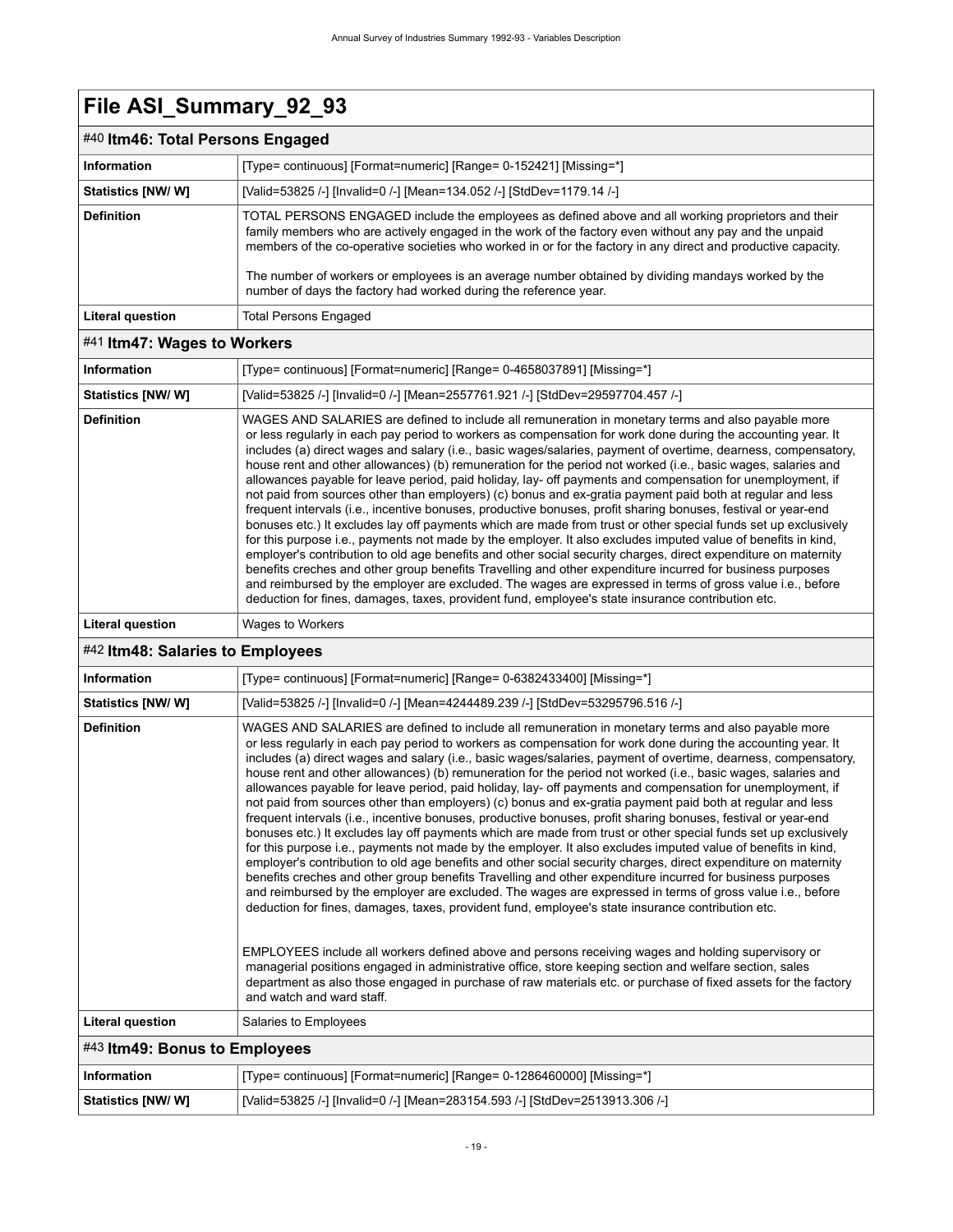### <span id="page-22-0"></span>#40 **Itm46: Total Persons Engaged**

| $100$ iteration in Fig. . The contract $\sim$ |                                                                                                                                                                                                                                                                                                                                                                                                                                                                                                         |
|-----------------------------------------------|---------------------------------------------------------------------------------------------------------------------------------------------------------------------------------------------------------------------------------------------------------------------------------------------------------------------------------------------------------------------------------------------------------------------------------------------------------------------------------------------------------|
| <b>Information</b>                            | [Type= continuous] [Format=numeric] [Range= 0-152421] [Missing=*]                                                                                                                                                                                                                                                                                                                                                                                                                                       |
| Statistics [NW/ W]                            | [Valid=53825 /-] [Invalid=0 /-] [Mean=134.052 /-] [StdDev=1179.14 /-]                                                                                                                                                                                                                                                                                                                                                                                                                                   |
| <b>Definition</b>                             | TOTAL PERSONS ENGAGED include the employees as defined above and all working proprietors and their<br>family members who are actively engaged in the work of the factory even without any pay and the unpaid<br>members of the co-operative societies who worked in or for the factory in any direct and productive capacity.<br>The number of workers or employees is an average number obtained by dividing mandays worked by the<br>number of days the factory had worked during the reference year. |
| <b>Literal question</b>                       | Total Persons Engaged                                                                                                                                                                                                                                                                                                                                                                                                                                                                                   |

#### <span id="page-22-1"></span>#41 **Itm47: Wages to Workers**

<span id="page-22-2"></span>

|                                                   | טיווט וועט ט                                                                                                                                                                                                                                                                                                                                                                                                                                                                                                                                                                                                                                                                                                                                                                                                                                                                                                                                                                                                                                                                                                                                                                                                                                                                                                                                                                                                                                                                                                                                                                                                                                                                                                                                                                                                                                         |  |
|---------------------------------------------------|------------------------------------------------------------------------------------------------------------------------------------------------------------------------------------------------------------------------------------------------------------------------------------------------------------------------------------------------------------------------------------------------------------------------------------------------------------------------------------------------------------------------------------------------------------------------------------------------------------------------------------------------------------------------------------------------------------------------------------------------------------------------------------------------------------------------------------------------------------------------------------------------------------------------------------------------------------------------------------------------------------------------------------------------------------------------------------------------------------------------------------------------------------------------------------------------------------------------------------------------------------------------------------------------------------------------------------------------------------------------------------------------------------------------------------------------------------------------------------------------------------------------------------------------------------------------------------------------------------------------------------------------------------------------------------------------------------------------------------------------------------------------------------------------------------------------------------------------------|--|
| <b>Information</b>                                | [Type= continuous] [Format=numeric] [Range= 0-4658037891] [Missing=*]                                                                                                                                                                                                                                                                                                                                                                                                                                                                                                                                                                                                                                                                                                                                                                                                                                                                                                                                                                                                                                                                                                                                                                                                                                                                                                                                                                                                                                                                                                                                                                                                                                                                                                                                                                                |  |
| <b>Statistics [NW/W]</b>                          | [Valid=53825 /-] [Invalid=0 /-] [Mean=2557761.921 /-] [StdDev=29597704.457 /-]                                                                                                                                                                                                                                                                                                                                                                                                                                                                                                                                                                                                                                                                                                                                                                                                                                                                                                                                                                                                                                                                                                                                                                                                                                                                                                                                                                                                                                                                                                                                                                                                                                                                                                                                                                       |  |
| <b>Definition</b>                                 | WAGES AND SALARIES are defined to include all remuneration in monetary terms and also payable more<br>or less regularly in each pay period to workers as compensation for work done during the accounting year. It<br>includes (a) direct wages and salary (i.e., basic wages/salaries, payment of overtime, dearness, compensatory,<br>house rent and other allowances) (b) remuneration for the period not worked (i.e., basic wages, salaries and<br>allowances payable for leave period, paid holiday, lay- off payments and compensation for unemployment, if<br>not paid from sources other than employers) (c) bonus and ex-gratia payment paid both at regular and less<br>frequent intervals (i.e., incentive bonuses, productive bonuses, profit sharing bonuses, festival or year-end<br>bonuses etc.) It excludes lay off payments which are made from trust or other special funds set up exclusively<br>for this purpose i.e., payments not made by the employer. It also excludes imputed value of benefits in kind,<br>employer's contribution to old age benefits and other social security charges, direct expenditure on maternity<br>benefits creches and other group benefits Travelling and other expenditure incurred for business purposes<br>and reimbursed by the employer are excluded. The wages are expressed in terms of gross value i.e., before<br>deduction for fines, damages, taxes, provident fund, employee's state insurance contribution etc.                                                                                                                                                                                                                                                                                                                                                                 |  |
| <b>Literal question</b>                           | Wages to Workers                                                                                                                                                                                                                                                                                                                                                                                                                                                                                                                                                                                                                                                                                                                                                                                                                                                                                                                                                                                                                                                                                                                                                                                                                                                                                                                                                                                                                                                                                                                                                                                                                                                                                                                                                                                                                                     |  |
| #42 Itm48: Salaries to Employees                  |                                                                                                                                                                                                                                                                                                                                                                                                                                                                                                                                                                                                                                                                                                                                                                                                                                                                                                                                                                                                                                                                                                                                                                                                                                                                                                                                                                                                                                                                                                                                                                                                                                                                                                                                                                                                                                                      |  |
| <b>Information</b>                                | [Type= continuous] [Format=numeric] [Range= 0-6382433400] [Missing=*]                                                                                                                                                                                                                                                                                                                                                                                                                                                                                                                                                                                                                                                                                                                                                                                                                                                                                                                                                                                                                                                                                                                                                                                                                                                                                                                                                                                                                                                                                                                                                                                                                                                                                                                                                                                |  |
| <b>Statistics [NW/W]</b>                          | [Valid=53825 /-] [Invalid=0 /-] [Mean=4244489.239 /-] [StdDev=53295796.516 /-]                                                                                                                                                                                                                                                                                                                                                                                                                                                                                                                                                                                                                                                                                                                                                                                                                                                                                                                                                                                                                                                                                                                                                                                                                                                                                                                                                                                                                                                                                                                                                                                                                                                                                                                                                                       |  |
| <b>Definition</b>                                 | WAGES AND SALARIES are defined to include all remuneration in monetary terms and also payable more<br>or less regularly in each pay period to workers as compensation for work done during the accounting year. It<br>includes (a) direct wages and salary (i.e., basic wages/salaries, payment of overtime, dearness, compensatory,<br>house rent and other allowances) (b) remuneration for the period not worked (i.e., basic wages, salaries and<br>allowances payable for leave period, paid holiday, lay- off payments and compensation for unemployment, if<br>not paid from sources other than employers) (c) bonus and ex-gratia payment paid both at regular and less<br>frequent intervals (i.e., incentive bonuses, productive bonuses, profit sharing bonuses, festival or year-end<br>bonuses etc.) It excludes lay off payments which are made from trust or other special funds set up exclusively<br>for this purpose i.e., payments not made by the employer. It also excludes imputed value of benefits in kind,<br>employer's contribution to old age benefits and other social security charges, direct expenditure on maternity<br>benefits creches and other group benefits Travelling and other expenditure incurred for business purposes<br>and reimbursed by the employer are excluded. The wages are expressed in terms of gross value i.e., before<br>deduction for fines, damages, taxes, provident fund, employee's state insurance contribution etc.<br>EMPLOYEES include all workers defined above and persons receiving wages and holding supervisory or<br>managerial positions engaged in administrative office, store keeping section and welfare section, sales<br>department as also those engaged in purchase of raw materials etc. or purchase of fixed assets for the factory<br>and watch and ward staff. |  |
| <b>Literal question</b>                           | Salaries to Employees                                                                                                                                                                                                                                                                                                                                                                                                                                                                                                                                                                                                                                                                                                                                                                                                                                                                                                                                                                                                                                                                                                                                                                                                                                                                                                                                                                                                                                                                                                                                                                                                                                                                                                                                                                                                                                |  |
| $\overline{1011}$ $\overline{10}$ $\overline{10}$ |                                                                                                                                                                                                                                                                                                                                                                                                                                                                                                                                                                                                                                                                                                                                                                                                                                                                                                                                                                                                                                                                                                                                                                                                                                                                                                                                                                                                                                                                                                                                                                                                                                                                                                                                                                                                                                                      |  |

<span id="page-22-3"></span>

| $\#43$ ltm49: Bonus to Employees |                                                                              |
|----------------------------------|------------------------------------------------------------------------------|
| ∣ Information                    | [Type= continuous] [Format=numeric] [Range= 0-1286460000] [Missing=*]        |
| Statistics [NW/ W]               | [Valid=53825 /-] [Invalid=0 /-] [Mean=283154.593 /-] [StdDev=2513913.306 /-] |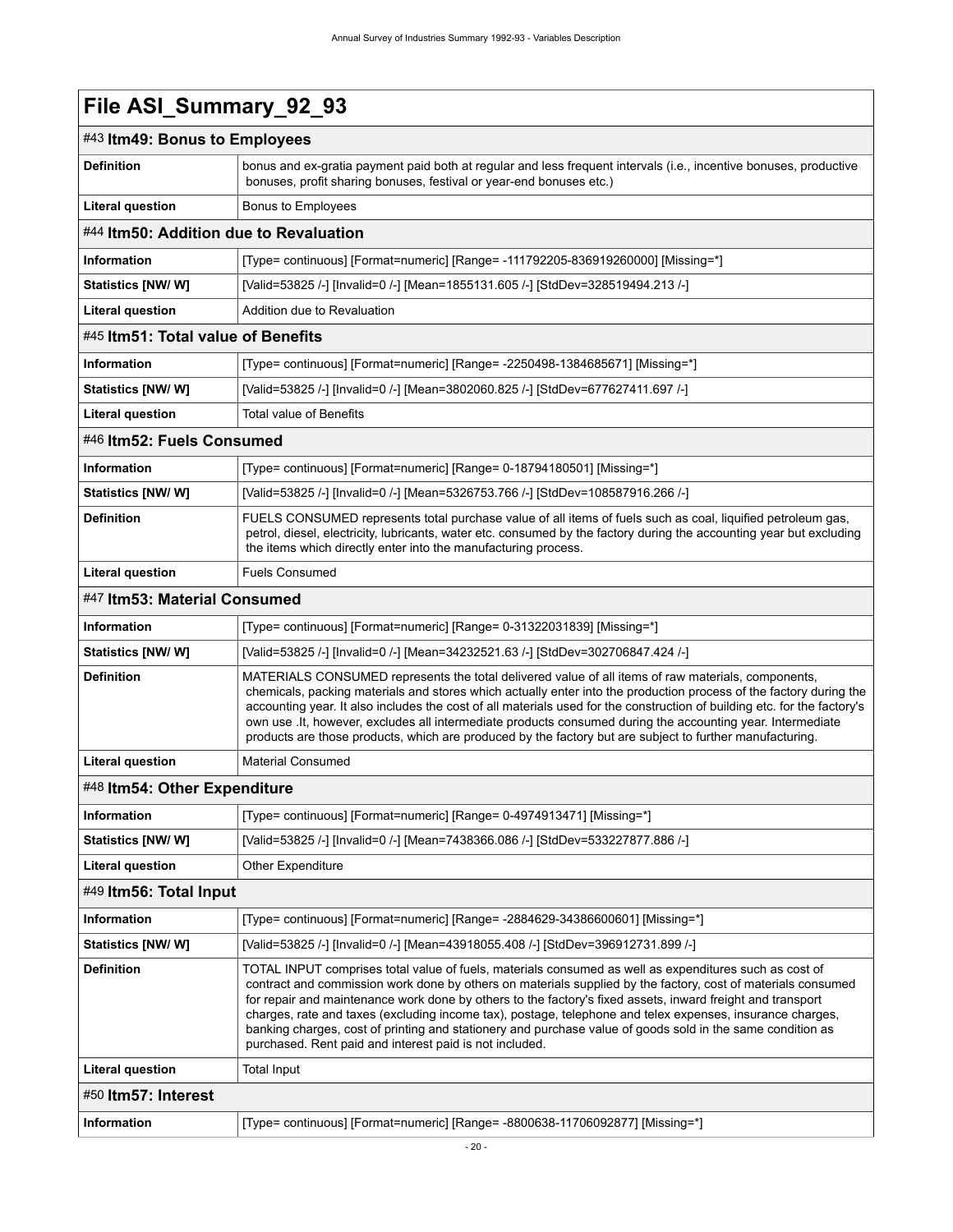<span id="page-23-6"></span><span id="page-23-5"></span><span id="page-23-4"></span><span id="page-23-3"></span><span id="page-23-2"></span><span id="page-23-1"></span><span id="page-23-0"></span>

| File ASI_Summary_92_93                 |                                                                                                                                                                                                                                                                                                                                                                                                                                                                                                                                                                                                                            |
|----------------------------------------|----------------------------------------------------------------------------------------------------------------------------------------------------------------------------------------------------------------------------------------------------------------------------------------------------------------------------------------------------------------------------------------------------------------------------------------------------------------------------------------------------------------------------------------------------------------------------------------------------------------------------|
| #43 Itm49: Bonus to Employees          |                                                                                                                                                                                                                                                                                                                                                                                                                                                                                                                                                                                                                            |
| <b>Definition</b>                      | bonus and ex-gratia payment paid both at regular and less frequent intervals (i.e., incentive bonuses, productive<br>bonuses, profit sharing bonuses, festival or year-end bonuses etc.)                                                                                                                                                                                                                                                                                                                                                                                                                                   |
| <b>Literal question</b>                | Bonus to Employees                                                                                                                                                                                                                                                                                                                                                                                                                                                                                                                                                                                                         |
| #44 Itm50: Addition due to Revaluation |                                                                                                                                                                                                                                                                                                                                                                                                                                                                                                                                                                                                                            |
| <b>Information</b>                     | [Type= continuous] [Format=numeric] [Range= -111792205-836919260000] [Missing=*]                                                                                                                                                                                                                                                                                                                                                                                                                                                                                                                                           |
| <b>Statistics [NW/ W]</b>              | [Valid=53825 /-] [Invalid=0 /-] [Mean=1855131.605 /-] [StdDev=328519494.213 /-]                                                                                                                                                                                                                                                                                                                                                                                                                                                                                                                                            |
| <b>Literal question</b>                | Addition due to Revaluation                                                                                                                                                                                                                                                                                                                                                                                                                                                                                                                                                                                                |
| #45 Itm51: Total value of Benefits     |                                                                                                                                                                                                                                                                                                                                                                                                                                                                                                                                                                                                                            |
| Information                            | [Type= continuous] [Format=numeric] [Range= -2250498-1384685671] [Missing=*]                                                                                                                                                                                                                                                                                                                                                                                                                                                                                                                                               |
| Statistics [NW/W]                      | [Valid=53825 /-] [Invalid=0 /-] [Mean=3802060.825 /-] [StdDev=677627411.697 /-]                                                                                                                                                                                                                                                                                                                                                                                                                                                                                                                                            |
| <b>Literal question</b>                | <b>Total value of Benefits</b>                                                                                                                                                                                                                                                                                                                                                                                                                                                                                                                                                                                             |
| #46 Itm52: Fuels Consumed              |                                                                                                                                                                                                                                                                                                                                                                                                                                                                                                                                                                                                                            |
| Information                            | [Type= continuous] [Format=numeric] [Range= 0-18794180501] [Missing=*]                                                                                                                                                                                                                                                                                                                                                                                                                                                                                                                                                     |
| Statistics [NW/W]                      | [Valid=53825 /-] [Invalid=0 /-] [Mean=5326753.766 /-] [StdDev=108587916.266 /-]                                                                                                                                                                                                                                                                                                                                                                                                                                                                                                                                            |
| <b>Definition</b>                      | FUELS CONSUMED represents total purchase value of all items of fuels such as coal, liquified petroleum gas,<br>petrol, diesel, electricity, lubricants, water etc. consumed by the factory during the accounting year but excluding<br>the items which directly enter into the manufacturing process.                                                                                                                                                                                                                                                                                                                      |
| <b>Literal question</b>                | <b>Fuels Consumed</b>                                                                                                                                                                                                                                                                                                                                                                                                                                                                                                                                                                                                      |
| #47 Itm53: Material Consumed           |                                                                                                                                                                                                                                                                                                                                                                                                                                                                                                                                                                                                                            |
| <b>Information</b>                     | [Type= continuous] [Format=numeric] [Range= 0-31322031839] [Missing=*]                                                                                                                                                                                                                                                                                                                                                                                                                                                                                                                                                     |
| Statistics [NW/ W]                     | [Valid=53825 /-] [Invalid=0 /-] [Mean=34232521.63 /-] [StdDev=302706847.424 /-]                                                                                                                                                                                                                                                                                                                                                                                                                                                                                                                                            |
| <b>Definition</b>                      | MATERIALS CONSUMED represents the total delivered value of all items of raw materials, components,<br>chemicals, packing materials and stores which actually enter into the production process of the factory during the<br>accounting year. It also includes the cost of all materials used for the construction of building etc. for the factory's<br>own use . It, however, excludes all intermediate products consumed during the accounting year. Intermediate<br>products are those products, which are produced by the factory but are subject to further manufacturing.                                            |
| <b>Literal question</b>                | <b>Material Consumed</b>                                                                                                                                                                                                                                                                                                                                                                                                                                                                                                                                                                                                   |
| #48 Itm54: Other Expenditure           |                                                                                                                                                                                                                                                                                                                                                                                                                                                                                                                                                                                                                            |
| <b>Information</b>                     | [Type= continuous] [Format=numeric] [Range= 0-4974913471] [Missing=*]                                                                                                                                                                                                                                                                                                                                                                                                                                                                                                                                                      |
| <b>Statistics [NW/ W]</b>              | [Valid=53825 /-] [Invalid=0 /-] [Mean=7438366.086 /-] [StdDev=533227877.886 /-]                                                                                                                                                                                                                                                                                                                                                                                                                                                                                                                                            |
| <b>Literal question</b>                | <b>Other Expenditure</b>                                                                                                                                                                                                                                                                                                                                                                                                                                                                                                                                                                                                   |
| #49 Itm56: Total Input                 |                                                                                                                                                                                                                                                                                                                                                                                                                                                                                                                                                                                                                            |
| Information                            | [Type= continuous] [Format=numeric] [Range= -2884629-34386600601] [Missing=*]                                                                                                                                                                                                                                                                                                                                                                                                                                                                                                                                              |
| <b>Statistics [NW/W]</b>               | [Valid=53825 /-] [Invalid=0 /-] [Mean=43918055.408 /-] [StdDev=396912731.899 /-]                                                                                                                                                                                                                                                                                                                                                                                                                                                                                                                                           |
| <b>Definition</b>                      | TOTAL INPUT comprises total value of fuels, materials consumed as well as expenditures such as cost of<br>contract and commission work done by others on materials supplied by the factory, cost of materials consumed<br>for repair and maintenance work done by others to the factory's fixed assets, inward freight and transport<br>charges, rate and taxes (excluding income tax), postage, telephone and telex expenses, insurance charges,<br>banking charges, cost of printing and stationery and purchase value of goods sold in the same condition as<br>purchased. Rent paid and interest paid is not included. |
| <b>Literal question</b>                | Total Input                                                                                                                                                                                                                                                                                                                                                                                                                                                                                                                                                                                                                |
| #50 Itm57: Interest                    |                                                                                                                                                                                                                                                                                                                                                                                                                                                                                                                                                                                                                            |
| Information                            | [Type= continuous] [Format=numeric] [Range= -8800638-11706092877] [Missing=*]                                                                                                                                                                                                                                                                                                                                                                                                                                                                                                                                              |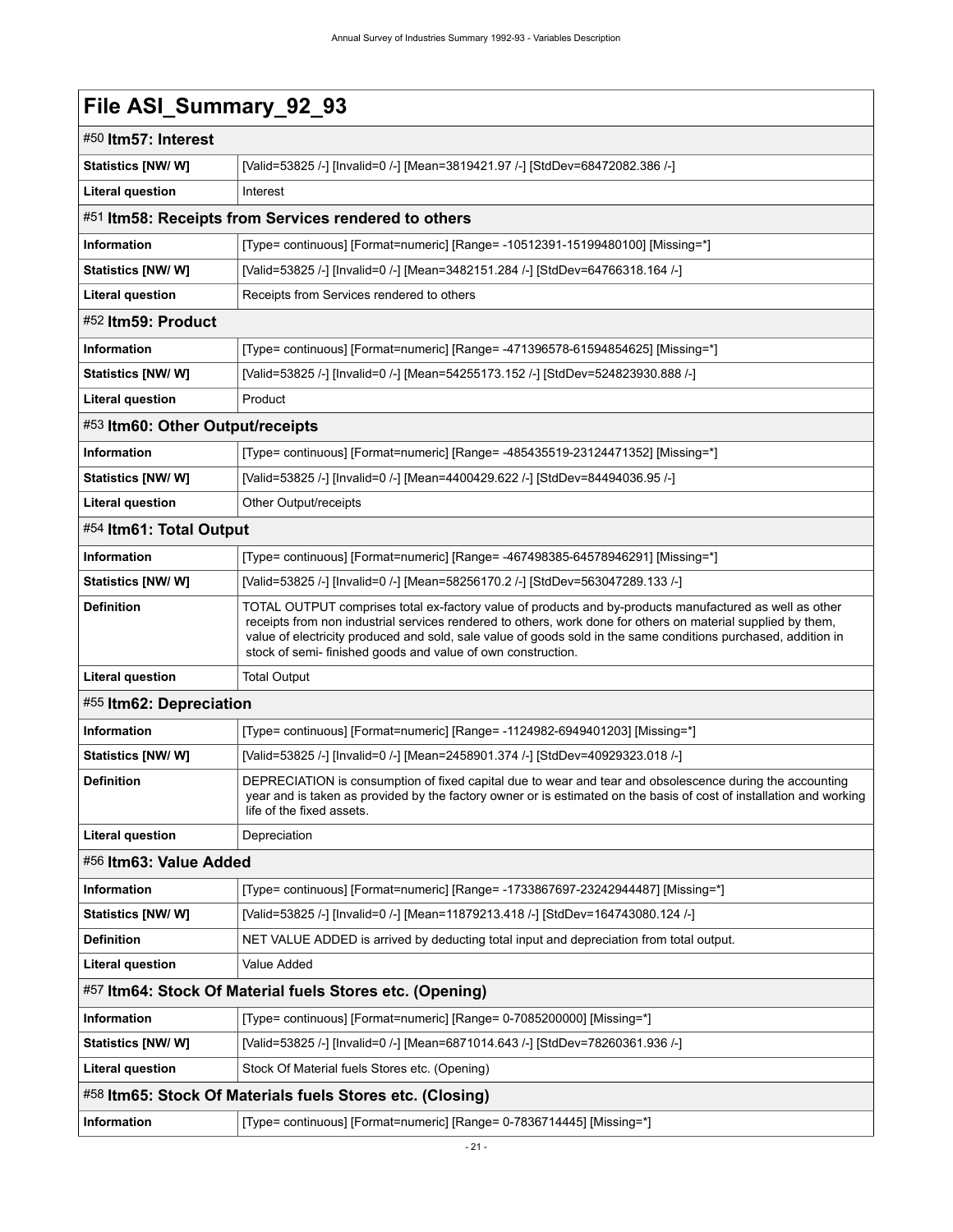<span id="page-24-7"></span><span id="page-24-6"></span><span id="page-24-5"></span><span id="page-24-4"></span><span id="page-24-3"></span><span id="page-24-2"></span><span id="page-24-1"></span><span id="page-24-0"></span>

| File ASI_Summary_92_93                                    |                                                                                                                                                                                                                                                                                                                                                                                                           |  |
|-----------------------------------------------------------|-----------------------------------------------------------------------------------------------------------------------------------------------------------------------------------------------------------------------------------------------------------------------------------------------------------------------------------------------------------------------------------------------------------|--|
| #50 ltm57: Interest                                       |                                                                                                                                                                                                                                                                                                                                                                                                           |  |
| <b>Statistics [NW/ W]</b>                                 | [Valid=53825 /-] [Invalid=0 /-] [Mean=3819421.97 /-] [StdDev=68472082.386 /-]                                                                                                                                                                                                                                                                                                                             |  |
| <b>Literal question</b>                                   | Interest                                                                                                                                                                                                                                                                                                                                                                                                  |  |
|                                                           | #51 Itm58: Receipts from Services rendered to others                                                                                                                                                                                                                                                                                                                                                      |  |
| Information                                               | [Type= continuous] [Format=numeric] [Range= -10512391-15199480100] [Missing=*]                                                                                                                                                                                                                                                                                                                            |  |
| <b>Statistics [NW/ W]</b>                                 | [Valid=53825 /-] [Invalid=0 /-] [Mean=3482151.284 /-] [StdDev=64766318.164 /-]                                                                                                                                                                                                                                                                                                                            |  |
| <b>Literal question</b>                                   | Receipts from Services rendered to others                                                                                                                                                                                                                                                                                                                                                                 |  |
| #52 Itm59: Product                                        |                                                                                                                                                                                                                                                                                                                                                                                                           |  |
| <b>Information</b>                                        | [Type= continuous] [Format=numeric] [Range= -471396578-61594854625] [Missing=*]                                                                                                                                                                                                                                                                                                                           |  |
| <b>Statistics [NW/ W]</b>                                 | [Valid=53825 /-] [Invalid=0 /-] [Mean=54255173.152 /-] [StdDev=524823930.888 /-]                                                                                                                                                                                                                                                                                                                          |  |
| <b>Literal question</b>                                   | Product                                                                                                                                                                                                                                                                                                                                                                                                   |  |
| #53 Itm60: Other Output/receipts                          |                                                                                                                                                                                                                                                                                                                                                                                                           |  |
| Information                                               | [Type= continuous] [Format=numeric] [Range= -485435519-23124471352] [Missing=*]                                                                                                                                                                                                                                                                                                                           |  |
| Statistics [NW/W]                                         | [Valid=53825 /-] [Invalid=0 /-] [Mean=4400429.622 /-] [StdDev=84494036.95 /-]                                                                                                                                                                                                                                                                                                                             |  |
| <b>Literal question</b>                                   | Other Output/receipts                                                                                                                                                                                                                                                                                                                                                                                     |  |
| #54 Itm61: Total Output                                   |                                                                                                                                                                                                                                                                                                                                                                                                           |  |
| <b>Information</b>                                        | [Type= continuous] [Format=numeric] [Range= -467498385-64578946291] [Missing=*]                                                                                                                                                                                                                                                                                                                           |  |
| Statistics [NW/W]                                         | [Valid=53825 /-] [Invalid=0 /-] [Mean=58256170.2 /-] [StdDev=563047289.133 /-]                                                                                                                                                                                                                                                                                                                            |  |
| <b>Definition</b>                                         | TOTAL OUTPUT comprises total ex-factory value of products and by-products manufactured as well as other<br>receipts from non industrial services rendered to others, work done for others on material supplied by them,<br>value of electricity produced and sold, sale value of goods sold in the same conditions purchased, addition in<br>stock of semi- finished goods and value of own construction. |  |
| <b>Literal question</b>                                   | <b>Total Output</b>                                                                                                                                                                                                                                                                                                                                                                                       |  |
| #55 Itm62: Depreciation                                   |                                                                                                                                                                                                                                                                                                                                                                                                           |  |
| Information                                               | [Type= continuous] [Format=numeric] [Range= -1124982-6949401203] [Missing=*]                                                                                                                                                                                                                                                                                                                              |  |
| <b>Statistics [NW/W]</b>                                  | [Valid=53825 /-] [Invalid=0 /-] [Mean=2458901.374 /-] [StdDev=40929323.018 /-]                                                                                                                                                                                                                                                                                                                            |  |
| <b>Definition</b>                                         | DEPRECIATION is consumption of fixed capital due to wear and tear and obsolescence during the accounting<br>year and is taken as provided by the factory owner or is estimated on the basis of cost of installation and working<br>life of the fixed assets.                                                                                                                                              |  |
| <b>Literal question</b>                                   | Depreciation                                                                                                                                                                                                                                                                                                                                                                                              |  |
| #56 Itm63: Value Added                                    |                                                                                                                                                                                                                                                                                                                                                                                                           |  |
| Information                                               | [Type= continuous] [Format=numeric] [Range= -1733867697-23242944487] [Missing=*]                                                                                                                                                                                                                                                                                                                          |  |
| <b>Statistics [NW/ W]</b>                                 | [Valid=53825 /-] [Invalid=0 /-] [Mean=11879213.418 /-] [StdDev=164743080.124 /-]                                                                                                                                                                                                                                                                                                                          |  |
| <b>Definition</b>                                         | NET VALUE ADDED is arrived by deducting total input and depreciation from total output.                                                                                                                                                                                                                                                                                                                   |  |
| <b>Literal question</b>                                   | Value Added                                                                                                                                                                                                                                                                                                                                                                                               |  |
|                                                           | #57 Itm64: Stock Of Material fuels Stores etc. (Opening)                                                                                                                                                                                                                                                                                                                                                  |  |
| <b>Information</b>                                        | [Type= continuous] [Format=numeric] [Range= 0-7085200000] [Missing=*]                                                                                                                                                                                                                                                                                                                                     |  |
| <b>Statistics [NW/W]</b>                                  | [Valid=53825 /-] [Invalid=0 /-] [Mean=6871014.643 /-] [StdDev=78260361.936 /-]                                                                                                                                                                                                                                                                                                                            |  |
| <b>Literal question</b>                                   | Stock Of Material fuels Stores etc. (Opening)                                                                                                                                                                                                                                                                                                                                                             |  |
| #58 Itm65: Stock Of Materials fuels Stores etc. (Closing) |                                                                                                                                                                                                                                                                                                                                                                                                           |  |
| Information                                               | [Type= continuous] [Format=numeric] [Range= 0-7836714445] [Missing=*]                                                                                                                                                                                                                                                                                                                                     |  |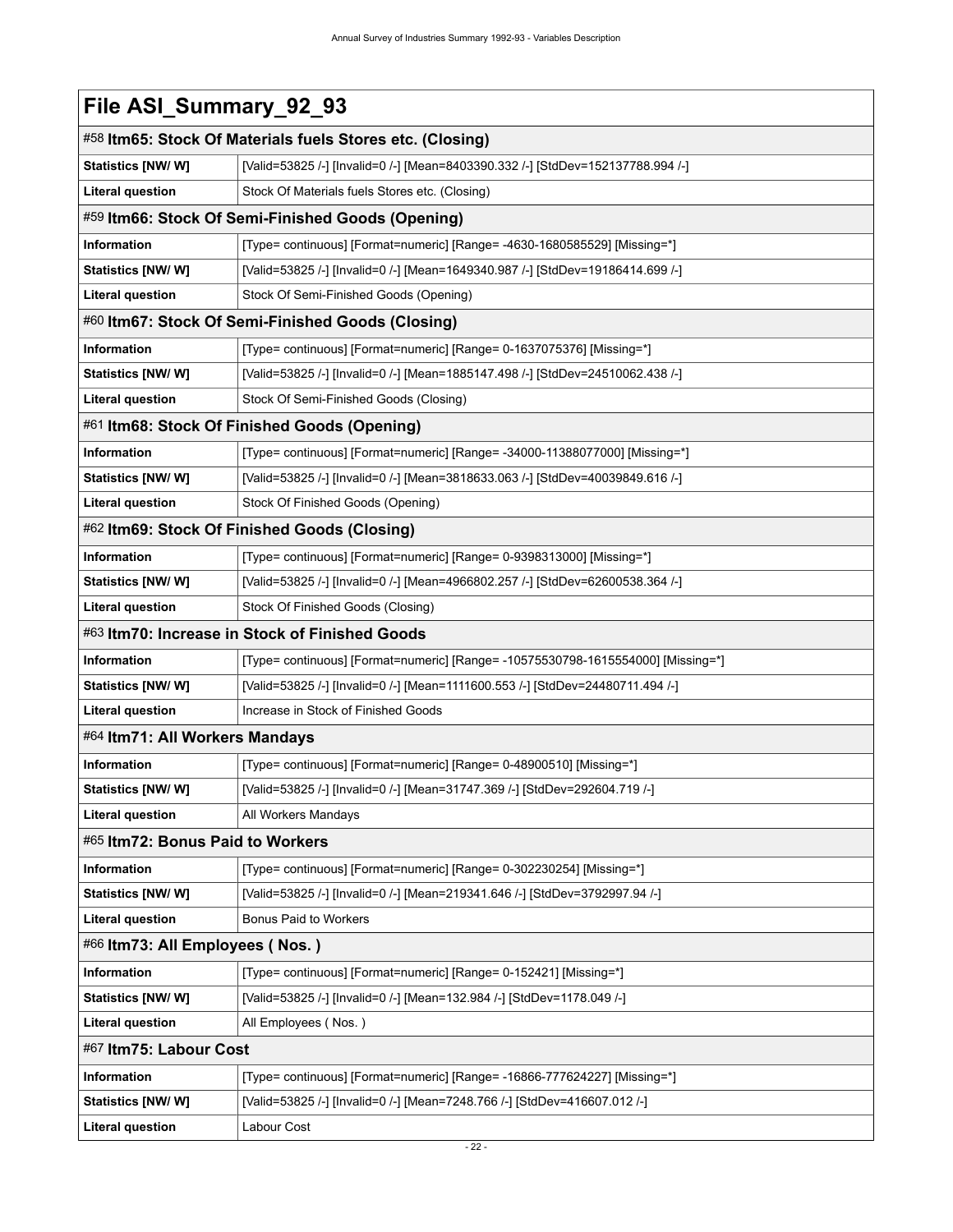<span id="page-25-8"></span><span id="page-25-7"></span><span id="page-25-6"></span><span id="page-25-5"></span><span id="page-25-4"></span><span id="page-25-3"></span><span id="page-25-2"></span><span id="page-25-1"></span><span id="page-25-0"></span>

| File ASI_Summary_92_93           |                                                                                  |
|----------------------------------|----------------------------------------------------------------------------------|
|                                  | #58 Itm65: Stock Of Materials fuels Stores etc. (Closing)                        |
| Statistics [NW/ W]               | [Valid=53825 /-] [Invalid=0 /-] [Mean=8403390.332 /-] [StdDev=152137788.994 /-]  |
| <b>Literal question</b>          | Stock Of Materials fuels Stores etc. (Closing)                                   |
|                                  | #59 Itm66: Stock Of Semi-Finished Goods (Opening)                                |
| Information                      | [Type= continuous] [Format=numeric] [Range= -4630-1680585529] [Missing=*]        |
| Statistics [NW/ W]               | [Valid=53825 /-] [Invalid=0 /-] [Mean=1649340.987 /-] [StdDev=19186414.699 /-]   |
| <b>Literal question</b>          | Stock Of Semi-Finished Goods (Opening)                                           |
|                                  | #60 Itm67: Stock Of Semi-Finished Goods (Closing)                                |
| Information                      | [Type= continuous] [Format=numeric] [Range= 0-1637075376] [Missing=*]            |
| Statistics [NW/W]                | [Valid=53825 /-] [Invalid=0 /-] [Mean=1885147.498 /-] [StdDev=24510062.438 /-]   |
| <b>Literal question</b>          | Stock Of Semi-Finished Goods (Closing)                                           |
|                                  | #61 Itm68: Stock Of Finished Goods (Opening)                                     |
| Information                      | [Type= continuous] [Format=numeric] [Range= -34000-11388077000] [Missing=*]      |
| Statistics [NW/W]                | [Valid=53825 /-] [Invalid=0 /-] [Mean=3818633.063 /-] [StdDev=40039849.616 /-]   |
| <b>Literal question</b>          | Stock Of Finished Goods (Opening)                                                |
|                                  | #62 Itm69: Stock Of Finished Goods (Closing)                                     |
| Information                      | [Type= continuous] [Format=numeric] [Range= 0-9398313000] [Missing=*]            |
| Statistics [NW/W]                | [Valid=53825 /-] [Invalid=0 /-] [Mean=4966802.257 /-] [StdDev=62600538.364 /-]   |
| <b>Literal question</b>          | Stock Of Finished Goods (Closing)                                                |
|                                  | #63 Itm70: Increase in Stock of Finished Goods                                   |
| Information                      | [Type= continuous] [Format=numeric] [Range= -10575530798-1615554000] [Missing=*] |
| Statistics [NW/W]                | [Valid=53825 /-] [Invalid=0 /-] [Mean=1111600.553 /-] [StdDev=24480711.494 /-]   |
| <b>Literal question</b>          | Increase in Stock of Finished Goods                                              |
| #64 Itm71: All Workers Mandays   |                                                                                  |
| Information                      | [Type= continuous] [Format=numeric] [Range= 0-48900510] [Missing=*]              |
| Statistics [NW/W]                | [Valid=53825 /-] [Invalid=0 /-] [Mean=31747.369 /-] [StdDev=292604.719 /-]       |
| <b>Literal question</b>          | All Workers Mandays                                                              |
| #65 Itm72: Bonus Paid to Workers |                                                                                  |
| Information                      | [Type= continuous] [Format=numeric] [Range= 0-302230254] [Missing=*]             |
| Statistics [NW/W]                | [Valid=53825 /-] [Invalid=0 /-] [Mean=219341.646 /-] [StdDev=3792997.94 /-]      |
| <b>Literal question</b>          | Bonus Paid to Workers                                                            |
| #66 Itm73: All Employees (Nos.)  |                                                                                  |
| Information                      | [Type= continuous] [Format=numeric] [Range= 0-152421] [Missing=*]                |
| <b>Statistics [NW/W]</b>         | [Valid=53825 /-] [Invalid=0 /-] [Mean=132.984 /-] [StdDev=1178.049 /-]           |
| <b>Literal question</b>          | All Employees (Nos.)                                                             |
| #67 Itm75: Labour Cost           |                                                                                  |
| Information                      | [Type= continuous] [Format=numeric] [Range= -16866-777624227] [Missing=*]        |
| <b>Statistics [NW/W]</b>         | [Valid=53825 /-] [Invalid=0 /-] [Mean=7248.766 /-] [StdDev=416607.012 /-]        |
| <b>Literal question</b>          | Labour Cost                                                                      |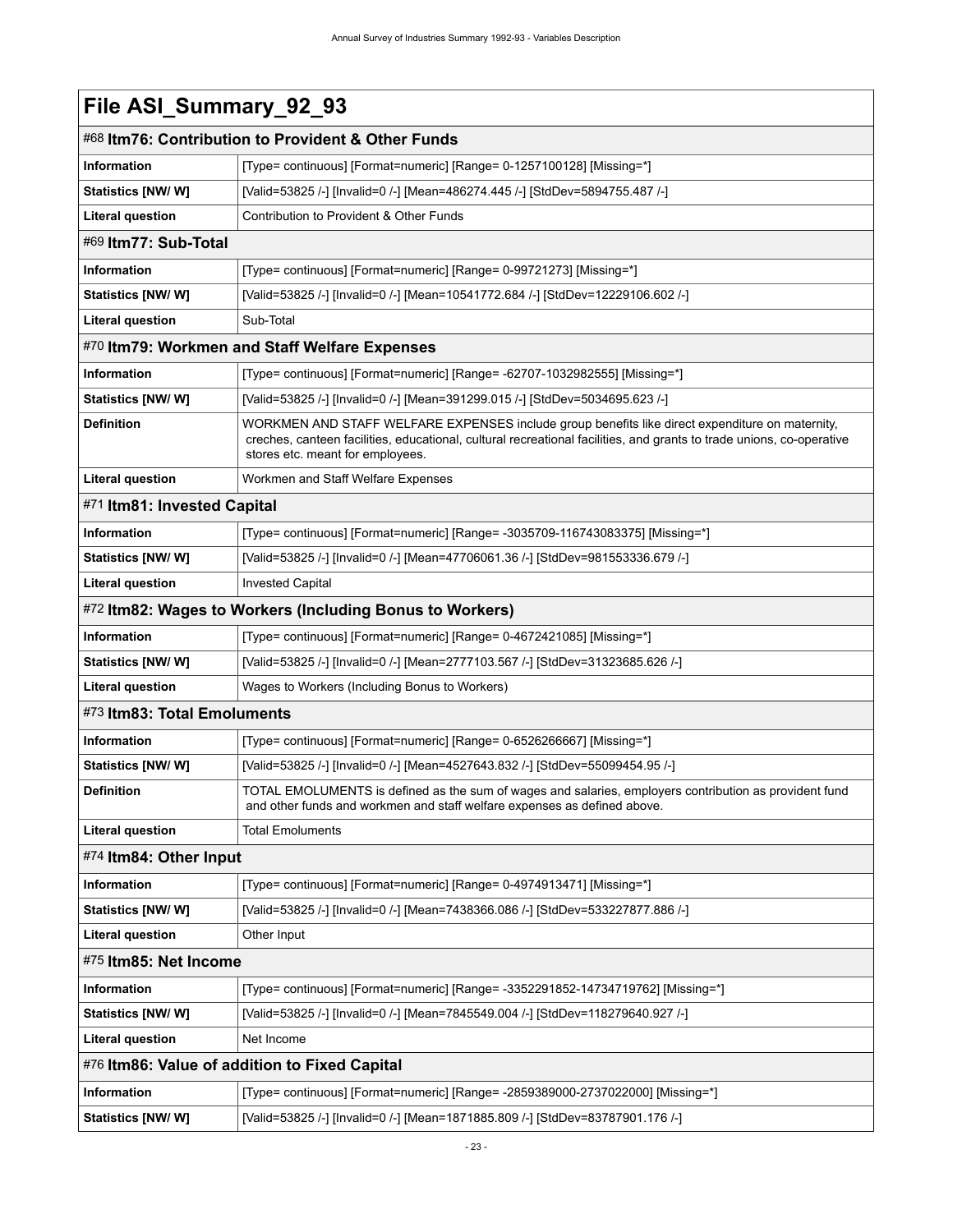<span id="page-26-8"></span><span id="page-26-7"></span><span id="page-26-6"></span><span id="page-26-5"></span><span id="page-26-4"></span><span id="page-26-3"></span><span id="page-26-2"></span><span id="page-26-1"></span><span id="page-26-0"></span>

| File ASI_Summary_92_93                        |                                                                                                                                                                                                                                                             |  |
|-----------------------------------------------|-------------------------------------------------------------------------------------------------------------------------------------------------------------------------------------------------------------------------------------------------------------|--|
|                                               | #68 Itm76: Contribution to Provident & Other Funds                                                                                                                                                                                                          |  |
| Information                                   | [Type= continuous] [Format=numeric] [Range= 0-1257100128] [Missing=*]                                                                                                                                                                                       |  |
| <b>Statistics [NW/ W]</b>                     | [Valid=53825 /-] [Invalid=0 /-] [Mean=486274.445 /-] [StdDev=5894755.487 /-]                                                                                                                                                                                |  |
| <b>Literal question</b>                       | Contribution to Provident & Other Funds                                                                                                                                                                                                                     |  |
| #69 Itm77: Sub-Total                          |                                                                                                                                                                                                                                                             |  |
| <b>Information</b>                            | [Type= continuous] [Format=numeric] [Range= 0-99721273] [Missing=*]                                                                                                                                                                                         |  |
| <b>Statistics [NW/W]</b>                      | [Valid=53825 /-] [Invalid=0 /-] [Mean=10541772.684 /-] [StdDev=12229106.602 /-]                                                                                                                                                                             |  |
| <b>Literal question</b>                       | Sub-Total                                                                                                                                                                                                                                                   |  |
|                                               | #70 Itm79: Workmen and Staff Welfare Expenses                                                                                                                                                                                                               |  |
| Information                                   | [Type= continuous] [Format=numeric] [Range= -62707-1032982555] [Missing=*]                                                                                                                                                                                  |  |
| Statistics [NW/W]                             | [Valid=53825 /-] [Invalid=0 /-] [Mean=391299.015 /-] [StdDev=5034695.623 /-]                                                                                                                                                                                |  |
| <b>Definition</b>                             | WORKMEN AND STAFF WELFARE EXPENSES include group benefits like direct expenditure on maternity,<br>creches, canteen facilities, educational, cultural recreational facilities, and grants to trade unions, co-operative<br>stores etc. meant for employees. |  |
| <b>Literal question</b>                       | Workmen and Staff Welfare Expenses                                                                                                                                                                                                                          |  |
| #71 Itm81: Invested Capital                   |                                                                                                                                                                                                                                                             |  |
| <b>Information</b>                            | [Type= continuous] [Format=numeric] [Range= -3035709-116743083375] [Missing=*]                                                                                                                                                                              |  |
| Statistics [NW/ W]                            | [Valid=53825 /-] [Invalid=0 /-] [Mean=47706061.36 /-] [StdDev=981553336.679 /-]                                                                                                                                                                             |  |
| <b>Literal question</b>                       | <b>Invested Capital</b>                                                                                                                                                                                                                                     |  |
|                                               | #72 Itm82: Wages to Workers (Including Bonus to Workers)                                                                                                                                                                                                    |  |
| <b>Information</b>                            | [Type= continuous] [Format=numeric] [Range= 0-4672421085] [Missing=*]                                                                                                                                                                                       |  |
| Statistics [NW/ W]                            | [Valid=53825 /-] [Invalid=0 /-] [Mean=2777103.567 /-] [StdDev=31323685.626 /-]                                                                                                                                                                              |  |
| <b>Literal question</b>                       | Wages to Workers (Including Bonus to Workers)                                                                                                                                                                                                               |  |
| #73 Itm83: Total Emoluments                   |                                                                                                                                                                                                                                                             |  |
| <b>Information</b>                            | [Type= continuous] [Format=numeric] [Range= 0-6526266667] [Missing=*]                                                                                                                                                                                       |  |
| Statistics [NW/ W]                            | [Valid=53825 /-] [Invalid=0 /-] [Mean=4527643.832 /-] [StdDev=55099454.95 /-]                                                                                                                                                                               |  |
| <b>Definition</b>                             | TOTAL EMOLUMENTS is defined as the sum of wages and salaries, employers contribution as provident fund<br>and other funds and workmen and staff welfare expenses as defined above.                                                                          |  |
| <b>Literal question</b>                       | <b>Total Emoluments</b>                                                                                                                                                                                                                                     |  |
| #74 Itm84: Other Input                        |                                                                                                                                                                                                                                                             |  |
| Information                                   | [Type= continuous] [Format=numeric] [Range= 0-4974913471] [Missing=*]                                                                                                                                                                                       |  |
| <b>Statistics [NW/W]</b>                      | [Valid=53825 /-] [Invalid=0 /-] [Mean=7438366.086 /-] [StdDev=533227877.886 /-]                                                                                                                                                                             |  |
| Literal question                              | Other Input                                                                                                                                                                                                                                                 |  |
| #75 Itm85: Net Income                         |                                                                                                                                                                                                                                                             |  |
| Information                                   | [Type= continuous] [Format=numeric] [Range= -3352291852-14734719762] [Missing=*]                                                                                                                                                                            |  |
| <b>Statistics [NW/W]</b>                      | [Valid=53825 /-] [Invalid=0 /-] [Mean=7845549.004 /-] [StdDev=118279640.927 /-]                                                                                                                                                                             |  |
| <b>Literal question</b>                       | Net Income                                                                                                                                                                                                                                                  |  |
| #76 Itm86: Value of addition to Fixed Capital |                                                                                                                                                                                                                                                             |  |
| Information                                   | [Type= continuous] [Format=numeric] [Range= -2859389000-2737022000] [Missing=*]                                                                                                                                                                             |  |
| Statistics [NW/W]                             | [Valid=53825 /-] [Invalid=0 /-] [Mean=1871885.809 /-] [StdDev=83787901.176 /-]                                                                                                                                                                              |  |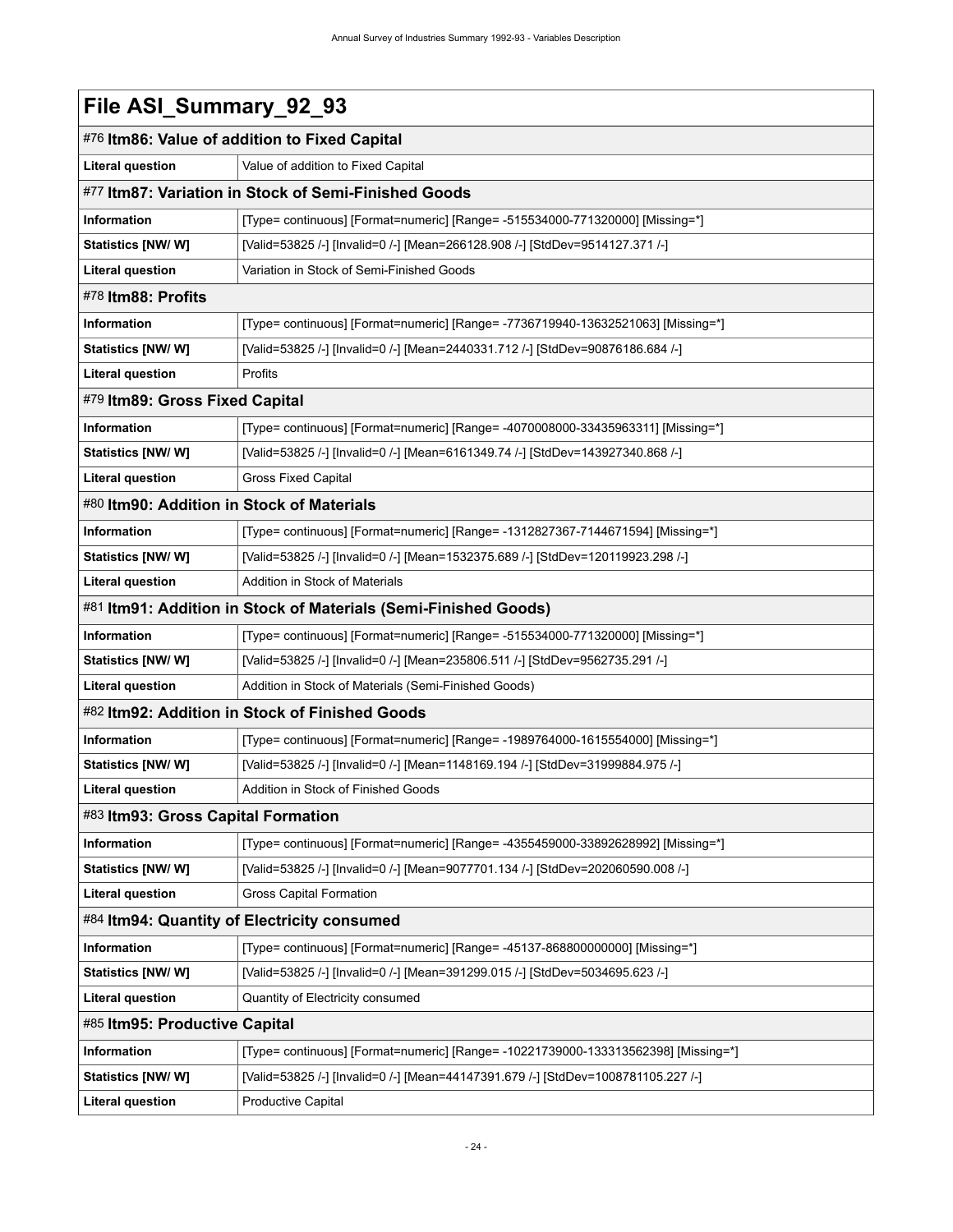<span id="page-27-8"></span><span id="page-27-7"></span><span id="page-27-6"></span><span id="page-27-5"></span><span id="page-27-4"></span><span id="page-27-3"></span><span id="page-27-2"></span><span id="page-27-1"></span><span id="page-27-0"></span>

| File ASI_Summary_92_93                    |                                                                                    |
|-------------------------------------------|------------------------------------------------------------------------------------|
|                                           | #76 Itm86: Value of addition to Fixed Capital                                      |
| <b>Literal question</b>                   | Value of addition to Fixed Capital                                                 |
|                                           | #77 Itm87: Variation in Stock of Semi-Finished Goods                               |
| <b>Information</b>                        | [Type= continuous] [Format=numeric] [Range= -515534000-771320000] [Missing=*]      |
| Statistics [NW/W]                         | [Valid=53825 /-] [Invalid=0 /-] [Mean=266128.908 /-] [StdDev=9514127.371 /-]       |
| <b>Literal question</b>                   | Variation in Stock of Semi-Finished Goods                                          |
| #78 Itm88: Profits                        |                                                                                    |
| <b>Information</b>                        | [Type= continuous] [Format=numeric] [Range= -7736719940-13632521063] [Missing=*]   |
| Statistics [NW/W]                         | [Valid=53825 /-] [Invalid=0 /-] [Mean=2440331.712 /-] [StdDev=90876186.684 /-]     |
| <b>Literal question</b>                   | Profits                                                                            |
| #79 Itm89: Gross Fixed Capital            |                                                                                    |
| Information                               | [Type= continuous] [Format=numeric] [Range= -4070008000-33435963311] [Missing=*]   |
| Statistics [NW/W]                         | [Valid=53825 /-] [Invalid=0 /-] [Mean=6161349.74 /-] [StdDev=143927340.868 /-]     |
| <b>Literal question</b>                   | <b>Gross Fixed Capital</b>                                                         |
| #80 Itm90: Addition in Stock of Materials |                                                                                    |
| Information                               | [Type= continuous] [Format=numeric] [Range= -1312827367-7144671594] [Missing=*]    |
| Statistics [NW/ W]                        | [Valid=53825 /-] [Invalid=0 /-] [Mean=1532375.689 /-] [StdDev=120119923.298 /-]    |
| <b>Literal question</b>                   | Addition in Stock of Materials                                                     |
|                                           | #81 Itm91: Addition in Stock of Materials (Semi-Finished Goods)                    |
| <b>Information</b>                        | [Type= continuous] [Format=numeric] [Range= -515534000-771320000] [Missing=*]      |
| Statistics [NW/W]                         | [Valid=53825 /-] [Invalid=0 /-] [Mean=235806.511 /-] [StdDev=9562735.291 /-]       |
| <b>Literal question</b>                   | Addition in Stock of Materials (Semi-Finished Goods)                               |
|                                           | #82 Itm92: Addition in Stock of Finished Goods                                     |
| Information                               | [Type= continuous] [Format=numeric] [Range= -1989764000-1615554000] [Missing=*]    |
| Statistics [NW/W]                         | [Valid=53825 /-] [Invalid=0 /-] [Mean=1148169.194 /-] [StdDev=31999884.975 /-]     |
| <b>Literal question</b>                   | Addition in Stock of Finished Goods                                                |
| #83 Itm93: Gross Capital Formation        |                                                                                    |
| <b>Information</b>                        | [Type= continuous] [Format=numeric] [Range= -4355459000-33892628992] [Missing=*]   |
| Statistics [NW/W]                         | [Valid=53825 /-] [Invalid=0 /-] [Mean=9077701.134 /-] [StdDev=202060590.008 /-]    |
| <b>Literal question</b>                   | Gross Capital Formation                                                            |
|                                           | #84 Itm94: Quantity of Electricity consumed                                        |
| <b>Information</b>                        | [Type= continuous] [Format=numeric] [Range= -45137-868800000000] [Missing=*]       |
| Statistics [NW/W]                         | [Valid=53825 /-] [Invalid=0 /-] [Mean=391299.015 /-] [StdDev=5034695.623 /-]       |
| <b>Literal question</b>                   | Quantity of Electricity consumed                                                   |
| #85 Itm95: Productive Capital             |                                                                                    |
| Information                               | [Type= continuous] [Format=numeric] [Range= -10221739000-133313562398] [Missing=*] |
| Statistics [NW/W]                         | [Valid=53825 /-] [Invalid=0 /-] [Mean=44147391.679 /-] [StdDev=1008781105.227 /-]  |
| <b>Literal question</b>                   | <b>Productive Capital</b>                                                          |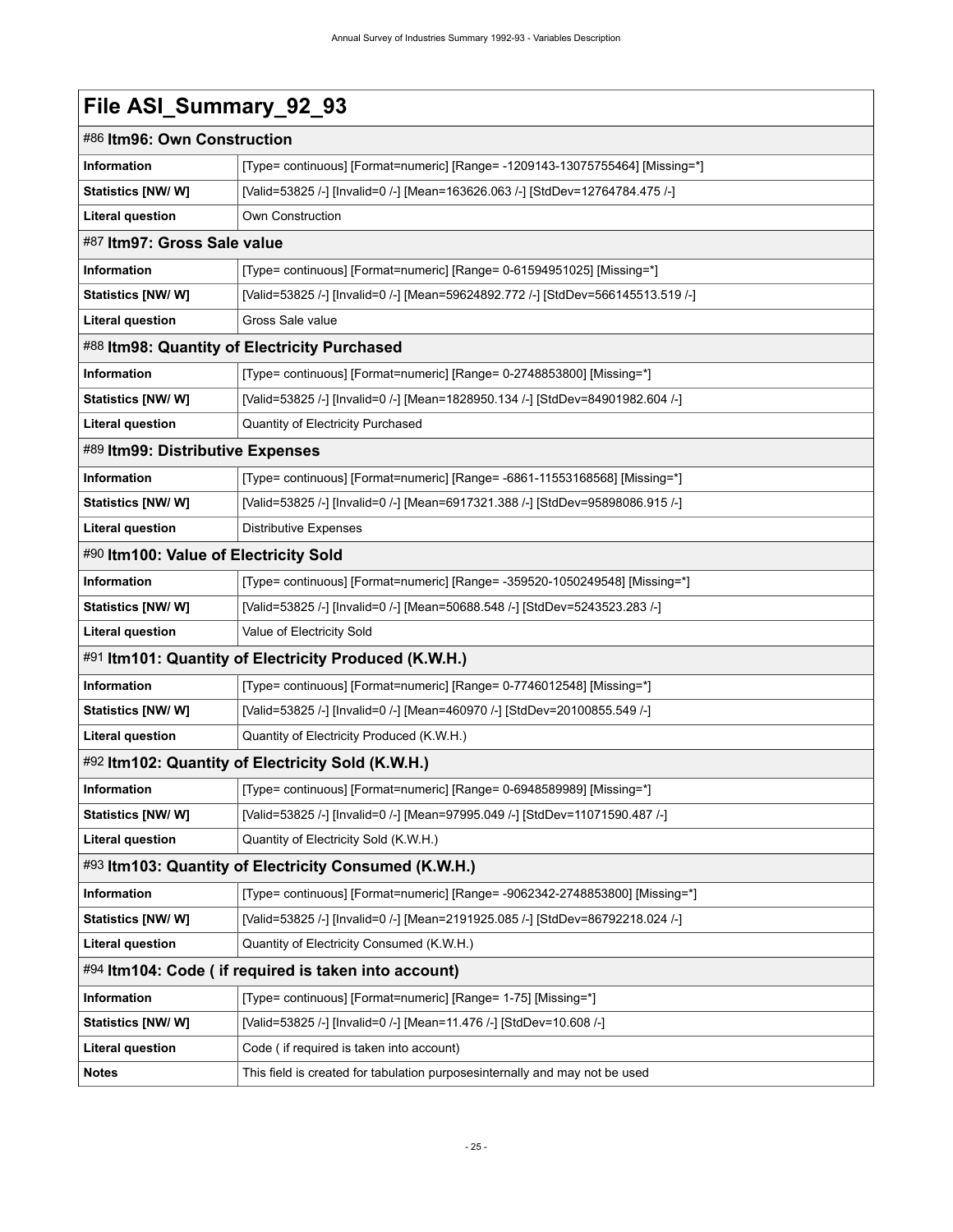<span id="page-28-8"></span><span id="page-28-7"></span><span id="page-28-6"></span><span id="page-28-5"></span><span id="page-28-4"></span><span id="page-28-3"></span><span id="page-28-2"></span><span id="page-28-1"></span><span id="page-28-0"></span>

|                                       | #86 Itm96: Own Construction                                                      |  |
|---------------------------------------|----------------------------------------------------------------------------------|--|
| <b>Information</b>                    | [Type= continuous] [Format=numeric] [Range= -1209143-13075755464] [Missing=*]    |  |
| Statistics [NW/ W]                    | [Valid=53825 /-] [Invalid=0 /-] [Mean=163626.063 /-] [StdDev=12764784.475 /-]    |  |
| <b>Literal question</b>               | Own Construction                                                                 |  |
| #87 Itm97: Gross Sale value           |                                                                                  |  |
| <b>Information</b>                    | [Type= continuous] [Format=numeric] [Range= 0-61594951025] [Missing=*]           |  |
| Statistics [NW/W]                     | [Valid=53825 /-] [Invalid=0 /-] [Mean=59624892.772 /-] [StdDev=566145513.519 /-] |  |
| <b>Literal question</b>               | Gross Sale value                                                                 |  |
|                                       | #88 Itm98: Quantity of Electricity Purchased                                     |  |
| Information                           | [Type= continuous] [Format=numeric] [Range= 0-2748853800] [Missing=*]            |  |
| Statistics [NW/W]                     | [Valid=53825 /-] [Invalid=0 /-] [Mean=1828950.134 /-] [StdDev=84901982.604 /-]   |  |
| <b>Literal question</b>               | Quantity of Electricity Purchased                                                |  |
| #89 Itm99: Distributive Expenses      |                                                                                  |  |
| <b>Information</b>                    | [Type= continuous] [Format=numeric] [Range= -6861-11553168568] [Missing=*]       |  |
| <b>Statistics [NW/ W]</b>             | [Valid=53825 /-] [Invalid=0 /-] [Mean=6917321.388 /-] [StdDev=95898086.915 /-]   |  |
| <b>Literal question</b>               | <b>Distributive Expenses</b>                                                     |  |
| #90 Itm100: Value of Electricity Sold |                                                                                  |  |
| <b>Information</b>                    | [Type= continuous] [Format=numeric] [Range= -359520-1050249548] [Missing=*]      |  |
| Statistics [NW/W]                     | [Valid=53825 /-] [Invalid=0 /-] [Mean=50688.548 /-] [StdDev=5243523.283 /-]      |  |
| <b>Literal question</b>               | Value of Electricity Sold                                                        |  |
|                                       | #91 Itm101: Quantity of Electricity Produced (K.W.H.)                            |  |
| Information                           | [Type= continuous] [Format=numeric] [Range= 0-7746012548] [Missing=*]            |  |
| Statistics [NW/W]                     | [Valid=53825 /-] [Invalid=0 /-] [Mean=460970 /-] [StdDev=20100855.549 /-]        |  |
| <b>Literal question</b>               | Quantity of Electricity Produced (K.W.H.)                                        |  |
|                                       | #92 Itm102: Quantity of Electricity Sold (K.W.H.)                                |  |
| Information                           | [Type= continuous] [Format=numeric] [Range= 0-6948589989] [Missing=*]            |  |
| Statistics [NW/ W]                    | [Valid=53825 /-] [Invalid=0 /-] [Mean=97995.049 /-] [StdDev=11071590.487 /-]     |  |
| <b>Literal question</b>               | Quantity of Electricity Sold (K.W.H.)                                            |  |
|                                       | #93 Itm103: Quantity of Electricity Consumed (K.W.H.)                            |  |
| Information                           | [Type= continuous] [Format=numeric] [Range= -9062342-2748853800] [Missing=*]     |  |
| Statistics [NW/W]                     | [Valid=53825 /-] [Invalid=0 /-] [Mean=2191925.085 /-] [StdDev=86792218.024 /-]   |  |
| <b>Literal question</b>               | Quantity of Electricity Consumed (K.W.H.)                                        |  |
|                                       | #94 Itm104: Code (if required is taken into account)                             |  |
| Information                           | [Type= continuous] [Format=numeric] [Range= 1-75] [Missing=*]                    |  |
| <b>Statistics [NW/ W]</b>             | [Valid=53825 /-] [Invalid=0 /-] [Mean=11.476 /-] [StdDev=10.608 /-]              |  |
| Literal question                      | Code (if required is taken into account)                                         |  |
| <b>Notes</b>                          | This field is created for tabulation purposesinternally and may not be used      |  |